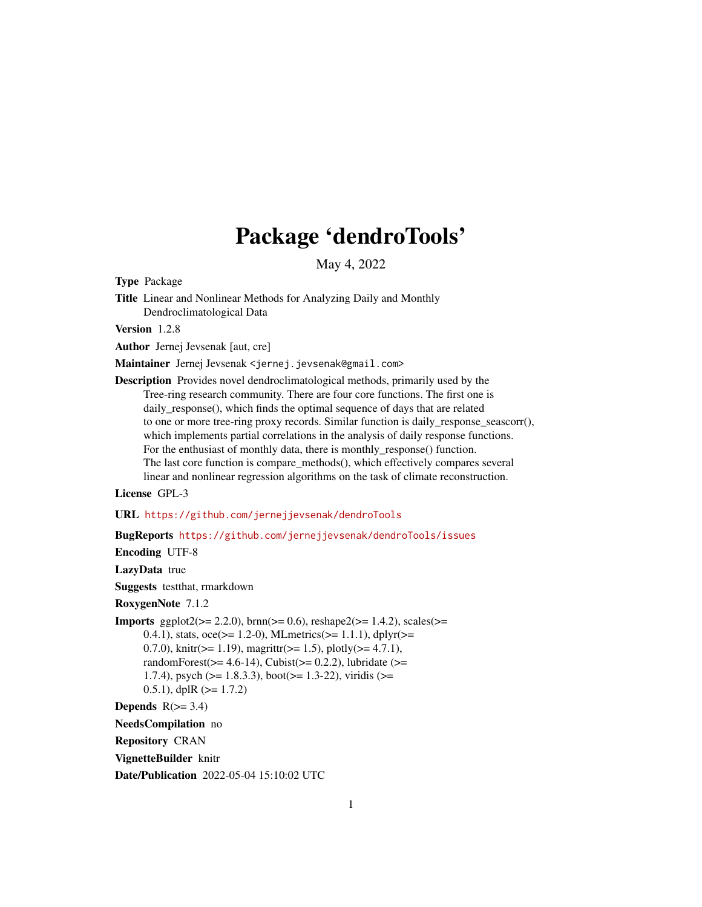# Package 'dendroTools'

May 4, 2022

Type Package

Title Linear and Nonlinear Methods for Analyzing Daily and Monthly Dendroclimatological Data

Version 1.2.8

Author Jernej Jevsenak [aut, cre]

Maintainer Jernej Jevsenak <jernej.jevsenak@gmail.com>

Description Provides novel dendroclimatological methods, primarily used by the Tree-ring research community. There are four core functions. The first one is daily\_response(), which finds the optimal sequence of days that are related to one or more tree-ring proxy records. Similar function is daily\_response\_seascorr(), which implements partial correlations in the analysis of daily response functions. For the enthusiast of monthly data, there is monthly\_response() function. The last core function is compare\_methods(), which effectively compares several linear and nonlinear regression algorithms on the task of climate reconstruction.

License GPL-3

URL <https://github.com/jernejjevsenak/dendroTools>

BugReports <https://github.com/jernejjevsenak/dendroTools/issues>

Encoding UTF-8

LazyData true

Suggests testthat, rmarkdown

RoxygenNote 7.1.2

**Imports** ggplot2( $>= 2.2.0$ ), brnn( $>= 0.6$ ), reshape2( $>= 1.4.2$ ), scales( $>=$ 0.4.1), stats,  $\text{occ} >= 1.2{\text -}0$ , MLmetrics( $>= 1.1.1$ ), dplyr( $>=$ 0.7.0), knitr( $>= 1.19$ ), magrittr( $>= 1.5$ ), plotly( $>= 4.7.1$ ), randomForest( $>= 4.6-14$ ), Cubist( $>= 0.2.2$ ), lubridate ( $>=$ 1.7.4), psych ( $>= 1.8.3.3$ ), boot( $>= 1.3-22$ ), viridis ( $>=$ 0.5.1), dplR  $(>= 1.7.2)$ 

Depends  $R(>= 3.4)$ 

NeedsCompilation no

Repository CRAN

VignetteBuilder knitr

Date/Publication 2022-05-04 15:10:02 UTC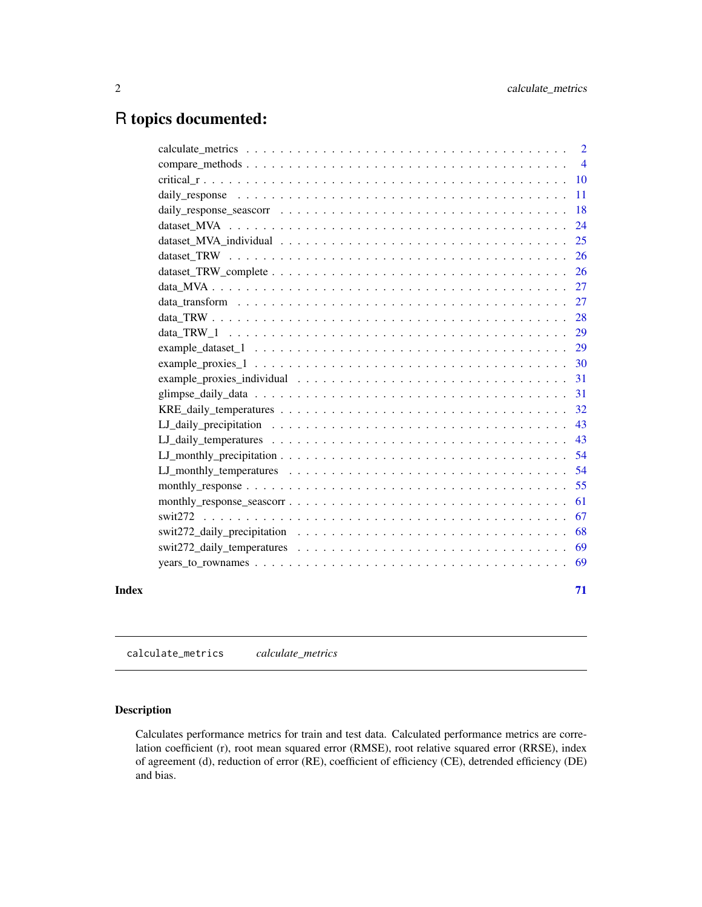# <span id="page-1-0"></span>R topics documented:

|       |                                                                                                                                                          | $\overline{2}$ |
|-------|----------------------------------------------------------------------------------------------------------------------------------------------------------|----------------|
|       |                                                                                                                                                          |                |
|       |                                                                                                                                                          |                |
|       |                                                                                                                                                          | -11            |
|       |                                                                                                                                                          | 18             |
|       |                                                                                                                                                          | 24             |
|       |                                                                                                                                                          | 25             |
|       | dataset TRW $\ldots$ , $\ldots$ , $\ldots$ , $\ldots$ , $\ldots$ , $\ldots$ , $\ldots$ , $\ldots$ , $\ldots$ , $\ldots$ , $\ldots$ , $\ldots$ , $\ldots$ | 26             |
|       |                                                                                                                                                          | 26             |
|       |                                                                                                                                                          | 27             |
|       |                                                                                                                                                          | 27             |
|       |                                                                                                                                                          | 28             |
|       |                                                                                                                                                          | 29             |
|       |                                                                                                                                                          |                |
|       |                                                                                                                                                          | 30             |
|       | example_proxies_individual $\ldots \ldots \ldots \ldots \ldots \ldots \ldots \ldots \ldots \ldots \ldots \ldots$                                         | 31             |
|       |                                                                                                                                                          | 31             |
|       |                                                                                                                                                          | 32             |
|       |                                                                                                                                                          | 43             |
|       |                                                                                                                                                          | 43             |
|       |                                                                                                                                                          | 54             |
|       |                                                                                                                                                          | 54             |
|       |                                                                                                                                                          | 55             |
|       |                                                                                                                                                          | 61             |
|       |                                                                                                                                                          | 67             |
|       |                                                                                                                                                          | 68             |
|       |                                                                                                                                                          |                |
|       |                                                                                                                                                          | 69             |
|       |                                                                                                                                                          |                |
| Index |                                                                                                                                                          | 71             |

calculate\_metrics *calculate\_metrics*

# Description

Calculates performance metrics for train and test data. Calculated performance metrics are correlation coefficient (r), root mean squared error (RMSE), root relative squared error (RRSE), index of agreement (d), reduction of error (RE), coefficient of efficiency (CE), detrended efficiency (DE) and bias.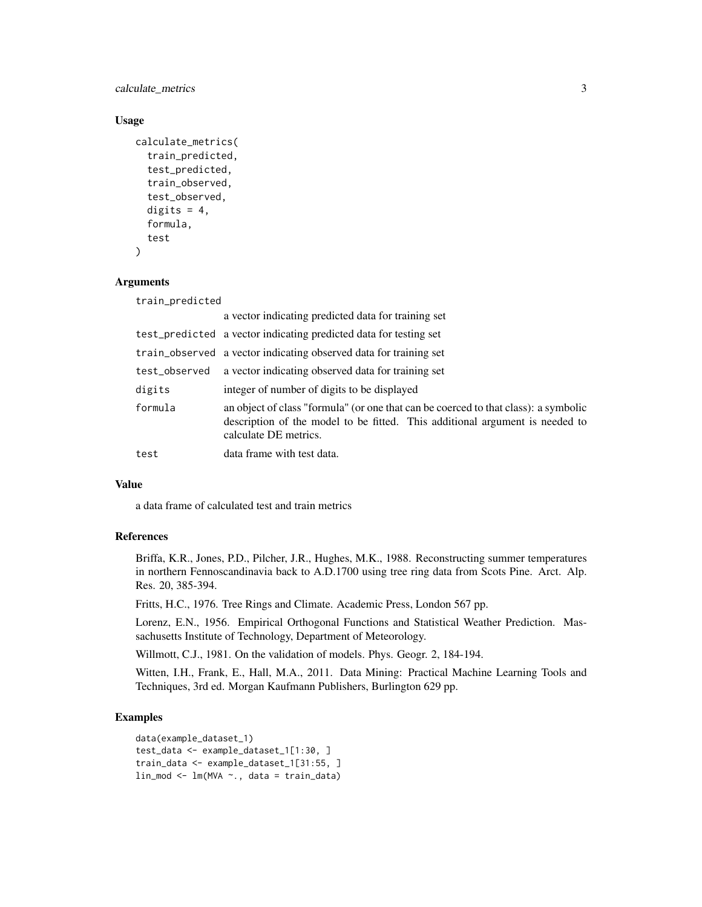calculate\_metrics 3

#### Usage

```
calculate_metrics(
  train_predicted,
  test_predicted,
  train_observed,
  test_observed,
  digits = 4,
  formula,
  test
)
```
# Arguments

train\_predicted

|               | a vector indicating predicted data for training set                                                                                                                                          |
|---------------|----------------------------------------------------------------------------------------------------------------------------------------------------------------------------------------------|
|               | test_predicted a vector indicating predicted data for testing set                                                                                                                            |
|               | train_observed a vector indicating observed data for training set                                                                                                                            |
| test_observed | a vector indicating observed data for training set                                                                                                                                           |
| digits        | integer of number of digits to be displayed                                                                                                                                                  |
| formula       | an object of class "formula" (or one that can be coerced to that class): a symbolic<br>description of the model to be fitted. This additional argument is needed to<br>calculate DE metrics. |
| test          | data frame with test data.                                                                                                                                                                   |

# Value

a data frame of calculated test and train metrics

# References

Briffa, K.R., Jones, P.D., Pilcher, J.R., Hughes, M.K., 1988. Reconstructing summer temperatures in northern Fennoscandinavia back to A.D.1700 using tree ring data from Scots Pine. Arct. Alp. Res. 20, 385-394.

Fritts, H.C., 1976. Tree Rings and Climate. Academic Press, London 567 pp.

Lorenz, E.N., 1956. Empirical Orthogonal Functions and Statistical Weather Prediction. Massachusetts Institute of Technology, Department of Meteorology.

Willmott, C.J., 1981. On the validation of models. Phys. Geogr. 2, 184-194.

Witten, I.H., Frank, E., Hall, M.A., 2011. Data Mining: Practical Machine Learning Tools and Techniques, 3rd ed. Morgan Kaufmann Publishers, Burlington 629 pp.

# Examples

```
data(example_dataset_1)
test_data <- example_dataset_1[1:30, ]
train_data <- example_dataset_1[31:55, ]
lin_mod <- lm(MVA ~., data = train_data)
```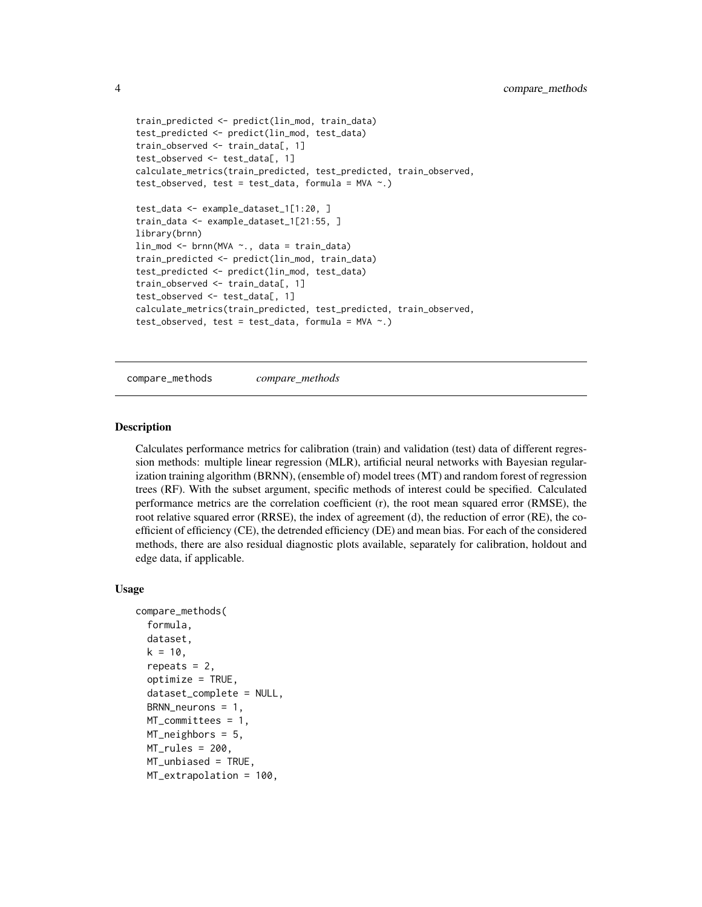```
train_predicted <- predict(lin_mod, train_data)
test_predicted <- predict(lin_mod, test_data)
train_observed <- train_data[, 1]
test_observed <- test_data[, 1]
calculate_metrics(train_predicted, test_predicted, train_observed,
test_observed, test = test_data, formula = MVA \sim .)
test_data <- example_dataset_1[1:20, ]
train_data <- example_dataset_1[21:55, ]
library(brnn)
lin_mod <- brnn(MVA ~., data = train_data)
train_predicted <- predict(lin_mod, train_data)
test_predicted <- predict(lin_mod, test_data)
train_observed <- train_data[, 1]
test_observed <- test_data[, 1]
calculate_metrics(train_predicted, test_predicted, train_observed,
test\_observed, test = test\_data, formula = MVA ~.)
```
compare\_methods *compare\_methods*

# **Description**

Calculates performance metrics for calibration (train) and validation (test) data of different regression methods: multiple linear regression (MLR), artificial neural networks with Bayesian regularization training algorithm (BRNN), (ensemble of) model trees (MT) and random forest of regression trees (RF). With the subset argument, specific methods of interest could be specified. Calculated performance metrics are the correlation coefficient (r), the root mean squared error (RMSE), the root relative squared error (RRSE), the index of agreement (d), the reduction of error (RE), the coefficient of efficiency (CE), the detrended efficiency (DE) and mean bias. For each of the considered methods, there are also residual diagnostic plots available, separately for calibration, holdout and edge data, if applicable.

# Usage

```
compare_methods(
  formula,
  dataset,
  k = 10,
  repeats = 2,
  optimize = TRUE,dataset_complete = NULL,
  BRNN_neurons = 1,
  MT_committees = 1,
 MT_neighbors = 5,
 MT_rules = 200,MT_unbiased = TRUE,
 MT_extrapolation = 100,
```
<span id="page-3-0"></span>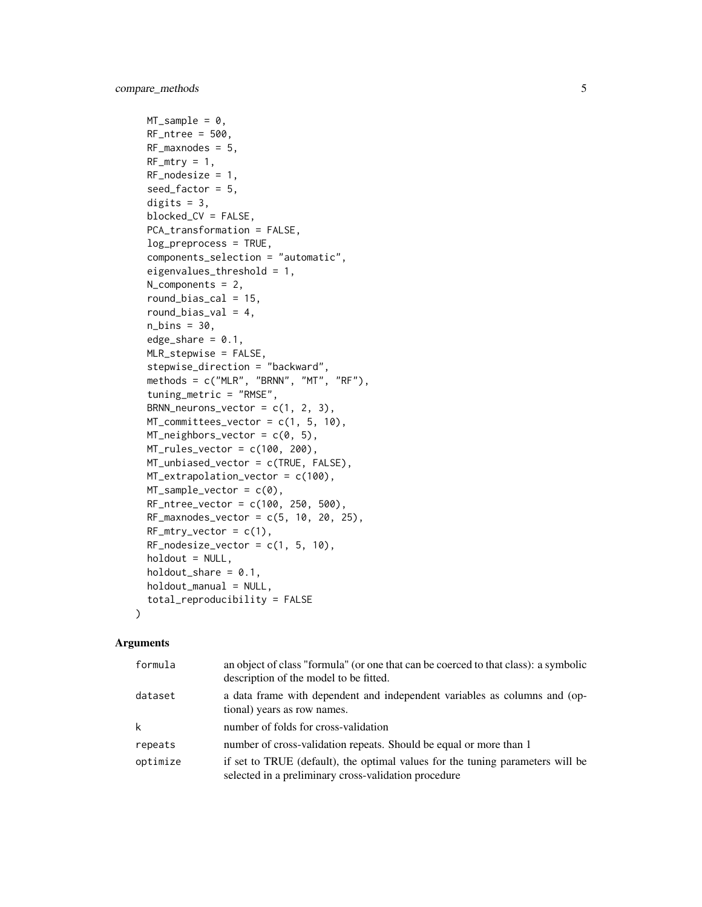```
MT\_sample = 0,
RF_ntree = 500,
RF_{maxnodes} = 5,
RF_mtry = 1,
RF\_nodesize = 1,
seed_factor = 5,
digits = 3,
blocked_CV = FALSE,
PCA_transformation = FALSE,
log_preprocess = TRUE,
components_selection = "automatic",
eigenvalues_threshold = 1,
N_components = 2,
round_bias_cal = 15,
round_bias_val = 4,
n_{\text{bins}} = 30,
edge\_share = 0.1,
MLR_stepwise = FALSE,
stepwise_direction = "backward",
methods = c("MLR", "BRNN", "MT", "RF"),
tuning_metric = "RMSE",
BRNN_neurons_vector = c(1, 2, 3),
MT_committees_vector = c(1, 5, 10),
MT\_neighbors\_vector = c(0, 5),
MT_rules_vector = c(100, 200),
MT_unbiased_vector = c(TRUE, FALSE),
MT_extrapolation_vector = c(100),
MT_sample_vector = c(0),
RF_ntree_vector = c(100, 250, 500),
RF_{maxnodes\_vector = c(5, 10, 20, 25),RF_mtry\_vector = c(1),
RF\_nodesize\_vector = c(1, 5, 10),
holdout = NULL,holdout\_share = 0.1,
holdout_manual = NULL,
total_reproducibility = FALSE
```
# Arguments

)

| formula  | an object of class "formula" (or one that can be coerced to that class): a symbolic<br>description of the model to be fitted.          |
|----------|----------------------------------------------------------------------------------------------------------------------------------------|
| dataset  | a data frame with dependent and independent variables as columns and (op-<br>tional) years as row names.                               |
| k        | number of folds for cross-validation                                                                                                   |
| repeats  | number of cross-validation repeats. Should be equal or more than 1                                                                     |
| optimize | if set to TRUE (default), the optimal values for the tuning parameters will be<br>selected in a preliminary cross-validation procedure |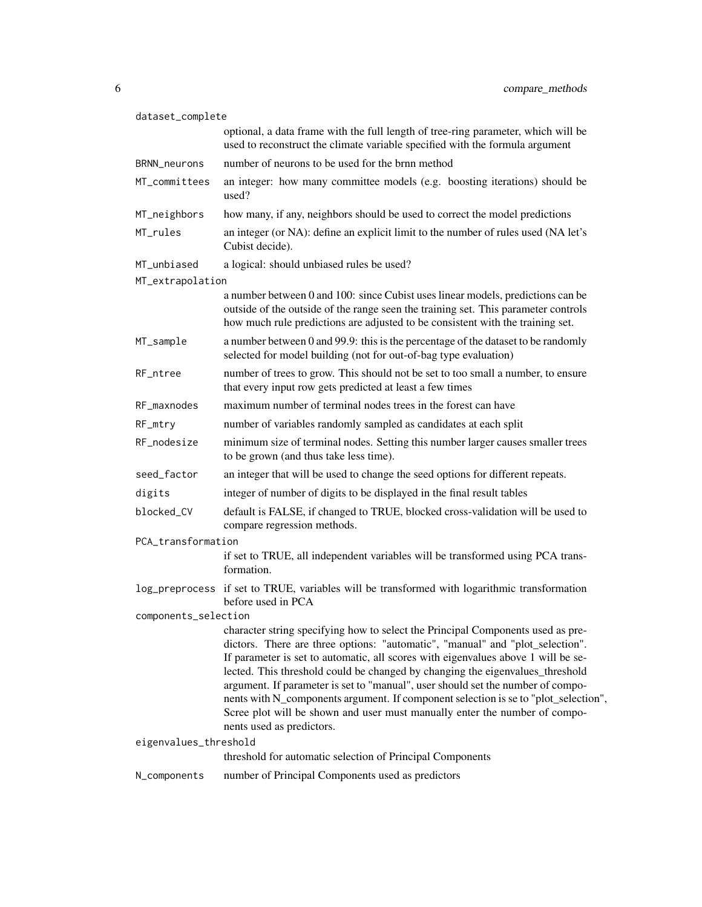| dataset_complete      |                                                                                                                                                                                                                                                                                                                                                                                                                                                                                                                                                                                                                             |  |
|-----------------------|-----------------------------------------------------------------------------------------------------------------------------------------------------------------------------------------------------------------------------------------------------------------------------------------------------------------------------------------------------------------------------------------------------------------------------------------------------------------------------------------------------------------------------------------------------------------------------------------------------------------------------|--|
|                       | optional, a data frame with the full length of tree-ring parameter, which will be<br>used to reconstruct the climate variable specified with the formula argument                                                                                                                                                                                                                                                                                                                                                                                                                                                           |  |
| BRNN_neurons          | number of neurons to be used for the brnn method                                                                                                                                                                                                                                                                                                                                                                                                                                                                                                                                                                            |  |
| MT_committees         | an integer: how many committee models (e.g. boosting iterations) should be<br>used?                                                                                                                                                                                                                                                                                                                                                                                                                                                                                                                                         |  |
| MT_neighbors          | how many, if any, neighbors should be used to correct the model predictions                                                                                                                                                                                                                                                                                                                                                                                                                                                                                                                                                 |  |
| MT_rules              | an integer (or NA): define an explicit limit to the number of rules used (NA let's<br>Cubist decide).                                                                                                                                                                                                                                                                                                                                                                                                                                                                                                                       |  |
| MT_unbiased           | a logical: should unbiased rules be used?                                                                                                                                                                                                                                                                                                                                                                                                                                                                                                                                                                                   |  |
| MT_extrapolation      |                                                                                                                                                                                                                                                                                                                                                                                                                                                                                                                                                                                                                             |  |
|                       | a number between 0 and 100: since Cubist uses linear models, predictions can be<br>outside of the outside of the range seen the training set. This parameter controls<br>how much rule predictions are adjusted to be consistent with the training set.                                                                                                                                                                                                                                                                                                                                                                     |  |
| MT_sample             | a number between 0 and 99.9: this is the percentage of the dataset to be randomly<br>selected for model building (not for out-of-bag type evaluation)                                                                                                                                                                                                                                                                                                                                                                                                                                                                       |  |
| RF_ntree              | number of trees to grow. This should not be set to too small a number, to ensure<br>that every input row gets predicted at least a few times                                                                                                                                                                                                                                                                                                                                                                                                                                                                                |  |
| RF_maxnodes           | maximum number of terminal nodes trees in the forest can have                                                                                                                                                                                                                                                                                                                                                                                                                                                                                                                                                               |  |
| RF_mtry               | number of variables randomly sampled as candidates at each split                                                                                                                                                                                                                                                                                                                                                                                                                                                                                                                                                            |  |
| RF_nodesize           | minimum size of terminal nodes. Setting this number larger causes smaller trees<br>to be grown (and thus take less time).                                                                                                                                                                                                                                                                                                                                                                                                                                                                                                   |  |
| seed_factor           | an integer that will be used to change the seed options for different repeats.                                                                                                                                                                                                                                                                                                                                                                                                                                                                                                                                              |  |
| digits                | integer of number of digits to be displayed in the final result tables                                                                                                                                                                                                                                                                                                                                                                                                                                                                                                                                                      |  |
| blocked_CV            | default is FALSE, if changed to TRUE, blocked cross-validation will be used to<br>compare regression methods.                                                                                                                                                                                                                                                                                                                                                                                                                                                                                                               |  |
| PCA_transformation    |                                                                                                                                                                                                                                                                                                                                                                                                                                                                                                                                                                                                                             |  |
|                       | if set to TRUE, all independent variables will be transformed using PCA trans-<br>formation.                                                                                                                                                                                                                                                                                                                                                                                                                                                                                                                                |  |
|                       | log_preprocess if set to TRUE, variables will be transformed with logarithmic transformation<br>before used in PCA                                                                                                                                                                                                                                                                                                                                                                                                                                                                                                          |  |
| components_selection  |                                                                                                                                                                                                                                                                                                                                                                                                                                                                                                                                                                                                                             |  |
|                       | character string specifying how to select the Principal Components used as pre-<br>dictors. There are three options: "automatic", "manual" and "plot_selection".<br>If parameter is set to automatic, all scores with eigenvalues above 1 will be se-<br>lected. This threshold could be changed by changing the eigenvalues_threshold<br>argument. If parameter is set to "manual", user should set the number of compo-<br>nents with N_components argument. If component selection is se to "plot_selection",<br>Scree plot will be shown and user must manually enter the number of compo-<br>nents used as predictors. |  |
| eigenvalues_threshold |                                                                                                                                                                                                                                                                                                                                                                                                                                                                                                                                                                                                                             |  |
|                       | threshold for automatic selection of Principal Components                                                                                                                                                                                                                                                                                                                                                                                                                                                                                                                                                                   |  |
| N_components          | number of Principal Components used as predictors                                                                                                                                                                                                                                                                                                                                                                                                                                                                                                                                                                           |  |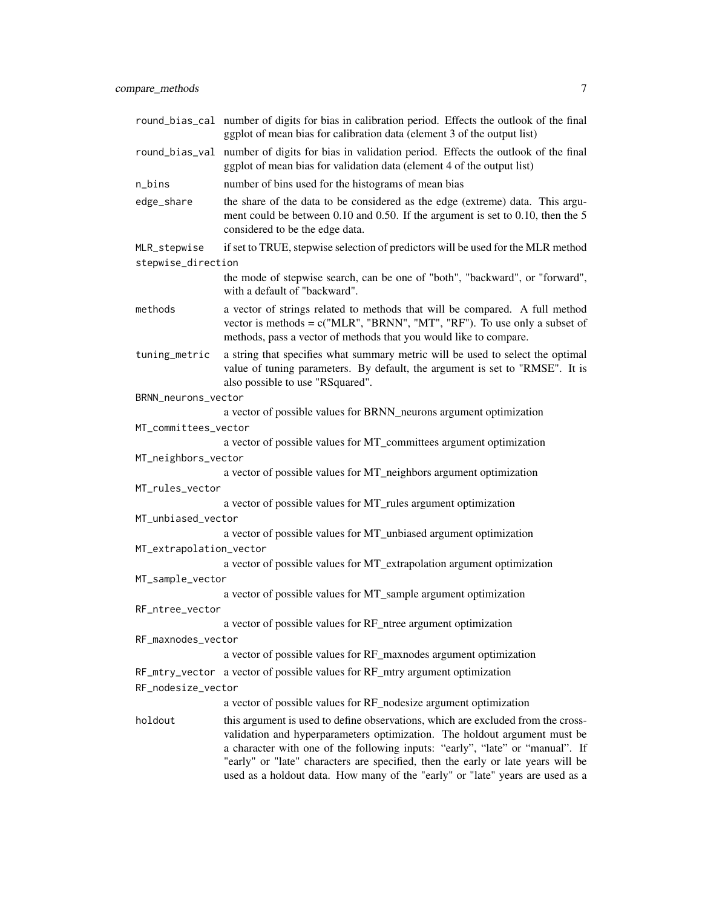|                         | round_bias_cal number of digits for bias in calibration period. Effects the outlook of the final<br>ggplot of mean bias for calibration data (element 3 of the output list)                                                                                                                                                                                                                                         |
|-------------------------|---------------------------------------------------------------------------------------------------------------------------------------------------------------------------------------------------------------------------------------------------------------------------------------------------------------------------------------------------------------------------------------------------------------------|
|                         | round_bias_val number of digits for bias in validation period. Effects the outlook of the final<br>ggplot of mean bias for validation data (element 4 of the output list)                                                                                                                                                                                                                                           |
| n_bins                  | number of bins used for the histograms of mean bias                                                                                                                                                                                                                                                                                                                                                                 |
| edge_share              | the share of the data to be considered as the edge (extreme) data. This argu-<br>ment could be between 0.10 and 0.50. If the argument is set to 0.10, then the 5<br>considered to be the edge data.                                                                                                                                                                                                                 |
| MLR_stepwise            | if set to TRUE, stepwise selection of predictors will be used for the MLR method                                                                                                                                                                                                                                                                                                                                    |
| stepwise_direction      |                                                                                                                                                                                                                                                                                                                                                                                                                     |
|                         | the mode of stepwise search, can be one of "both", "backward", or "forward",<br>with a default of "backward".                                                                                                                                                                                                                                                                                                       |
| methods                 | a vector of strings related to methods that will be compared. A full method<br>vector is methods = $c("MLR", "BRNN", "MT", "RF")$ . To use only a subset of<br>methods, pass a vector of methods that you would like to compare.                                                                                                                                                                                    |
| tuning_metric           | a string that specifies what summary metric will be used to select the optimal<br>value of tuning parameters. By default, the argument is set to "RMSE". It is<br>also possible to use "RSquared".                                                                                                                                                                                                                  |
| BRNN_neurons_vector     |                                                                                                                                                                                                                                                                                                                                                                                                                     |
|                         | a vector of possible values for BRNN_neurons argument optimization                                                                                                                                                                                                                                                                                                                                                  |
| MT_committees_vector    |                                                                                                                                                                                                                                                                                                                                                                                                                     |
|                         | a vector of possible values for MT_committees argument optimization                                                                                                                                                                                                                                                                                                                                                 |
| MT_neighbors_vector     |                                                                                                                                                                                                                                                                                                                                                                                                                     |
|                         | a vector of possible values for MT_neighbors argument optimization                                                                                                                                                                                                                                                                                                                                                  |
| MT_rules_vector         |                                                                                                                                                                                                                                                                                                                                                                                                                     |
|                         | a vector of possible values for MT_rules argument optimization                                                                                                                                                                                                                                                                                                                                                      |
| MT_unbiased_vector      | a vector of possible values for MT_unbiased argument optimization                                                                                                                                                                                                                                                                                                                                                   |
| MT_extrapolation_vector |                                                                                                                                                                                                                                                                                                                                                                                                                     |
|                         | a vector of possible values for MT_extrapolation argument optimization                                                                                                                                                                                                                                                                                                                                              |
| MT_sample_vector        |                                                                                                                                                                                                                                                                                                                                                                                                                     |
|                         | a vector of possible values for MT_sample argument optimization                                                                                                                                                                                                                                                                                                                                                     |
| RF_ntree_vector         |                                                                                                                                                                                                                                                                                                                                                                                                                     |
|                         | a vector of possible values for RF_ntree argument optimization                                                                                                                                                                                                                                                                                                                                                      |
| RF_maxnodes_vector      |                                                                                                                                                                                                                                                                                                                                                                                                                     |
|                         | a vector of possible values for RF_maxnodes argument optimization                                                                                                                                                                                                                                                                                                                                                   |
|                         | RF_mtry_vector a vector of possible values for RF_mtry argument optimization                                                                                                                                                                                                                                                                                                                                        |
| RF_nodesize_vector      |                                                                                                                                                                                                                                                                                                                                                                                                                     |
|                         | a vector of possible values for RF_nodesize argument optimization                                                                                                                                                                                                                                                                                                                                                   |
| holdout                 | this argument is used to define observations, which are excluded from the cross-<br>validation and hyperparameters optimization. The holdout argument must be<br>a character with one of the following inputs: "early", "late" or "manual". If<br>"early" or "late" characters are specified, then the early or late years will be<br>used as a holdout data. How many of the "early" or "late" years are used as a |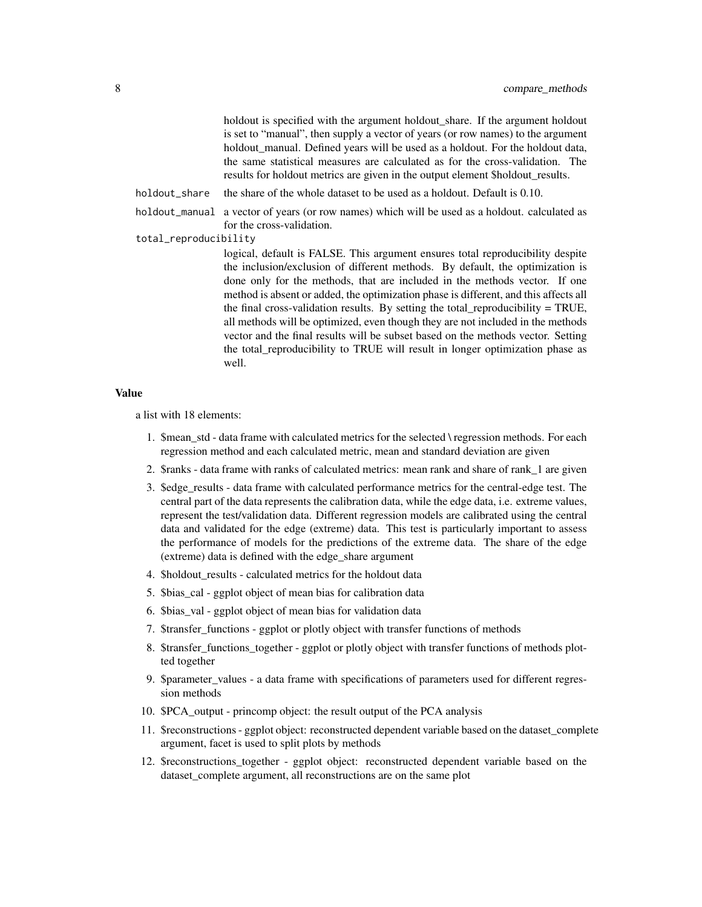holdout is specified with the argument holdout\_share. If the argument holdout is set to "manual", then supply a vector of years (or row names) to the argument holdout manual. Defined years will be used as a holdout. For the holdout data, the same statistical measures are calculated as for the cross-validation. The results for holdout metrics are given in the output element \$holdout\_results.

holdout\_share the share of the whole dataset to be used as a holdout. Default is 0.10.

holdout\_manual a vector of years (or row names) which will be used as a holdout. calculated as for the cross-validation.

# total\_reproducibility

logical, default is FALSE. This argument ensures total reproducibility despite the inclusion/exclusion of different methods. By default, the optimization is done only for the methods, that are included in the methods vector. If one method is absent or added, the optimization phase is different, and this affects all the final cross-validation results. By setting the total reproducibility  $= TRUE$ , all methods will be optimized, even though they are not included in the methods vector and the final results will be subset based on the methods vector. Setting the total\_reproducibility to TRUE will result in longer optimization phase as well.

#### Value

a list with 18 elements:

- 1. \$mean\_std data frame with calculated metrics for the selected \ regression methods. For each regression method and each calculated metric, mean and standard deviation are given
- 2. \$ranks data frame with ranks of calculated metrics: mean rank and share of rank\_1 are given
- 3. \$edge\_results data frame with calculated performance metrics for the central-edge test. The central part of the data represents the calibration data, while the edge data, i.e. extreme values, represent the test/validation data. Different regression models are calibrated using the central data and validated for the edge (extreme) data. This test is particularly important to assess the performance of models for the predictions of the extreme data. The share of the edge (extreme) data is defined with the edge\_share argument
- 4. \$holdout results calculated metrics for the holdout data
- 5. \$bias\_cal ggplot object of mean bias for calibration data
- 6. \$bias\_val ggplot object of mean bias for validation data
- 7. \$transfer\_functions ggplot or plotly object with transfer functions of methods
- 8. \$transfer\_functions\_together ggplot or plotly object with transfer functions of methods plotted together
- 9. \$parameter\_values a data frame with specifications of parameters used for different regression methods
- 10. \$PCA\_output princomp object: the result output of the PCA analysis
- 11. \$reconstructions ggplot object: reconstructed dependent variable based on the dataset\_complete argument, facet is used to split plots by methods
- 12. \$reconstructions\_together ggplot object: reconstructed dependent variable based on the dataset\_complete argument, all reconstructions are on the same plot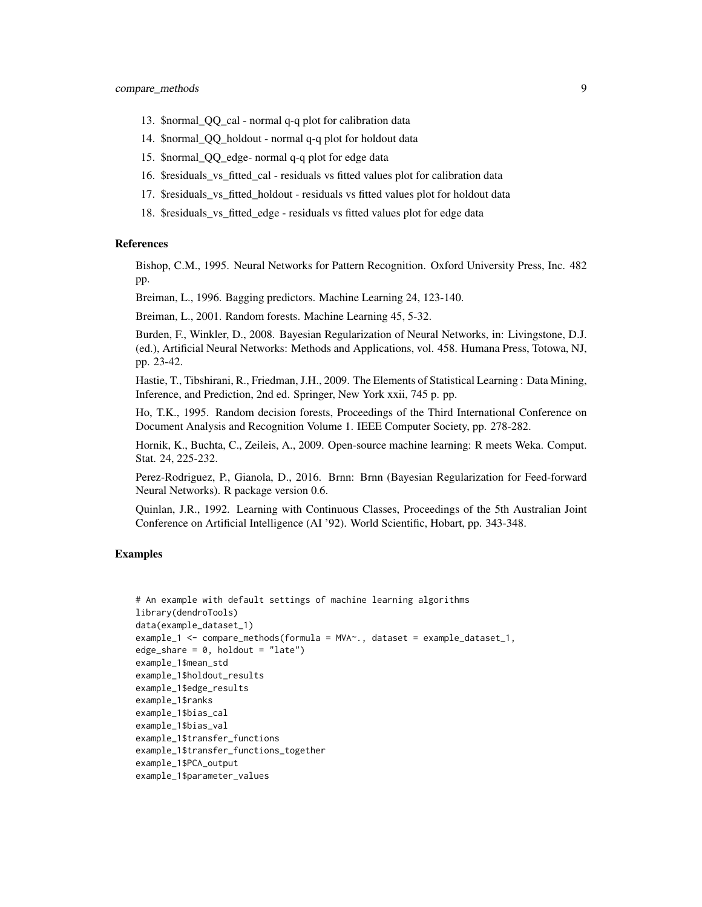- 13. \$normal\_QQ\_cal normal q-q plot for calibration data
- 14. \$normal\_QQ\_holdout normal q-q plot for holdout data
- 15. \$normal\_QQ\_edge- normal q-q plot for edge data
- 16. \$residuals\_vs\_fitted\_cal residuals vs fitted values plot for calibration data
- 17. \$residuals\_vs\_fitted\_holdout residuals vs fitted values plot for holdout data
- 18. \$residuals\_vs\_fitted\_edge residuals vs fitted values plot for edge data

# References

Bishop, C.M., 1995. Neural Networks for Pattern Recognition. Oxford University Press, Inc. 482 pp.

Breiman, L., 1996. Bagging predictors. Machine Learning 24, 123-140.

Breiman, L., 2001. Random forests. Machine Learning 45, 5-32.

Burden, F., Winkler, D., 2008. Bayesian Regularization of Neural Networks, in: Livingstone, D.J. (ed.), Artificial Neural Networks: Methods and Applications, vol. 458. Humana Press, Totowa, NJ, pp. 23-42.

Hastie, T., Tibshirani, R., Friedman, J.H., 2009. The Elements of Statistical Learning : Data Mining, Inference, and Prediction, 2nd ed. Springer, New York xxii, 745 p. pp.

Ho, T.K., 1995. Random decision forests, Proceedings of the Third International Conference on Document Analysis and Recognition Volume 1. IEEE Computer Society, pp. 278-282.

Hornik, K., Buchta, C., Zeileis, A., 2009. Open-source machine learning: R meets Weka. Comput. Stat. 24, 225-232.

Perez-Rodriguez, P., Gianola, D., 2016. Brnn: Brnn (Bayesian Regularization for Feed-forward Neural Networks). R package version 0.6.

Quinlan, J.R., 1992. Learning with Continuous Classes, Proceedings of the 5th Australian Joint Conference on Artificial Intelligence (AI '92). World Scientific, Hobart, pp. 343-348.

# Examples

```
# An example with default settings of machine learning algorithms
library(dendroTools)
data(example_dataset_1)
example_1 <- compare_methods(formula = MVA~., dataset = example_dataset_1,
edge_share = 0, holdout = "late")
example_1$mean_std
example_1$holdout_results
example_1$edge_results
example_1$ranks
example_1$bias_cal
example_1$bias_val
example_1$transfer_functions
example_1$transfer_functions_together
example_1$PCA_output
example_1$parameter_values
```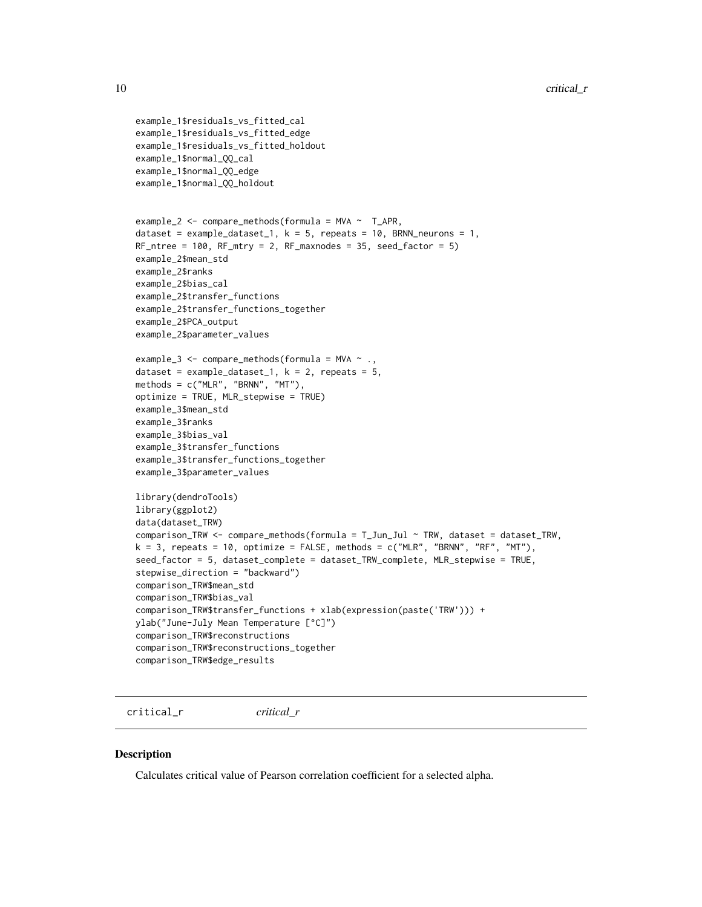```
example_1$residuals_vs_fitted_cal
example_1$residuals_vs_fitted_edge
example_1$residuals_vs_fitted_holdout
example_1$normal_QQ_cal
example_1$normal_QQ_edge
example_1$normal_QQ_holdout
example_2 \leq compare_methods(formula = MVA \sim T_APR,
dataset = example_dataset_1, k = 5, repeats = 10, BRNN_neurons = 1,
RF_ntree = 100, RF_mtry = 2, RF_maxnodes = 35, seed_factor = 5)
example_2$mean_std
example_2$ranks
example_2$bias_cal
example_2$transfer_functions
example_2$transfer_functions_together
example_2$PCA_output
example_2$parameter_values
example_3 <- compare_methods(formula = MVA \sim .,
dataset = example_dataset_1, k = 2, repeats = 5,
methods = c("MLR", "BRNN", "MT"),
optimize = TRUE, MLR_stepwise = TRUE)
example_3$mean_std
example_3$ranks
example_3$bias_val
example_3$transfer_functions
example_3$transfer_functions_together
example_3$parameter_values
library(dendroTools)
library(ggplot2)
data(dataset_TRW)
comparison_TRW <- compare_methods(formula = T_Jun_Jul ~ TRW, dataset = dataset_TRW,
k = 3, repeats = 10, optimize = FALSE, methods = c("MLR", "BRNN", "RF", "MT"),seed_factor = 5, dataset_complete = dataset_TRW_complete, MLR_stepwise = TRUE,
stepwise_direction = "backward")
comparison_TRW$mean_std
comparison_TRW$bias_val
comparison_TRW$transfer_functions + xlab(expression(paste('TRW'))) +
ylab("June-July Mean Temperature [°C]")
comparison_TRW$reconstructions
comparison_TRW$reconstructions_together
comparison_TRW$edge_results
```
critical\_r *critical\_r*

# Description

Calculates critical value of Pearson correlation coefficient for a selected alpha.

<span id="page-9-0"></span>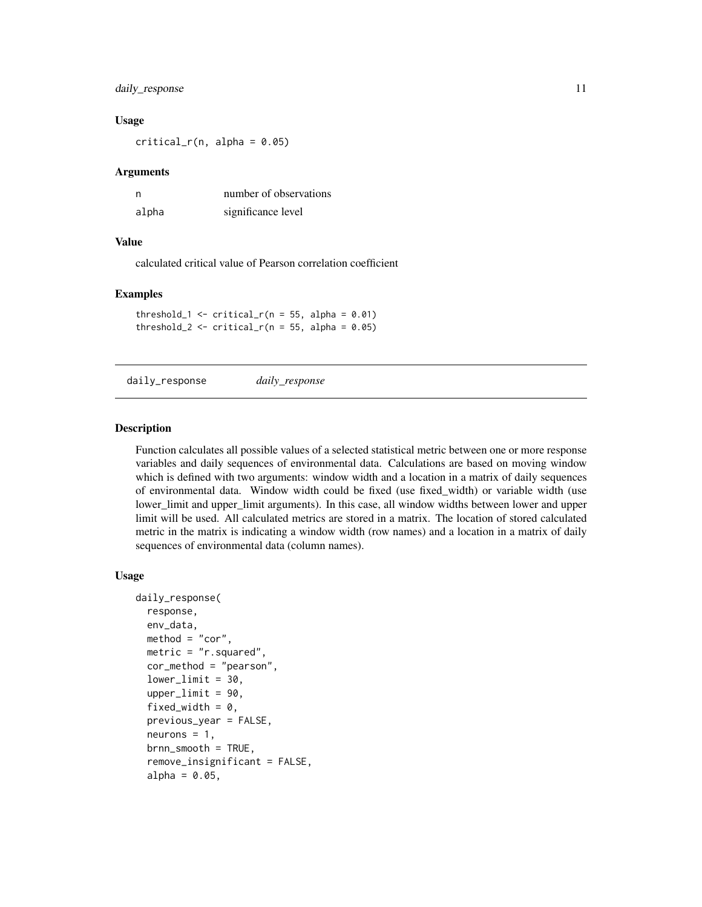# <span id="page-10-0"></span>daily\_response 11

# Usage

 $critical_r(n, alpha = 0.05)$ 

# Arguments

| n     | number of observations |
|-------|------------------------|
| alpha | significance level     |

#### Value

calculated critical value of Pearson correlation coefficient

#### Examples

threshold\_1  $\le$  critical\_r(n = 55, alpha = 0.01) threshold\_2 <- critical\_r( $n = 55$ , alpha = 0.05)

daily\_response *daily\_response*

#### Description

Function calculates all possible values of a selected statistical metric between one or more response variables and daily sequences of environmental data. Calculations are based on moving window which is defined with two arguments: window width and a location in a matrix of daily sequences of environmental data. Window width could be fixed (use fixed\_width) or variable width (use lower limit and upper limit arguments). In this case, all window widths between lower and upper limit will be used. All calculated metrics are stored in a matrix. The location of stored calculated metric in the matrix is indicating a window width (row names) and a location in a matrix of daily sequences of environmental data (column names).

#### Usage

```
daily_response(
  response,
  env_data,
 method = "cor",
 metric = "r.squared",
  cor_method = "pearson",
  lowerlimit = 30,
  upperlimit = 90,
  fixed_width = 0.
  previous_year = FALSE,
  neurons = 1,
  brnn_smooth = TRUE,
  remove_insignificant = FALSE,
  alpha = 0.05,
```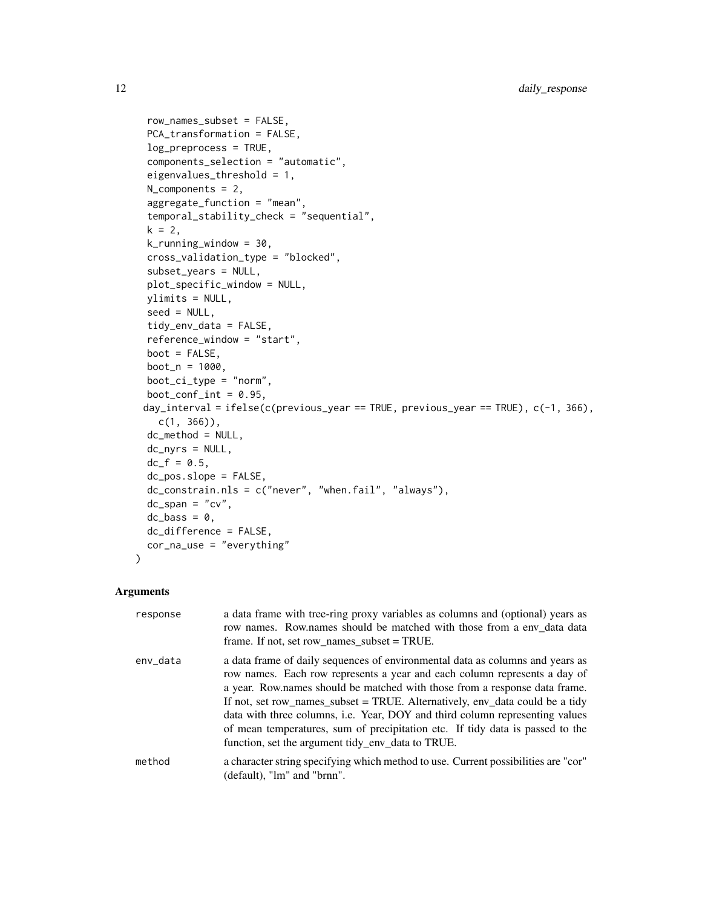```
row_names_subset = FALSE,
 PCA_transformation = FALSE,
  log_preprocess = TRUE,
  components_selection = "automatic",
  eigenvalues_threshold = 1,
 N_components = 2,
  aggregate_function = "mean",
  temporal_stability_check = "sequential",
  k = 2,
  k_running_window = 30,
  cross_validation_type = "blocked",
  subset_years = NULL,
 plot_specific_window = NULL,
 ylimits = NULL,
  seed = NULL,
  tidy_env_data = FALSE,
  reference_window = "start",
 boot = FALSE,
 boot_n = 1000,boot_c_i_type = "norm",boot_conf_int = 0.95,
 day_interval = ifelse(c(previous_year == TRUE, previous_year == TRUE), c(-1, 366),
   c(1, 366)),
 dc_method = NULL,
 dc_nyrs = NULL,
 dc_f = 0.5,
  dc_pos.slope = FALSE,
 dc_constrain.nls = c("never", "when.fail", "always"),
 dc_span = "cv",
 dc_{\text{L}}bass = 0,
 dc_difference = FALSE,
 cor_na_use = "everything"
\mathcal{L}
```
# Arguments

| response | a data frame with tree-ring proxy variables as columns and (optional) years as<br>row names. Row.names should be matched with those from a env_data data<br>frame. If not, set row_names_subset = $TRUE$ .                                                                                                                                                                                                                                                                                                                                     |
|----------|------------------------------------------------------------------------------------------------------------------------------------------------------------------------------------------------------------------------------------------------------------------------------------------------------------------------------------------------------------------------------------------------------------------------------------------------------------------------------------------------------------------------------------------------|
| env_data | a data frame of daily sequences of environmental data as columns and years as<br>row names. Each row represents a year and each column represents a day of<br>a year. Row names should be matched with those from a response data frame.<br>If not, set row_names_subset = TRUE. Alternatively, env_data could be a tidy<br>data with three columns, i.e. Year, DOY and third column representing values<br>of mean temperatures, sum of precipitation etc. If tidy data is passed to the<br>function, set the argument tidy_env_data to TRUE. |
| method   | a character string specifying which method to use. Current possibilities are "cor"<br>(default), "lm" and "brnn".                                                                                                                                                                                                                                                                                                                                                                                                                              |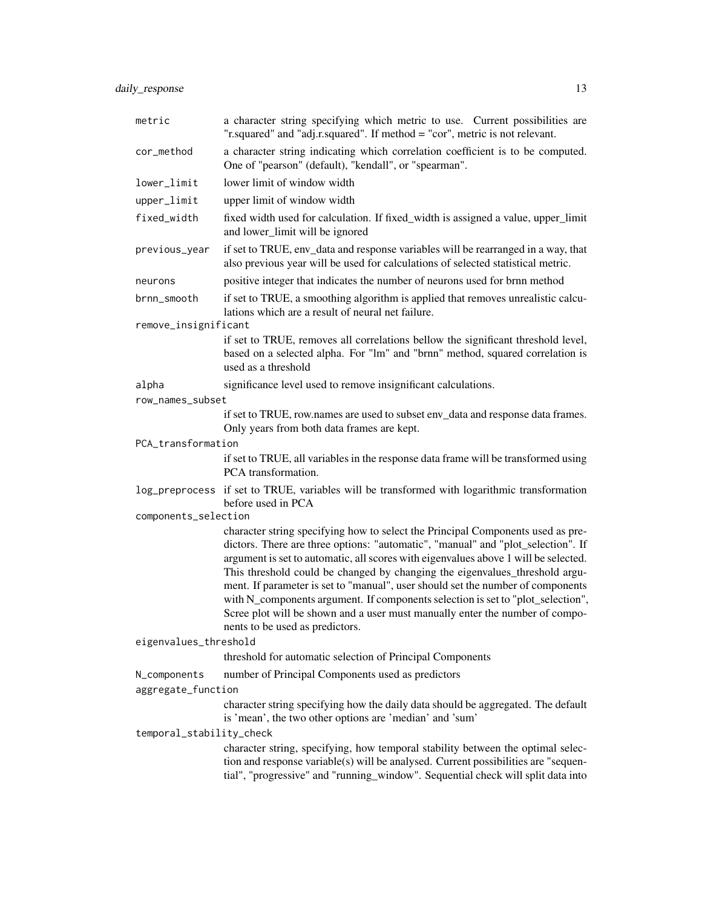daily\_response 13

| metric                   | a character string specifying which metric to use. Current possibilities are<br>"r.squared" and "adj.r.squared". If method = "cor", metric is not relevant.                                                                                                                                                                                                                                                                                                                                                                                                                                                                        |
|--------------------------|------------------------------------------------------------------------------------------------------------------------------------------------------------------------------------------------------------------------------------------------------------------------------------------------------------------------------------------------------------------------------------------------------------------------------------------------------------------------------------------------------------------------------------------------------------------------------------------------------------------------------------|
| cor_method               | a character string indicating which correlation coefficient is to be computed.<br>One of "pearson" (default), "kendall", or "spearman".                                                                                                                                                                                                                                                                                                                                                                                                                                                                                            |
| lower_limit              | lower limit of window width                                                                                                                                                                                                                                                                                                                                                                                                                                                                                                                                                                                                        |
| upper_limit              | upper limit of window width                                                                                                                                                                                                                                                                                                                                                                                                                                                                                                                                                                                                        |
| fixed_width              | fixed width used for calculation. If fixed_width is assigned a value, upper_limit<br>and lower_limit will be ignored                                                                                                                                                                                                                                                                                                                                                                                                                                                                                                               |
| previous_year            | if set to TRUE, env_data and response variables will be rearranged in a way, that<br>also previous year will be used for calculations of selected statistical metric.                                                                                                                                                                                                                                                                                                                                                                                                                                                              |
| neurons                  | positive integer that indicates the number of neurons used for brnn method                                                                                                                                                                                                                                                                                                                                                                                                                                                                                                                                                         |
| brnn_smooth              | if set to TRUE, a smoothing algorithm is applied that removes unrealistic calcu-<br>lations which are a result of neural net failure.                                                                                                                                                                                                                                                                                                                                                                                                                                                                                              |
| remove_insignificant     |                                                                                                                                                                                                                                                                                                                                                                                                                                                                                                                                                                                                                                    |
|                          | if set to TRUE, removes all correlations bellow the significant threshold level,<br>based on a selected alpha. For "lm" and "brnn" method, squared correlation is<br>used as a threshold                                                                                                                                                                                                                                                                                                                                                                                                                                           |
| alpha                    | significance level used to remove insignificant calculations.                                                                                                                                                                                                                                                                                                                                                                                                                                                                                                                                                                      |
| row_names_subset         |                                                                                                                                                                                                                                                                                                                                                                                                                                                                                                                                                                                                                                    |
|                          | if set to TRUE, row.names are used to subset env_data and response data frames.<br>Only years from both data frames are kept.                                                                                                                                                                                                                                                                                                                                                                                                                                                                                                      |
| PCA_transformation       |                                                                                                                                                                                                                                                                                                                                                                                                                                                                                                                                                                                                                                    |
|                          | if set to TRUE, all variables in the response data frame will be transformed using<br>PCA transformation.                                                                                                                                                                                                                                                                                                                                                                                                                                                                                                                          |
| log_preprocess           | if set to TRUE, variables will be transformed with logarithmic transformation<br>before used in PCA                                                                                                                                                                                                                                                                                                                                                                                                                                                                                                                                |
| components_selection     |                                                                                                                                                                                                                                                                                                                                                                                                                                                                                                                                                                                                                                    |
|                          | character string specifying how to select the Principal Components used as pre-<br>dictors. There are three options: "automatic", "manual" and "plot_selection". If<br>argument is set to automatic, all scores with eigenvalues above 1 will be selected.<br>This threshold could be changed by changing the eigenvalues_threshold argu-<br>ment. If parameter is set to "manual", user should set the number of components<br>with N_components argument. If components selection is set to "plot_selection",<br>Scree plot will be shown and a user must manually enter the number of compo-<br>nents to be used as predictors. |
| eigenvalues_threshold    |                                                                                                                                                                                                                                                                                                                                                                                                                                                                                                                                                                                                                                    |
|                          | threshold for automatic selection of Principal Components                                                                                                                                                                                                                                                                                                                                                                                                                                                                                                                                                                          |
| N_components             | number of Principal Components used as predictors                                                                                                                                                                                                                                                                                                                                                                                                                                                                                                                                                                                  |
| aggregate_function       | character string specifying how the daily data should be aggregated. The default                                                                                                                                                                                                                                                                                                                                                                                                                                                                                                                                                   |
| temporal_stability_check | is 'mean', the two other options are 'median' and 'sum'                                                                                                                                                                                                                                                                                                                                                                                                                                                                                                                                                                            |
|                          | character string, specifying, how temporal stability between the optimal selec-<br>tion and response variable(s) will be analysed. Current possibilities are "sequen-<br>tial", "progressive" and "running_window". Sequential check will split data into                                                                                                                                                                                                                                                                                                                                                                          |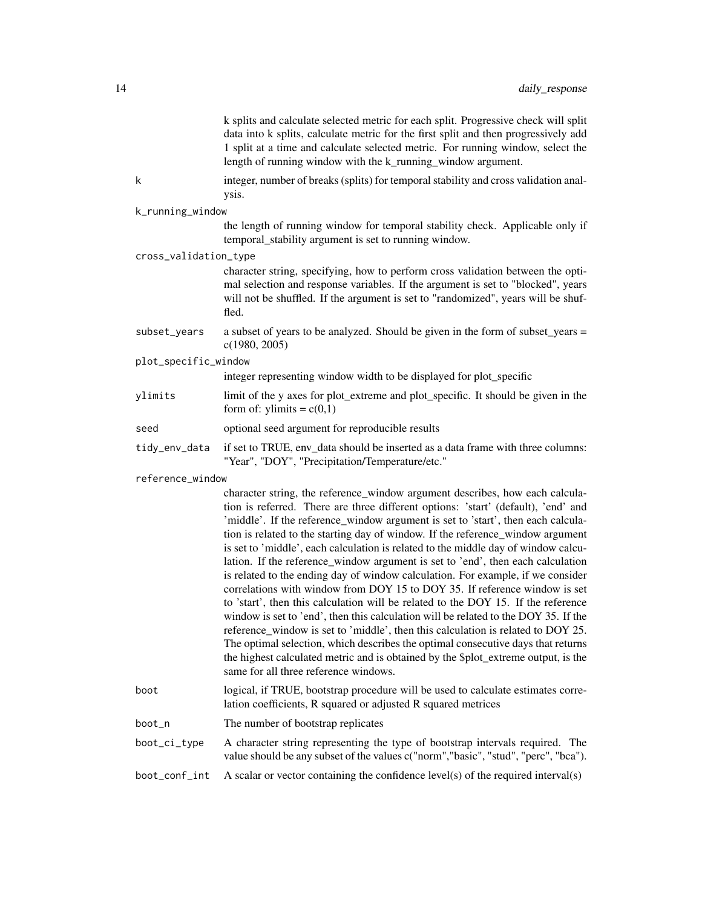|                       | k splits and calculate selected metric for each split. Progressive check will split<br>data into k splits, calculate metric for the first split and then progressively add<br>1 split at a time and calculate selected metric. For running window, select the<br>length of running window with the k_running_window argument.                                                                                                                                                                                                                                                                                                                                                                                                                                                                                                                                                                                                                                                                                                                                                                                                                                         |
|-----------------------|-----------------------------------------------------------------------------------------------------------------------------------------------------------------------------------------------------------------------------------------------------------------------------------------------------------------------------------------------------------------------------------------------------------------------------------------------------------------------------------------------------------------------------------------------------------------------------------------------------------------------------------------------------------------------------------------------------------------------------------------------------------------------------------------------------------------------------------------------------------------------------------------------------------------------------------------------------------------------------------------------------------------------------------------------------------------------------------------------------------------------------------------------------------------------|
| k                     | integer, number of breaks (splits) for temporal stability and cross validation anal-<br>ysis.                                                                                                                                                                                                                                                                                                                                                                                                                                                                                                                                                                                                                                                                                                                                                                                                                                                                                                                                                                                                                                                                         |
| k_running_window      |                                                                                                                                                                                                                                                                                                                                                                                                                                                                                                                                                                                                                                                                                                                                                                                                                                                                                                                                                                                                                                                                                                                                                                       |
|                       | the length of running window for temporal stability check. Applicable only if<br>temporal_stability argument is set to running window.                                                                                                                                                                                                                                                                                                                                                                                                                                                                                                                                                                                                                                                                                                                                                                                                                                                                                                                                                                                                                                |
| cross_validation_type |                                                                                                                                                                                                                                                                                                                                                                                                                                                                                                                                                                                                                                                                                                                                                                                                                                                                                                                                                                                                                                                                                                                                                                       |
|                       | character string, specifying, how to perform cross validation between the opti-<br>mal selection and response variables. If the argument is set to "blocked", years<br>will not be shuffled. If the argument is set to "randomized", years will be shuf-<br>fled.                                                                                                                                                                                                                                                                                                                                                                                                                                                                                                                                                                                                                                                                                                                                                                                                                                                                                                     |
| subset_years          | a subset of years to be analyzed. Should be given in the form of subset_years =<br>c(1980, 2005)                                                                                                                                                                                                                                                                                                                                                                                                                                                                                                                                                                                                                                                                                                                                                                                                                                                                                                                                                                                                                                                                      |
| plot_specific_window  |                                                                                                                                                                                                                                                                                                                                                                                                                                                                                                                                                                                                                                                                                                                                                                                                                                                                                                                                                                                                                                                                                                                                                                       |
|                       | integer representing window width to be displayed for plot_specific                                                                                                                                                                                                                                                                                                                                                                                                                                                                                                                                                                                                                                                                                                                                                                                                                                                                                                                                                                                                                                                                                                   |
| ylimits               | limit of the y axes for plot_extreme and plot_specific. It should be given in the<br>form of: ylimits = $c(0,1)$                                                                                                                                                                                                                                                                                                                                                                                                                                                                                                                                                                                                                                                                                                                                                                                                                                                                                                                                                                                                                                                      |
| seed                  | optional seed argument for reproducible results                                                                                                                                                                                                                                                                                                                                                                                                                                                                                                                                                                                                                                                                                                                                                                                                                                                                                                                                                                                                                                                                                                                       |
| tidy_env_data         | if set to TRUE, env_data should be inserted as a data frame with three columns:<br>"Year", "DOY", "Precipitation/Temperature/etc."                                                                                                                                                                                                                                                                                                                                                                                                                                                                                                                                                                                                                                                                                                                                                                                                                                                                                                                                                                                                                                    |
| reference_window      |                                                                                                                                                                                                                                                                                                                                                                                                                                                                                                                                                                                                                                                                                                                                                                                                                                                                                                                                                                                                                                                                                                                                                                       |
|                       | character string, the reference_window argument describes, how each calcula-<br>tion is referred. There are three different options: 'start' (default), 'end' and<br>'middle'. If the reference_window argument is set to 'start', then each calcula-<br>tion is related to the starting day of window. If the reference_window argument<br>is set to 'middle', each calculation is related to the middle day of window calcu-<br>lation. If the reference_window argument is set to 'end', then each calculation<br>is related to the ending day of window calculation. For example, if we consider<br>correlations with window from DOY 15 to DOY 35. If reference window is set<br>to 'start', then this calculation will be related to the DOY 15. If the reference<br>window is set to 'end', then this calculation will be related to the DOY 35. If the<br>reference_window is set to 'middle', then this calculation is related to DOY 25.<br>The optimal selection, which describes the optimal consecutive days that returns<br>the highest calculated metric and is obtained by the \$plot_extreme output, is the<br>same for all three reference windows. |
| boot                  | logical, if TRUE, bootstrap procedure will be used to calculate estimates corre-<br>lation coefficients, R squared or adjusted R squared metrices                                                                                                                                                                                                                                                                                                                                                                                                                                                                                                                                                                                                                                                                                                                                                                                                                                                                                                                                                                                                                     |
| boot_n                | The number of bootstrap replicates                                                                                                                                                                                                                                                                                                                                                                                                                                                                                                                                                                                                                                                                                                                                                                                                                                                                                                                                                                                                                                                                                                                                    |
| boot_ci_type          | A character string representing the type of bootstrap intervals required. The<br>value should be any subset of the values c("norm","basic", "stud", "perc", "bca").                                                                                                                                                                                                                                                                                                                                                                                                                                                                                                                                                                                                                                                                                                                                                                                                                                                                                                                                                                                                   |
| boot_conf_int         | A scalar or vector containing the confidence $level(s)$ of the required interval(s)                                                                                                                                                                                                                                                                                                                                                                                                                                                                                                                                                                                                                                                                                                                                                                                                                                                                                                                                                                                                                                                                                   |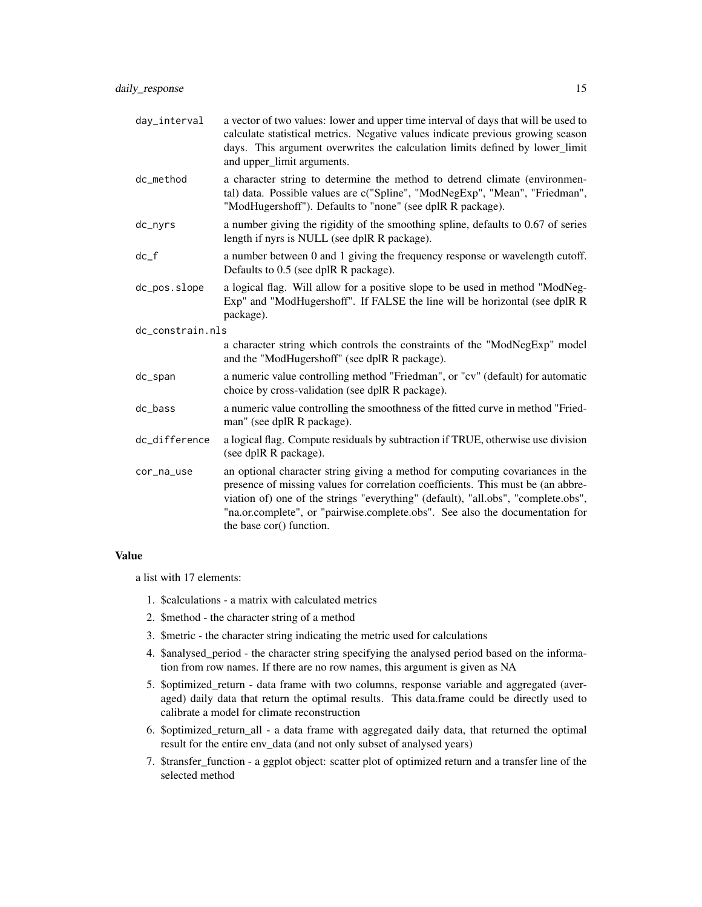| day_interval     | a vector of two values: lower and upper time interval of days that will be used to<br>calculate statistical metrics. Negative values indicate previous growing season<br>days. This argument overwrites the calculation limits defined by lower_limit<br>and upper_limit arguments.                                                                                |
|------------------|--------------------------------------------------------------------------------------------------------------------------------------------------------------------------------------------------------------------------------------------------------------------------------------------------------------------------------------------------------------------|
| dc_method        | a character string to determine the method to detrend climate (environmen-<br>tal) data. Possible values are c("Spline", "ModNegExp", "Mean", "Friedman",<br>"ModHugershoff"). Defaults to "none" (see dplR R package).                                                                                                                                            |
| dc_nyrs          | a number giving the rigidity of the smoothing spline, defaults to 0.67 of series<br>length if nyrs is NULL (see dplR R package).                                                                                                                                                                                                                                   |
| $dc_f$           | a number between 0 and 1 giving the frequency response or wavelength cutoff.<br>Defaults to 0.5 (see dplR R package).                                                                                                                                                                                                                                              |
| dc_pos.slope     | a logical flag. Will allow for a positive slope to be used in method "ModNeg-<br>Exp" and "ModHugershoff". If FALSE the line will be horizontal (see dplR R)<br>package).                                                                                                                                                                                          |
| dc_constrain.nls |                                                                                                                                                                                                                                                                                                                                                                    |
|                  | a character string which controls the constraints of the "ModNegExp" model<br>and the "ModHugershoff" (see dplR R package).                                                                                                                                                                                                                                        |
| dc_span          | a numeric value controlling method "Friedman", or "cv" (default) for automatic<br>choice by cross-validation (see dplR R package).                                                                                                                                                                                                                                 |
| dc_bass          | a numeric value controlling the smoothness of the fitted curve in method "Fried-<br>man" (see dplR R package).                                                                                                                                                                                                                                                     |
| dc_difference    | a logical flag. Compute residuals by subtraction if TRUE, otherwise use division<br>(see dplR R package).                                                                                                                                                                                                                                                          |
| cor_na_use       | an optional character string giving a method for computing covariances in the<br>presence of missing values for correlation coefficients. This must be (an abbre-<br>viation of) one of the strings "everything" (default), "all.obs", "complete.obs",<br>"na.or.complete", or "pairwise.complete.obs". See also the documentation for<br>the base cor() function. |

# Value

a list with 17 elements:

- 1. \$calculations a matrix with calculated metrics
- 2. \$method the character string of a method
- 3. \$metric the character string indicating the metric used for calculations
- 4. \$analysed\_period the character string specifying the analysed period based on the information from row names. If there are no row names, this argument is given as NA
- 5. \$optimized\_return data frame with two columns, response variable and aggregated (averaged) daily data that return the optimal results. This data.frame could be directly used to calibrate a model for climate reconstruction
- 6. \$optimized\_return\_all a data frame with aggregated daily data, that returned the optimal result for the entire env\_data (and not only subset of analysed years)
- 7. \$transfer\_function a ggplot object: scatter plot of optimized return and a transfer line of the selected method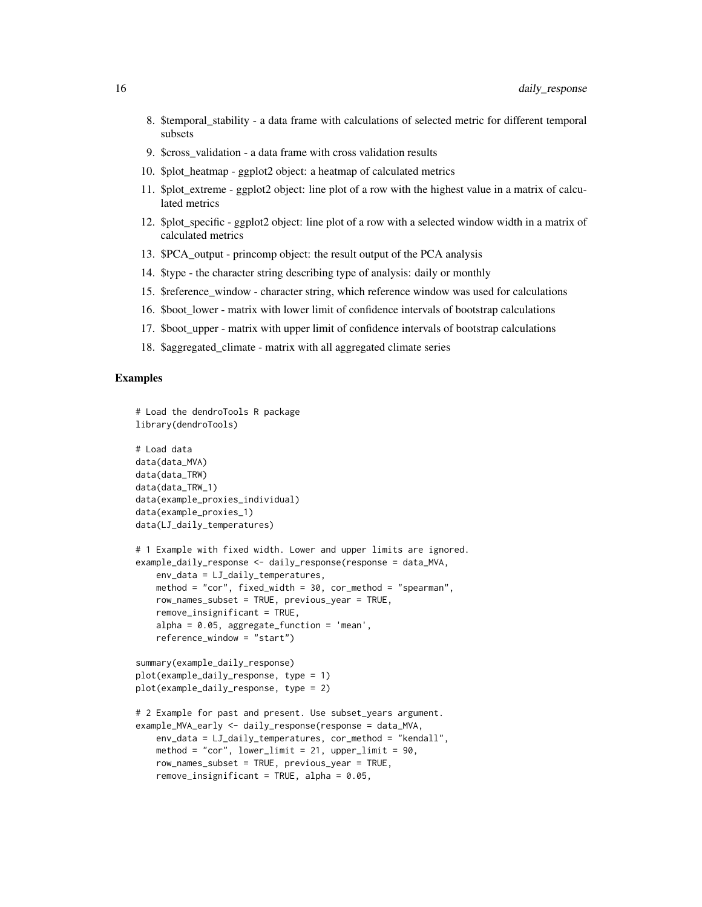- 8. \$temporal\_stability a data frame with calculations of selected metric for different temporal subsets
- 9. \$cross\_validation a data frame with cross validation results
- 10. \$plot\_heatmap ggplot2 object: a heatmap of calculated metrics
- 11. \$plot\_extreme ggplot2 object: line plot of a row with the highest value in a matrix of calculated metrics
- 12. \$plot specific ggplot2 object: line plot of a row with a selected window width in a matrix of calculated metrics
- 13. \$PCA\_output princomp object: the result output of the PCA analysis
- 14. \$type the character string describing type of analysis: daily or monthly
- 15. \$reference\_window character string, which reference window was used for calculations
- 16. \$boot lower matrix with lower limit of confidence intervals of bootstrap calculations
- 17. \$boot upper matrix with upper limit of confidence intervals of bootstrap calculations
- 18. \$aggregated\_climate matrix with all aggregated climate series

# Examples

# Load the dendroTools R package

```
library(dendroTools)
# Load data
data(data_MVA)
data(data_TRW)
data(data_TRW_1)
data(example_proxies_individual)
data(example_proxies_1)
data(LJ_daily_temperatures)
# 1 Example with fixed width. Lower and upper limits are ignored.
example_daily_response <- daily_response(response = data_MVA,
    env_data = LJ_daily_temperatures,
   method = "cor", fixed_width = 30, cor_method = "spearman",
   row_names_subset = TRUE, previous_year = TRUE,
    remove_insignificant = TRUE,
    alpha = 0.05, aggregate_function = 'mean',
    reference_window = "start")
summary(example_daily_response)
plot(example_daily_response, type = 1)
plot(example_daily_response, type = 2)
# 2 Example for past and present. Use subset_years argument.
example_MVA_early <- daily_response(response = data_MVA,
    env_data = LJ_daily_temperatures, cor_method = "kendall",
   method = "cor", lower_limit = 21, upper_limit = 90,
   row_names_subset = TRUE, previous_year = TRUE,
   remove_insignificant = TRUE, alpha = 0.05,
```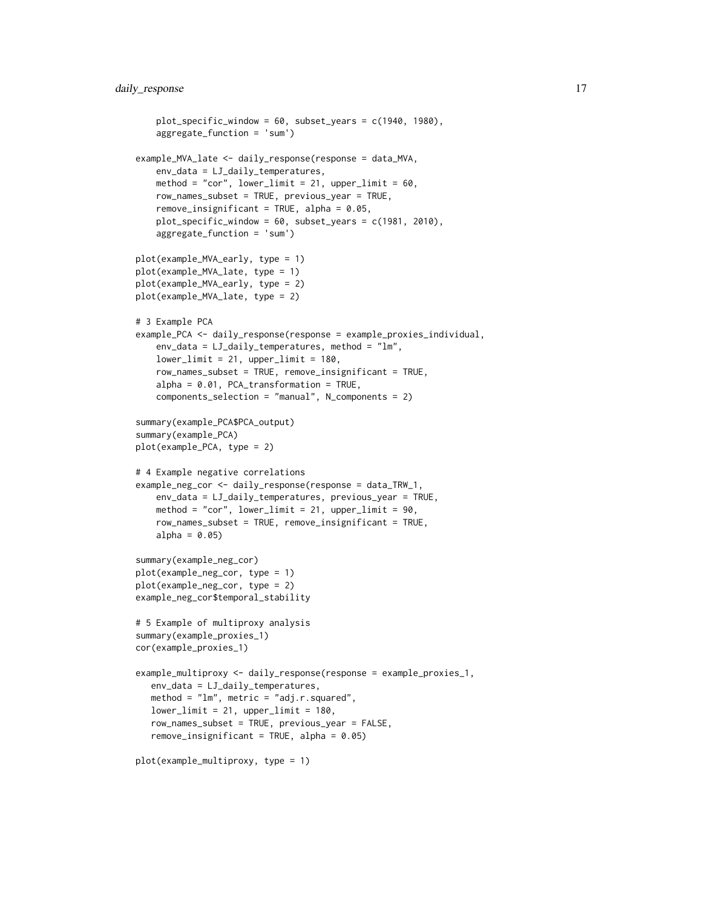```
plot_specific_window = 60, subset_years = c(1940, 1980),
    aggregate_function = 'sum')
example_MVA_late <- daily_response(response = data_MVA,
   env_data = LJ_daily_temperatures,
   method = "cor", lower_limit = 21, upper_limit = 60,
   row_names_subset = TRUE, previous_year = TRUE,
    remove_insignificant = TRUE, alpha = 0.05,
   plot_specific_window = 60, subset_years = c(1981, 2010),
    aggregate_function = 'sum')
plot(example_MVA_early, type = 1)
plot(example_MVA_late, type = 1)
plot(example_MVA_early, type = 2)
plot(example_MVA_late, type = 2)
# 3 Example PCA
example_PCA <- daily_response(response = example_proxies_individual,
    env_data = LJ_daily_temperatures, method = "lm",
    lower\_limit = 21, upper_limit = 180,
    row_names_subset = TRUE, remove_insignificant = TRUE,
    alpha = 0.01, PCA_transformation = TRUE,
    components_selection = "manual", N_components = 2)
summary(example_PCA$PCA_output)
summary(example_PCA)
plot(example_PCA, type = 2)
# 4 Example negative correlations
example_neg_cor <- daily_response(response = data_TRW_1,
    env_data = LJ_daily_temperatures, previous_year = TRUE,
   method = "cor", lower_limit = 21, upper_limit = 90,
    row_names_subset = TRUE, remove_insignificant = TRUE,
    alpha = 0.05)
summary(example_neg_cor)
plot(example_neg_cor, type = 1)
plot(example_neg_cor, type = 2)
example_neg_cor$temporal_stability
# 5 Example of multiproxy analysis
summary(example_proxies_1)
cor(example_proxies_1)
example_multiproxy <- daily_response(response = example_proxies_1,
   env_data = LJ_daily_temperatures,
  method = "lm", metric = "adj.r.squared",
   lowerlimit = 21, upper_limit = 180,
  row_names_subset = TRUE, previous_year = FALSE,
   remove_insignificant = TRUE, alpha = 0.05)
plot(example_multiproxy, type = 1)
```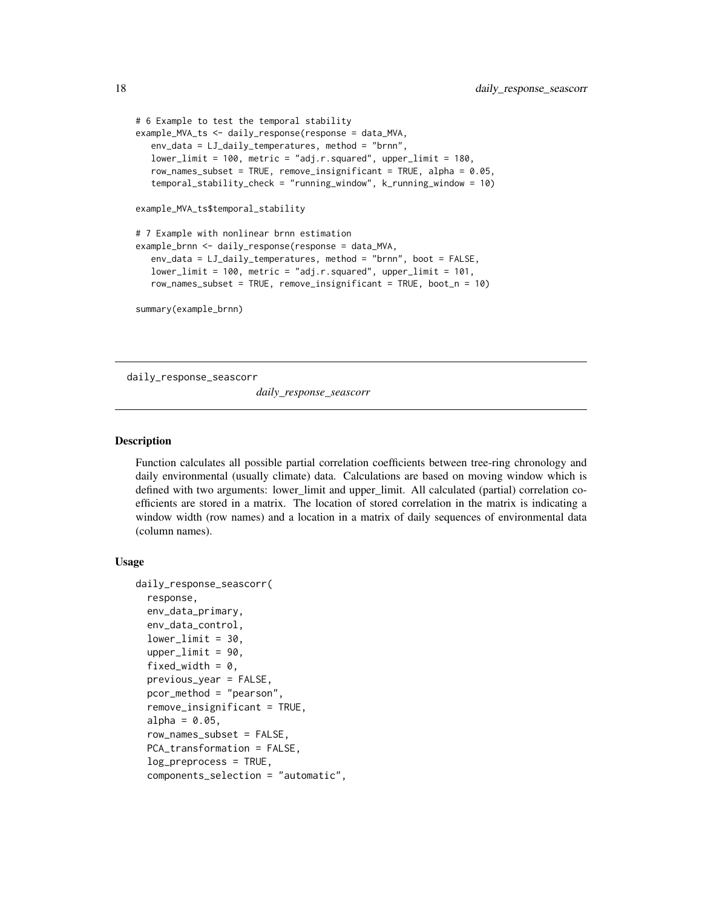```
# 6 Example to test the temporal stability
example_MVA_ts <- daily_response(response = data_MVA,
   env_data = LJ_daily_temperatures, method = "brnn",
  lower\_limit = 100, metric = "adj.r.squared", upper_limit = 180,
  row_names_subset = TRUE, remove_insignificant = TRUE, alpha = 0.05,
   temporal_stability_check = "running_window", k_running_window = 10)
example_MVA_ts$temporal_stability
# 7 Example with nonlinear brnn estimation
example_brnn <- daily_response(response = data_MVA,
   env_data = LJ_daily_temperatures, method = "brnn", boot = FALSE,
  lower_limit = 100, metric = "adj.r.squared", upper_limit = 101,
   row_names_subset = TRUE, remove_insignificant = TRUE, boot_n = 10)
summary(example_brnn)
```
daily\_response\_seascorr

*daily\_response\_seascorr*

# Description

Function calculates all possible partial correlation coefficients between tree-ring chronology and daily environmental (usually climate) data. Calculations are based on moving window which is defined with two arguments: lower\_limit and upper\_limit. All calculated (partial) correlation coefficients are stored in a matrix. The location of stored correlation in the matrix is indicating a window width (row names) and a location in a matrix of daily sequences of environmental data (column names).

# Usage

```
daily_response_seascorr(
  response,
 env_data_primary,
  env_data_control,
  lowerlimit = 30,
  upperlimit = 90,
  fixed_width = 0,
  previous_year = FALSE,
 pcor_method = "pearson",
  remove_insignificant = TRUE,
  alpha = 0.05,
  row_names_subset = FALSE,
  PCA_transformation = FALSE,
  log_preprocess = TRUE,
  components_selection = "automatic",
```
<span id="page-17-0"></span>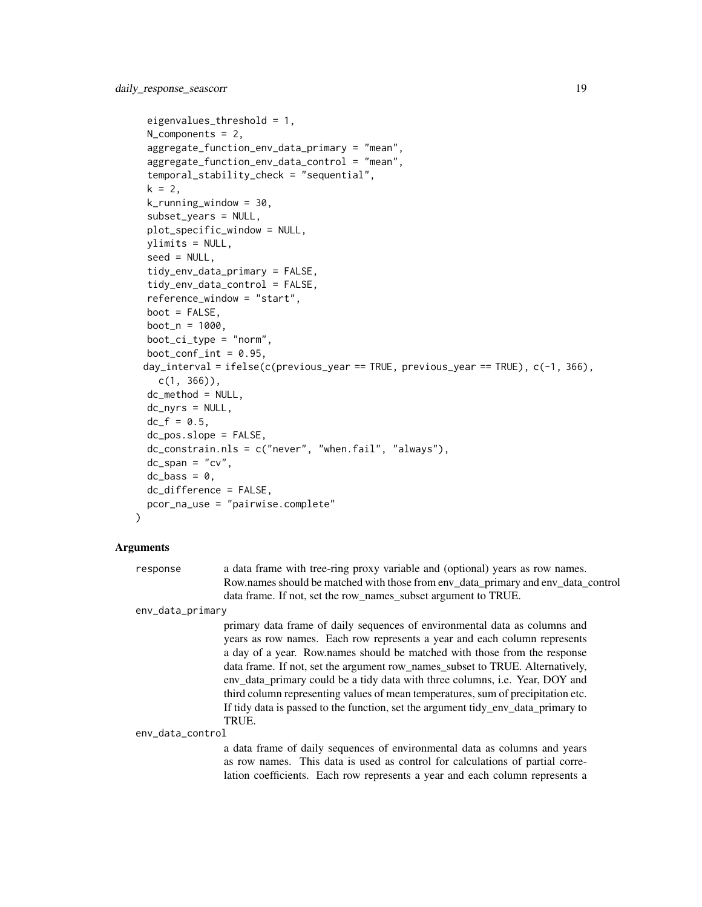```
eigenvalues_threshold = 1,
N_components = 2,
aggregate_function_env_data_primary = "mean",
aggregate_function_env_data_control = "mean",
temporal_stability_check = "sequential",
k = 2,k_running_window = 30,
subset_years = NULL,
plot_specific_window = NULL,
ylimits = NULL,
seed = NULL,
tidy_env_data_primary = FALSE,
tidy_env_data_control = FALSE,
reference_window = "start",
boot = FALSE,boot_n = 1000,boot_ci_type = "norm",
boot_conf_int = 0.95,
day_interval = ifelse(c(previous_year == TRUE, previous_year == TRUE), c(-1, 366),
  c(1, 366),
dc_method = NULL,
dc_nyrs = NULL,
dc_f = 0.5,
dc_pos.slope = FALSE,
dc_constrain.nls = c("never", "when.fail", "always"),
dc_span = "cv",dc_{\text{L}}bass = 0,
dc_difference = FALSE,
pcor_na_use = "pairwise.complete"
```
## Arguments

)

response a data frame with tree-ring proxy variable and (optional) years as row names. Row.names should be matched with those from env\_data\_primary and env\_data\_control data frame. If not, set the row\_names\_subset argument to TRUE.

env\_data\_primary

primary data frame of daily sequences of environmental data as columns and years as row names. Each row represents a year and each column represents a day of a year. Row.names should be matched with those from the response data frame. If not, set the argument row\_names\_subset to TRUE. Alternatively, env\_data\_primary could be a tidy data with three columns, i.e. Year, DOY and third column representing values of mean temperatures, sum of precipitation etc. If tidy data is passed to the function, set the argument tidy\_env\_data\_primary to TRUE.

env\_data\_control

a data frame of daily sequences of environmental data as columns and years as row names. This data is used as control for calculations of partial correlation coefficients. Each row represents a year and each column represents a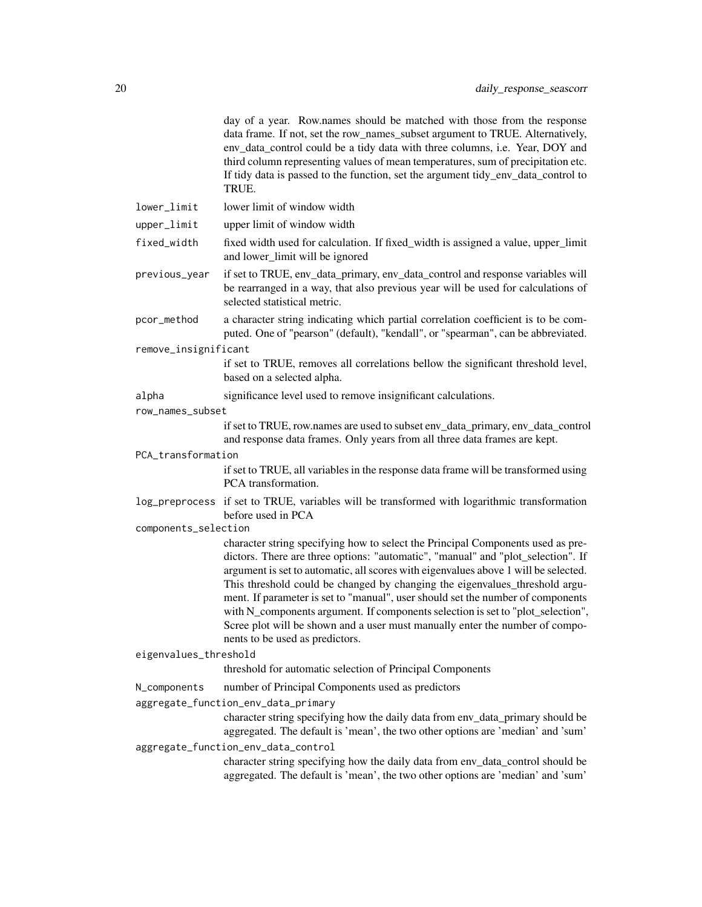|                       | day of a year. Row.names should be matched with those from the response<br>data frame. If not, set the row_names_subset argument to TRUE. Alternatively,<br>env_data_control could be a tidy data with three columns, i.e. Year, DOY and<br>third column representing values of mean temperatures, sum of precipitation etc.<br>If tidy data is passed to the function, set the argument tidy_env_data_control to<br>TRUE.                                                                                                                                                                                                         |
|-----------------------|------------------------------------------------------------------------------------------------------------------------------------------------------------------------------------------------------------------------------------------------------------------------------------------------------------------------------------------------------------------------------------------------------------------------------------------------------------------------------------------------------------------------------------------------------------------------------------------------------------------------------------|
| lower_limit           | lower limit of window width                                                                                                                                                                                                                                                                                                                                                                                                                                                                                                                                                                                                        |
| upper_limit           | upper limit of window width                                                                                                                                                                                                                                                                                                                                                                                                                                                                                                                                                                                                        |
| fixed_width           | fixed width used for calculation. If fixed_width is assigned a value, upper_limit<br>and lower_limit will be ignored                                                                                                                                                                                                                                                                                                                                                                                                                                                                                                               |
| previous_year         | if set to TRUE, env_data_primary, env_data_control and response variables will<br>be rearranged in a way, that also previous year will be used for calculations of<br>selected statistical metric.                                                                                                                                                                                                                                                                                                                                                                                                                                 |
| pcor_method           | a character string indicating which partial correlation coefficient is to be com-<br>puted. One of "pearson" (default), "kendall", or "spearman", can be abbreviated.                                                                                                                                                                                                                                                                                                                                                                                                                                                              |
| remove_insignificant  |                                                                                                                                                                                                                                                                                                                                                                                                                                                                                                                                                                                                                                    |
|                       | if set to TRUE, removes all correlations bellow the significant threshold level,<br>based on a selected alpha.                                                                                                                                                                                                                                                                                                                                                                                                                                                                                                                     |
| alpha                 | significance level used to remove insignificant calculations.                                                                                                                                                                                                                                                                                                                                                                                                                                                                                                                                                                      |
| row_names_subset      |                                                                                                                                                                                                                                                                                                                                                                                                                                                                                                                                                                                                                                    |
|                       | if set to TRUE, row.names are used to subset env_data_primary, env_data_control<br>and response data frames. Only years from all three data frames are kept.                                                                                                                                                                                                                                                                                                                                                                                                                                                                       |
| PCA_transformation    |                                                                                                                                                                                                                                                                                                                                                                                                                                                                                                                                                                                                                                    |
|                       | if set to TRUE, all variables in the response data frame will be transformed using<br>PCA transformation.                                                                                                                                                                                                                                                                                                                                                                                                                                                                                                                          |
|                       | log_preprocess if set to TRUE, variables will be transformed with logarithmic transformation<br>before used in PCA                                                                                                                                                                                                                                                                                                                                                                                                                                                                                                                 |
| components_selection  |                                                                                                                                                                                                                                                                                                                                                                                                                                                                                                                                                                                                                                    |
|                       | character string specifying how to select the Principal Components used as pre-<br>dictors. There are three options: "automatic", "manual" and "plot_selection". If<br>argument is set to automatic, all scores with eigenvalues above 1 will be selected.<br>This threshold could be changed by changing the eigenvalues_threshold argu-<br>ment. If parameter is set to "manual", user should set the number of components<br>with N_components argument. If components selection is set to "plot_selection",<br>Scree plot will be shown and a user must manually enter the number of compo-<br>nents to be used as predictors. |
| eigenvalues_threshold |                                                                                                                                                                                                                                                                                                                                                                                                                                                                                                                                                                                                                                    |
|                       | threshold for automatic selection of Principal Components                                                                                                                                                                                                                                                                                                                                                                                                                                                                                                                                                                          |
| N_components          | number of Principal Components used as predictors                                                                                                                                                                                                                                                                                                                                                                                                                                                                                                                                                                                  |
|                       | aggregate_function_env_data_primary                                                                                                                                                                                                                                                                                                                                                                                                                                                                                                                                                                                                |
|                       | character string specifying how the daily data from env_data_primary should be<br>aggregated. The default is 'mean', the two other options are 'median' and 'sum'                                                                                                                                                                                                                                                                                                                                                                                                                                                                  |
|                       | aggregate_function_env_data_control                                                                                                                                                                                                                                                                                                                                                                                                                                                                                                                                                                                                |
|                       | character string specifying how the daily data from env_data_control should be<br>aggregated. The default is 'mean', the two other options are 'median' and 'sum'                                                                                                                                                                                                                                                                                                                                                                                                                                                                  |
|                       |                                                                                                                                                                                                                                                                                                                                                                                                                                                                                                                                                                                                                                    |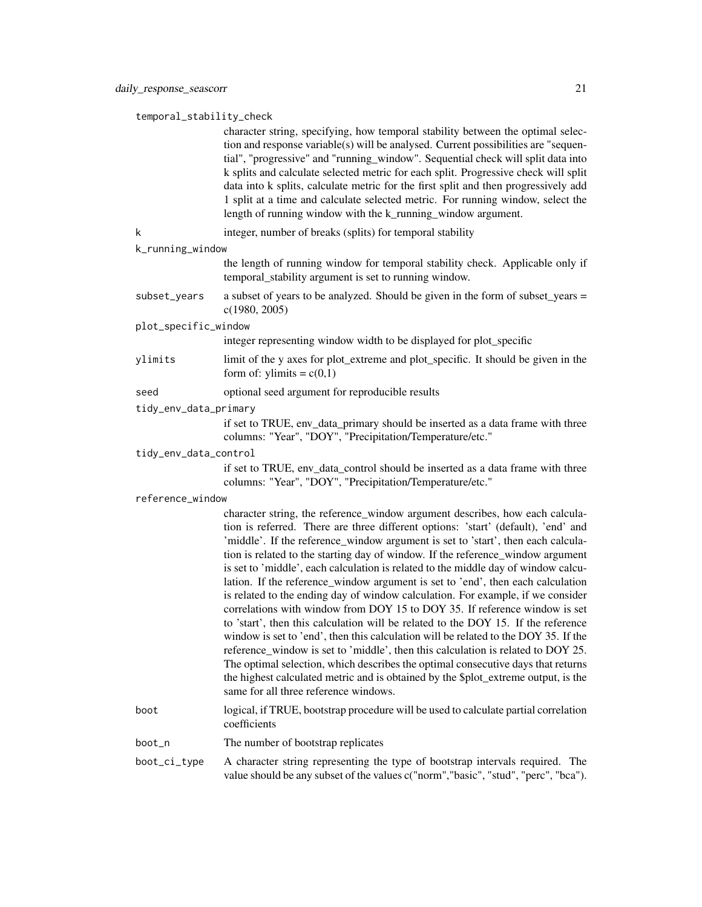temporal\_stability\_check

|                       | character string, specifying, how temporal stability between the optimal selec-<br>tion and response variable(s) will be analysed. Current possibilities are "sequen-<br>tial", "progressive" and "running_window". Sequential check will split data into<br>k splits and calculate selected metric for each split. Progressive check will split<br>data into k splits, calculate metric for the first split and then progressively add<br>1 split at a time and calculate selected metric. For running window, select the<br>length of running window with the k_running_window argument.                                                                                                                                                                                                                                                                                                                                                                                                                                                                                                                                                                            |
|-----------------------|-----------------------------------------------------------------------------------------------------------------------------------------------------------------------------------------------------------------------------------------------------------------------------------------------------------------------------------------------------------------------------------------------------------------------------------------------------------------------------------------------------------------------------------------------------------------------------------------------------------------------------------------------------------------------------------------------------------------------------------------------------------------------------------------------------------------------------------------------------------------------------------------------------------------------------------------------------------------------------------------------------------------------------------------------------------------------------------------------------------------------------------------------------------------------|
| k                     | integer, number of breaks (splits) for temporal stability                                                                                                                                                                                                                                                                                                                                                                                                                                                                                                                                                                                                                                                                                                                                                                                                                                                                                                                                                                                                                                                                                                             |
| k_running_window      |                                                                                                                                                                                                                                                                                                                                                                                                                                                                                                                                                                                                                                                                                                                                                                                                                                                                                                                                                                                                                                                                                                                                                                       |
|                       | the length of running window for temporal stability check. Applicable only if<br>temporal_stability argument is set to running window.                                                                                                                                                                                                                                                                                                                                                                                                                                                                                                                                                                                                                                                                                                                                                                                                                                                                                                                                                                                                                                |
| subset_years          | a subset of years to be analyzed. Should be given in the form of subset_years =<br>c(1980, 2005)                                                                                                                                                                                                                                                                                                                                                                                                                                                                                                                                                                                                                                                                                                                                                                                                                                                                                                                                                                                                                                                                      |
| plot_specific_window  |                                                                                                                                                                                                                                                                                                                                                                                                                                                                                                                                                                                                                                                                                                                                                                                                                                                                                                                                                                                                                                                                                                                                                                       |
|                       | integer representing window width to be displayed for plot_specific                                                                                                                                                                                                                                                                                                                                                                                                                                                                                                                                                                                                                                                                                                                                                                                                                                                                                                                                                                                                                                                                                                   |
| ylimits               | limit of the y axes for plot_extreme and plot_specific. It should be given in the<br>form of: ylimits = $c(0,1)$                                                                                                                                                                                                                                                                                                                                                                                                                                                                                                                                                                                                                                                                                                                                                                                                                                                                                                                                                                                                                                                      |
| seed                  | optional seed argument for reproducible results                                                                                                                                                                                                                                                                                                                                                                                                                                                                                                                                                                                                                                                                                                                                                                                                                                                                                                                                                                                                                                                                                                                       |
| tidy_env_data_primary |                                                                                                                                                                                                                                                                                                                                                                                                                                                                                                                                                                                                                                                                                                                                                                                                                                                                                                                                                                                                                                                                                                                                                                       |
|                       | if set to TRUE, env_data_primary should be inserted as a data frame with three<br>columns: "Year", "DOY", "Precipitation/Temperature/etc."                                                                                                                                                                                                                                                                                                                                                                                                                                                                                                                                                                                                                                                                                                                                                                                                                                                                                                                                                                                                                            |
| tidy_env_data_control |                                                                                                                                                                                                                                                                                                                                                                                                                                                                                                                                                                                                                                                                                                                                                                                                                                                                                                                                                                                                                                                                                                                                                                       |
|                       | if set to TRUE, env_data_control should be inserted as a data frame with three<br>columns: "Year", "DOY", "Precipitation/Temperature/etc."                                                                                                                                                                                                                                                                                                                                                                                                                                                                                                                                                                                                                                                                                                                                                                                                                                                                                                                                                                                                                            |
| reference_window      |                                                                                                                                                                                                                                                                                                                                                                                                                                                                                                                                                                                                                                                                                                                                                                                                                                                                                                                                                                                                                                                                                                                                                                       |
|                       | character string, the reference_window argument describes, how each calcula-<br>tion is referred. There are three different options: 'start' (default), 'end' and<br>'middle'. If the reference_window argument is set to 'start', then each calcula-<br>tion is related to the starting day of window. If the reference_window argument<br>is set to 'middle', each calculation is related to the middle day of window calcu-<br>lation. If the reference_window argument is set to 'end', then each calculation<br>is related to the ending day of window calculation. For example, if we consider<br>correlations with window from DOY 15 to DOY 35. If reference window is set<br>to 'start', then this calculation will be related to the DOY 15. If the reference<br>window is set to 'end', then this calculation will be related to the DOY 35. If the<br>reference_window is set to 'middle', then this calculation is related to DOY 25.<br>The optimal selection, which describes the optimal consecutive days that returns<br>the highest calculated metric and is obtained by the \$plot_extreme output, is the<br>same for all three reference windows. |
| boot                  | logical, if TRUE, bootstrap procedure will be used to calculate partial correlation<br>coefficients                                                                                                                                                                                                                                                                                                                                                                                                                                                                                                                                                                                                                                                                                                                                                                                                                                                                                                                                                                                                                                                                   |
| boot_n                | The number of bootstrap replicates                                                                                                                                                                                                                                                                                                                                                                                                                                                                                                                                                                                                                                                                                                                                                                                                                                                                                                                                                                                                                                                                                                                                    |
| boot_ci_type          | A character string representing the type of bootstrap intervals required. The<br>value should be any subset of the values c("norm","basic", "stud", "perc", "bca").                                                                                                                                                                                                                                                                                                                                                                                                                                                                                                                                                                                                                                                                                                                                                                                                                                                                                                                                                                                                   |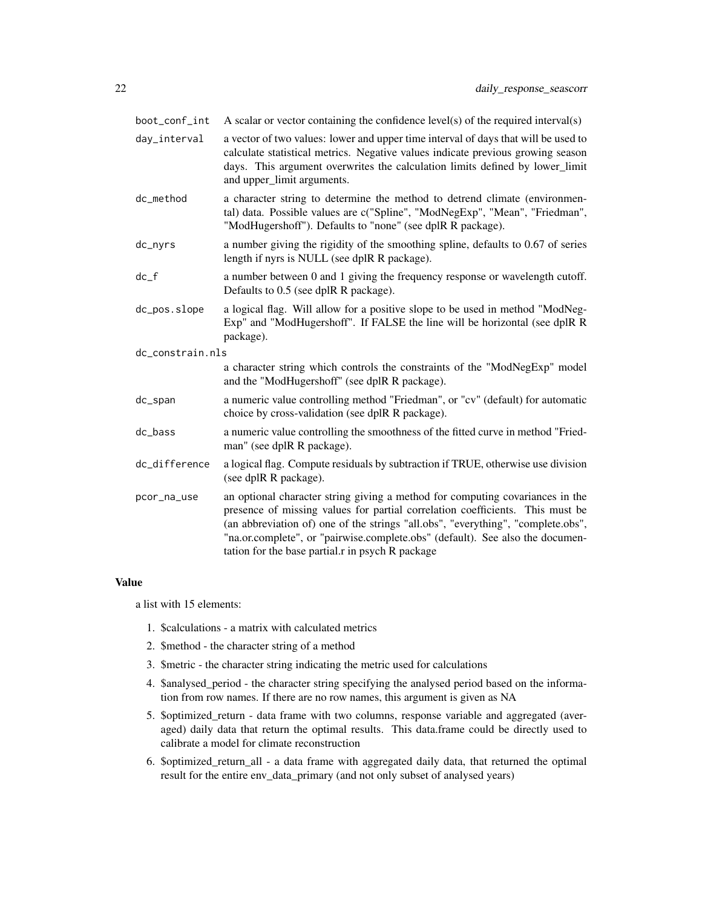| boot_conf_int      | A scalar or vector containing the confidence level(s) of the required interval(s)                                                                                                                                                                                                                                                                                                       |
|--------------------|-----------------------------------------------------------------------------------------------------------------------------------------------------------------------------------------------------------------------------------------------------------------------------------------------------------------------------------------------------------------------------------------|
| day_interval       | a vector of two values: lower and upper time interval of days that will be used to<br>calculate statistical metrics. Negative values indicate previous growing season<br>days. This argument overwrites the calculation limits defined by lower_limit<br>and upper_limit arguments.                                                                                                     |
| dc_method          | a character string to determine the method to detrend climate (environmen-<br>tal) data. Possible values are c("Spline", "ModNegExp", "Mean", "Friedman",<br>"ModHugershoff"). Defaults to "none" (see dplR R package).                                                                                                                                                                 |
| dc_nyrs            | a number giving the rigidity of the smoothing spline, defaults to 0.67 of series<br>length if nyrs is NULL (see dplR R package).                                                                                                                                                                                                                                                        |
| $dc$ <sub>-f</sub> | a number between 0 and 1 giving the frequency response or wavelength cutoff.<br>Defaults to 0.5 (see dplR R package).                                                                                                                                                                                                                                                                   |
| dc_pos.slope       | a logical flag. Will allow for a positive slope to be used in method "ModNeg-<br>Exp" and "ModHugershoff". If FALSE the line will be horizontal (see dplR R<br>package).                                                                                                                                                                                                                |
| dc constrain.nls   |                                                                                                                                                                                                                                                                                                                                                                                         |
|                    | a character string which controls the constraints of the "ModNegExp" model<br>and the "ModHugershoff" (see dplR R package).                                                                                                                                                                                                                                                             |
| dc_span            | a numeric value controlling method "Friedman", or "cv" (default) for automatic<br>choice by cross-validation (see dplR R package).                                                                                                                                                                                                                                                      |
| dc_bass            | a numeric value controlling the smoothness of the fitted curve in method "Fried-<br>man" (see dplR R package).                                                                                                                                                                                                                                                                          |
| dc_difference      | a logical flag. Compute residuals by subtraction if TRUE, otherwise use division<br>(see dplR R package).                                                                                                                                                                                                                                                                               |
| pcor_na_use        | an optional character string giving a method for computing covariances in the<br>presence of missing values for partial correlation coefficients. This must be<br>(an abbreviation of) one of the strings "all.obs", "everything", "complete.obs",<br>"na.or.complete", or "pairwise.complete.obs" (default). See also the documen-<br>tation for the base partial.r in psych R package |

#### Value

a list with 15 elements:

- 1. \$calculations a matrix with calculated metrics
- 2. \$method the character string of a method
- 3. \$metric the character string indicating the metric used for calculations
- 4. \$analysed\_period the character string specifying the analysed period based on the information from row names. If there are no row names, this argument is given as NA
- 5. \$optimized\_return data frame with two columns, response variable and aggregated (averaged) daily data that return the optimal results. This data.frame could be directly used to calibrate a model for climate reconstruction
- 6. \$optimized\_return\_all a data frame with aggregated daily data, that returned the optimal result for the entire env\_data\_primary (and not only subset of analysed years)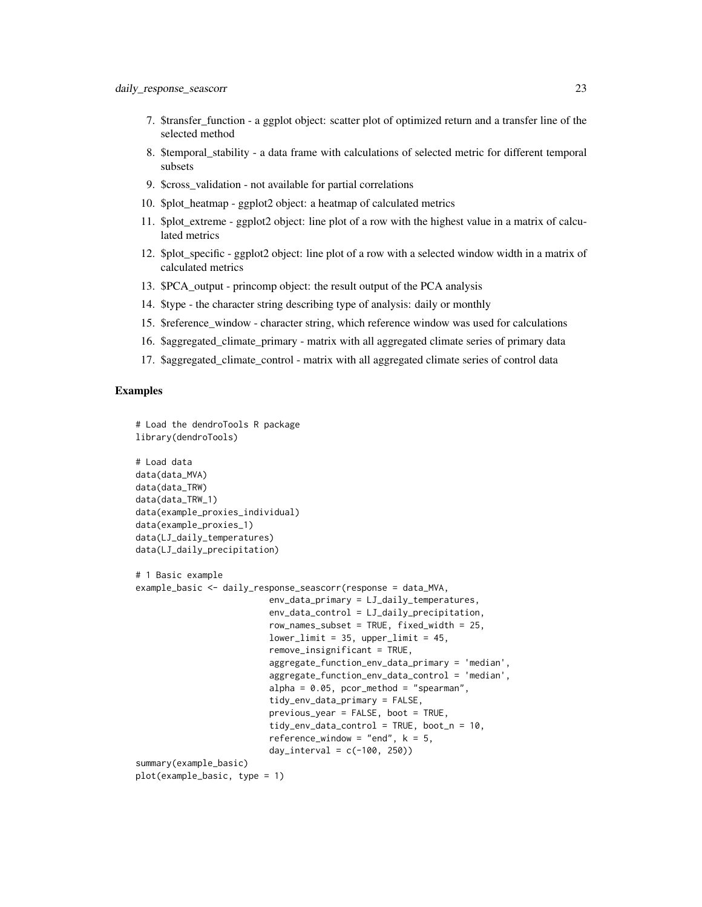- 7. \$transfer\_function a ggplot object: scatter plot of optimized return and a transfer line of the selected method
- 8. \$temporal\_stability a data frame with calculations of selected metric for different temporal subsets
- 9. \$cross\_validation not available for partial correlations
- 10. \$plot\_heatmap ggplot2 object: a heatmap of calculated metrics
- 11. \$plot\_extreme ggplot2 object: line plot of a row with the highest value in a matrix of calculated metrics
- 12. \$plot specific ggplot2 object: line plot of a row with a selected window width in a matrix of calculated metrics
- 13. \$PCA\_output princomp object: the result output of the PCA analysis
- 14. \$type the character string describing type of analysis: daily or monthly
- 15. \$reference\_window character string, which reference window was used for calculations
- 16. \$aggregated\_climate\_primary matrix with all aggregated climate series of primary data
- 17. \$aggregated\_climate\_control matrix with all aggregated climate series of control data

# Examples

```
# Load the dendroTools R package
library(dendroTools)
# Load data
data(data_MVA)
data(data_TRW)
data(data_TRW_1)
data(example_proxies_individual)
data(example_proxies_1)
data(LJ_daily_temperatures)
data(LJ_daily_precipitation)
# 1 Basic example
example_basic <- daily_response_seascorr(response = data_MVA,
                          env_data_primary = LJ_daily_temperatures,
                          env_data_control = LJ_daily_precipitation,
                          row_names_subset = TRUE, fixed_width = 25,
                          lowerlimit = 35, upper_limit = 45,
                          remove_insignificant = TRUE,
                          aggregate_function_env_data_primary = 'median',
                          aggregate_function_env_data_control = 'median',
                          alpha = 0.05, pcor_method = "spearman",
                          tidy_env_data_primary = FALSE,
                          previous_year = FALSE, boot = TRUE,
                          tidy_env_data_control = TRUE, boot_n = 10,
                          reference_window = "end", k = 5,
                          day_interval = c(-100, 250))
summary(example_basic)
plot(example_basic, type = 1)
```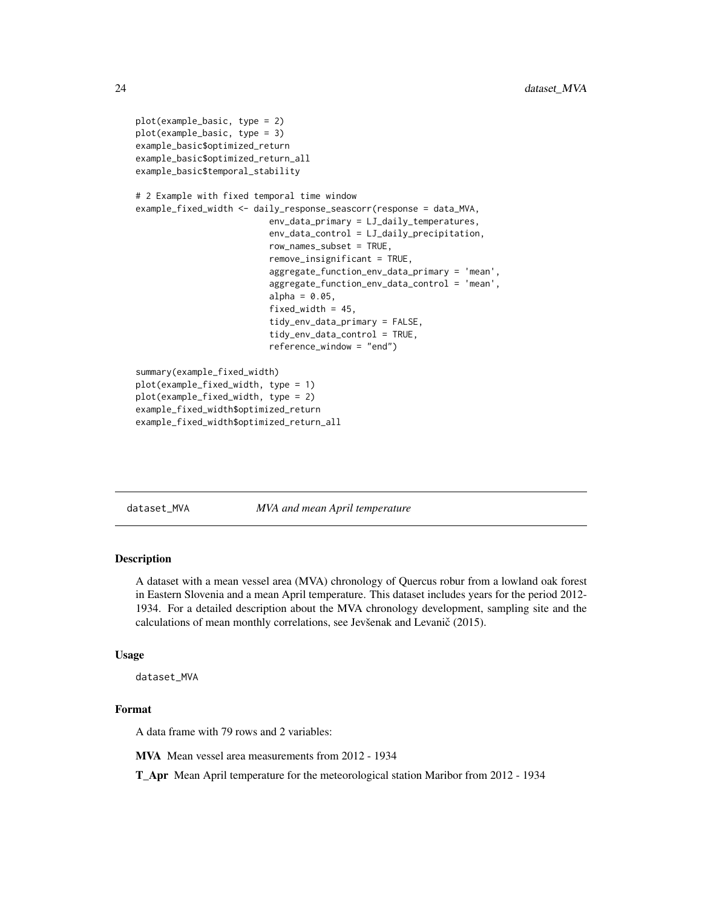```
plot(example_basic, type = 2)
plot(example_basic, type = 3)
example_basic$optimized_return
example_basic$optimized_return_all
example_basic$temporal_stability
# 2 Example with fixed temporal time window
example_fixed_width <- daily_response_seascorr(response = data_MVA,
                          env_data_primary = LJ_daily_temperatures,
                          env_data_control = LJ_daily_precipitation,
                          row_names_subset = TRUE,
                          remove_insignificant = TRUE,
                          aggregate_function_env_data_primary = 'mean',
                          aggregate_function_env_data_control = 'mean',
                          alpha = 0.05,
                          fixed_width = 45,
                          tidy_env_data_primary = FALSE,
                          tidy_env_data_control = TRUE,
                          reference_window = "end")
summary(example_fixed_width)
plot(example_fixed_width, type = 1)
plot(example_fixed_width, type = 2)
example_fixed_width$optimized_return
example_fixed_width$optimized_return_all
```
dataset\_MVA *MVA and mean April temperature*

# **Description**

A dataset with a mean vessel area (MVA) chronology of Quercus robur from a lowland oak forest in Eastern Slovenia and a mean April temperature. This dataset includes years for the period 2012- 1934. For a detailed description about the MVA chronology development, sampling site and the calculations of mean monthly correlations, see Jevšenak and Levanič (2015).

# Usage

dataset\_MVA

# Format

A data frame with 79 rows and 2 variables:

MVA Mean vessel area measurements from 2012 - 1934

T\_Apr Mean April temperature for the meteorological station Maribor from 2012 - 1934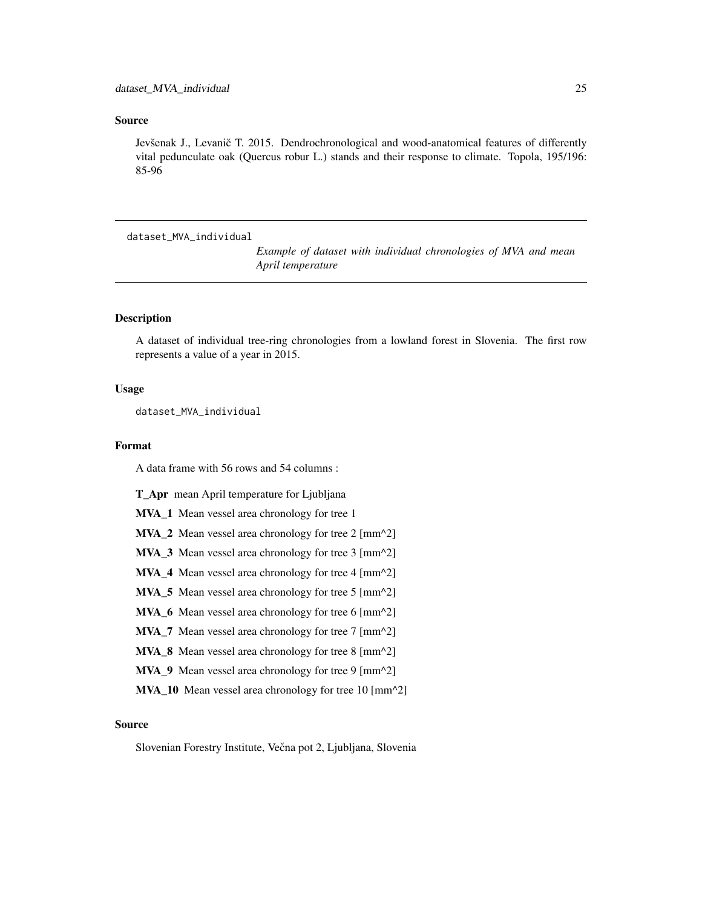# <span id="page-24-0"></span>Source

Jevšenak J., Levanič T. 2015. Dendrochronological and wood-anatomical features of differently vital pedunculate oak (Quercus robur L.) stands and their response to climate. Topola, 195/196: 85-96

dataset\_MVA\_individual

*Example of dataset with individual chronologies of MVA and mean April temperature*

# Description

A dataset of individual tree-ring chronologies from a lowland forest in Slovenia. The first row represents a value of a year in 2015.

# Usage

dataset\_MVA\_individual

# Format

A data frame with 56 rows and 54 columns :

T\_Apr mean April temperature for Ljubljana

MVA\_1 Mean vessel area chronology for tree 1

MVA\_2 Mean vessel area chronology for tree 2 [mm^2]

MVA\_3 Mean vessel area chronology for tree 3 [mm^2]

MVA\_4 Mean vessel area chronology for tree 4 [mm^2]

MVA\_5 Mean vessel area chronology for tree 5 [mm^2]

MVA\_6 Mean vessel area chronology for tree 6 [mm^2]

MVA\_7 Mean vessel area chronology for tree 7 [mm^2]

MVA\_8 Mean vessel area chronology for tree 8 [mm^2]

MVA\_9 Mean vessel area chronology for tree 9 [mm^2]

MVA\_10 Mean vessel area chronology for tree 10 [mm^2]

# Source

Slovenian Forestry Institute, Večna pot 2, Ljubljana, Slovenia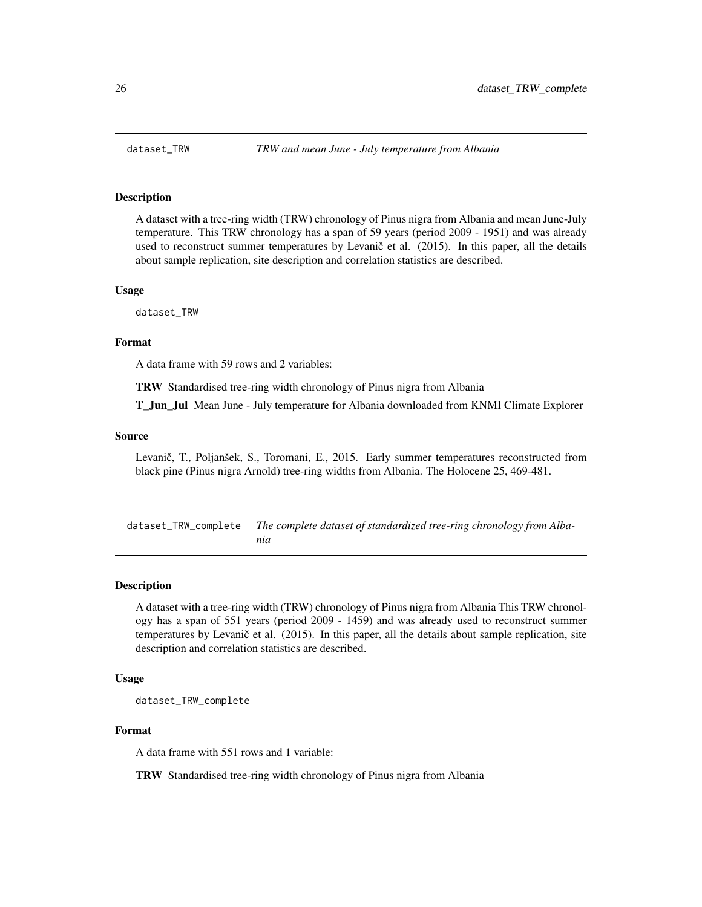<span id="page-25-0"></span>

# Description

A dataset with a tree-ring width (TRW) chronology of Pinus nigra from Albania and mean June-July temperature. This TRW chronology has a span of 59 years (period 2009 - 1951) and was already used to reconstruct summer temperatures by Levanič et al. (2015). In this paper, all the details about sample replication, site description and correlation statistics are described.

### Usage

dataset\_TRW

#### Format

A data frame with 59 rows and 2 variables:

TRW Standardised tree-ring width chronology of Pinus nigra from Albania

**T** Jun Jul Mean June - July temperature for Albania downloaded from KNMI Climate Explorer

#### Source

Levanič, T., Poljanšek, S., Toromani, E., 2015. Early summer temperatures reconstructed from black pine (Pinus nigra Arnold) tree-ring widths from Albania. The Holocene 25, 469-481.

dataset\_TRW\_complete *The complete dataset of standardized tree-ring chronology from Albania*

#### **Description**

A dataset with a tree-ring width (TRW) chronology of Pinus nigra from Albania This TRW chronology has a span of 551 years (period 2009 - 1459) and was already used to reconstruct summer temperatures by Levanič et al. (2015). In this paper, all the details about sample replication, site description and correlation statistics are described.

# Usage

dataset\_TRW\_complete

#### Format

A data frame with 551 rows and 1 variable:

TRW Standardised tree-ring width chronology of Pinus nigra from Albania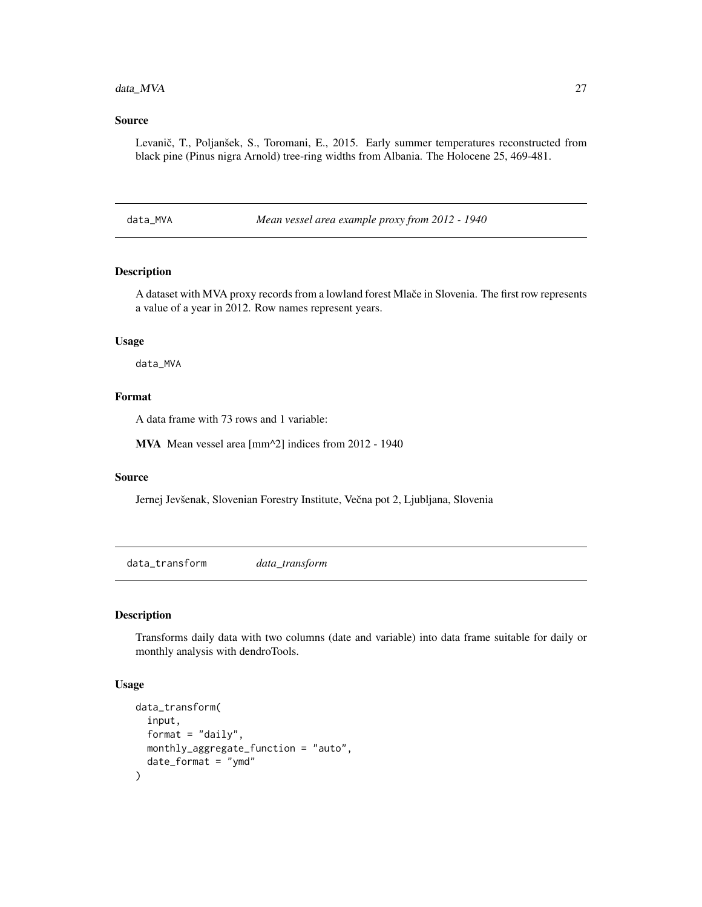# <span id="page-26-0"></span>data\_MVA 27

# Source

Levanič, T., Poljanšek, S., Toromani, E., 2015. Early summer temperatures reconstructed from black pine (Pinus nigra Arnold) tree-ring widths from Albania. The Holocene 25, 469-481.

data\_MVA *Mean vessel area example proxy from 2012 - 1940*

# Description

A dataset with MVA proxy records from a lowland forest Mlače in Slovenia. The first row represents a value of a year in 2012. Row names represent years.

#### Usage

data\_MVA

# Format

A data frame with 73 rows and 1 variable:

MVA Mean vessel area [mm^2] indices from 2012 - 1940

# Source

Jernej Jevšenak, Slovenian Forestry Institute, Večna pot 2, Ljubljana, Slovenia

data\_transform *data\_transform*

# Description

Transforms daily data with two columns (date and variable) into data frame suitable for daily or monthly analysis with dendroTools.

# Usage

```
data_transform(
  input,
  format = "daily",monthly_aggregate_function = "auto",
  date_format = "ymd"
)
```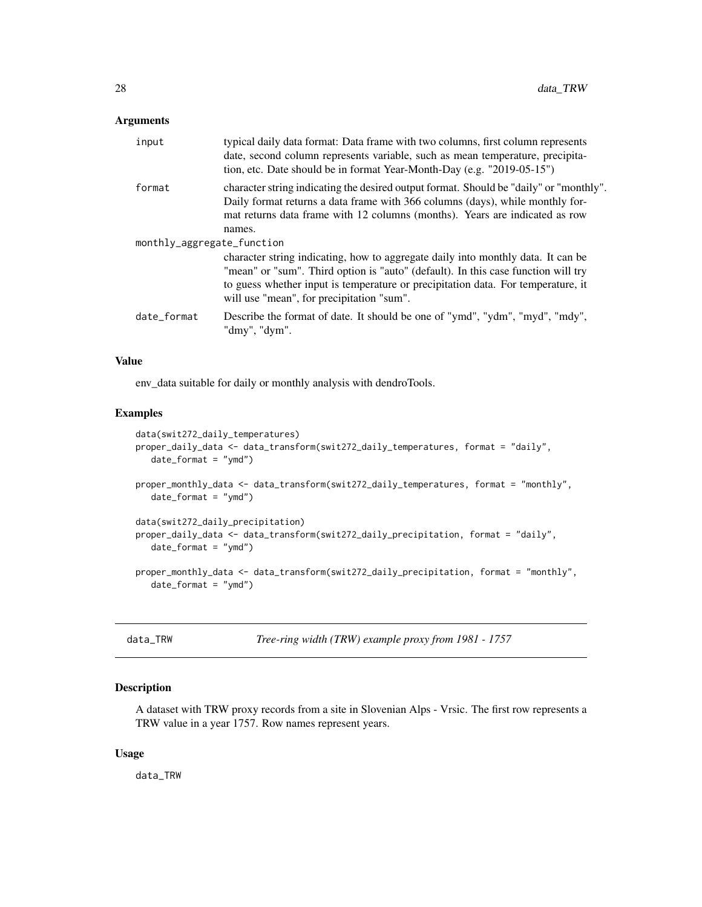# <span id="page-27-0"></span>Arguments

| input                      | typical daily data format: Data frame with two columns, first column represents<br>date, second column represents variable, such as mean temperature, precipita-<br>tion, etc. Date should be in format Year-Month-Day (e.g. "2019-05-15")                                                             |
|----------------------------|--------------------------------------------------------------------------------------------------------------------------------------------------------------------------------------------------------------------------------------------------------------------------------------------------------|
| format                     | character string indicating the desired output format. Should be "daily" or "monthly".<br>Daily format returns a data frame with 366 columns (days), while monthly for-<br>mat returns data frame with 12 columns (months). Years are indicated as row<br>names.                                       |
| monthly_aggregate_function | character string indicating, how to aggregate daily into monthly data. It can be<br>"mean" or "sum". Third option is "auto" (default). In this case function will try<br>to guess whether input is temperature or precipitation data. For temperature, it<br>will use "mean", for precipitation "sum". |
| date_format                | Describe the format of date. It should be one of "ymd", "ydm", "myd", "mdy",<br>"dmy", "dym".                                                                                                                                                                                                          |

# Value

env\_data suitable for daily or monthly analysis with dendroTools.

# Examples

```
data(swit272_daily_temperatures)
proper_daily_data <- data_transform(swit272_daily_temperatures, format = "daily",
   date_format = "ymd")
proper_monthly_data <- data_transform(swit272_daily_temperatures, format = "monthly",
   date_format = "ymd")
data(swit272_daily_precipitation)
proper_daily_data <- data_transform(swit272_daily_precipitation, format = "daily",
   date_format = "ymd")
proper_monthly_data <- data_transform(swit272_daily_precipitation, format = "monthly",
   date_format = "ymd")
```
data\_TRW *Tree-ring width (TRW) example proxy from 1981 - 1757*

# Description

A dataset with TRW proxy records from a site in Slovenian Alps - Vrsic. The first row represents a TRW value in a year 1757. Row names represent years.

# Usage

data\_TRW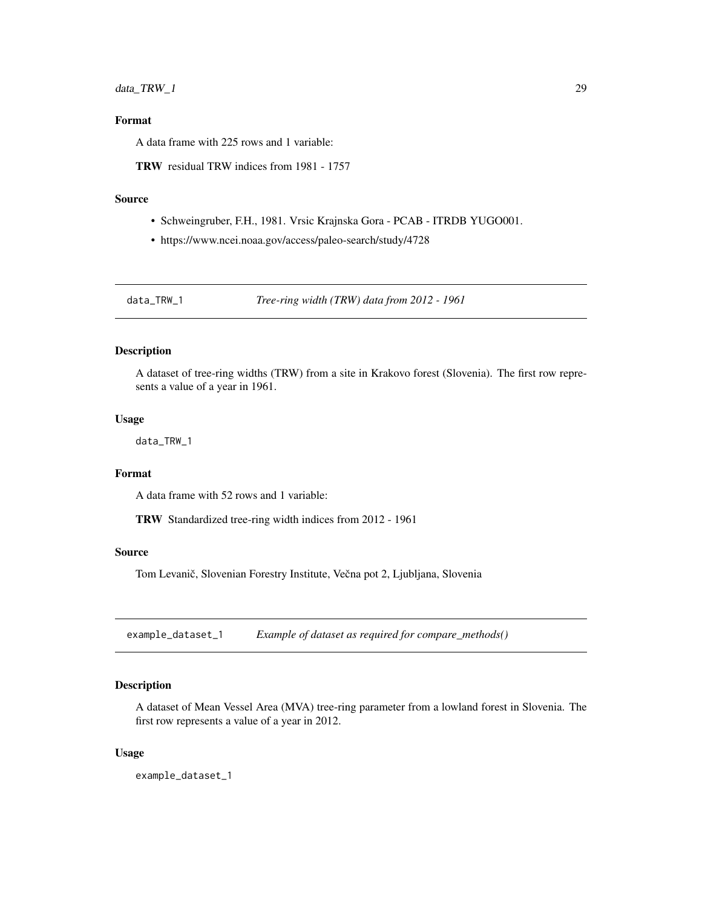# <span id="page-28-0"></span>data\_TRW\_1 29

# Format

A data frame with 225 rows and 1 variable:

TRW residual TRW indices from 1981 - 1757

# Source

- Schweingruber, F.H., 1981. Vrsic Krajnska Gora PCAB ITRDB YUGO001.
- https://www.ncei.noaa.gov/access/paleo-search/study/4728

data\_TRW\_1 *Tree-ring width (TRW) data from 2012 - 1961*

# Description

A dataset of tree-ring widths (TRW) from a site in Krakovo forest (Slovenia). The first row represents a value of a year in 1961.

### Usage

data\_TRW\_1

# Format

A data frame with 52 rows and 1 variable:

TRW Standardized tree-ring width indices from 2012 - 1961

#### Source

Tom Levanič, Slovenian Forestry Institute, Večna pot 2, Ljubljana, Slovenia

example\_dataset\_1 *Example of dataset as required for compare\_methods()*

# Description

A dataset of Mean Vessel Area (MVA) tree-ring parameter from a lowland forest in Slovenia. The first row represents a value of a year in 2012.

#### Usage

example\_dataset\_1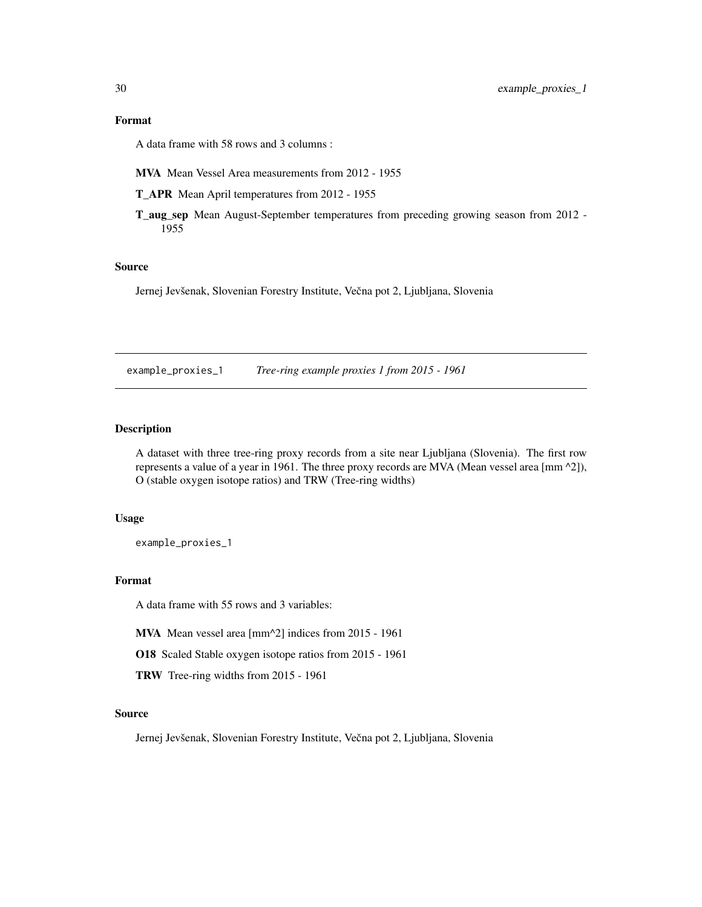<span id="page-29-0"></span>A data frame with 58 rows and 3 columns :

MVA Mean Vessel Area measurements from 2012 - 1955

T\_APR Mean April temperatures from 2012 - 1955

T\_aug\_sep Mean August-September temperatures from preceding growing season from 2012 - 1955

# Source

Jernej Jevšenak, Slovenian Forestry Institute, Večna pot 2, Ljubljana, Slovenia

example\_proxies\_1 *Tree-ring example proxies 1 from 2015 - 1961*

# **Description**

A dataset with three tree-ring proxy records from a site near Ljubljana (Slovenia). The first row represents a value of a year in 1961. The three proxy records are MVA (Mean vessel area [mm ^2]), O (stable oxygen isotope ratios) and TRW (Tree-ring widths)

# Usage

example\_proxies\_1

# Format

A data frame with 55 rows and 3 variables:

MVA Mean vessel area [mm^2] indices from 2015 - 1961

O18 Scaled Stable oxygen isotope ratios from 2015 - 1961

TRW Tree-ring widths from 2015 - 1961

#### Source

Jernej Jevšenak, Slovenian Forestry Institute, Večna pot 2, Ljubljana, Slovenia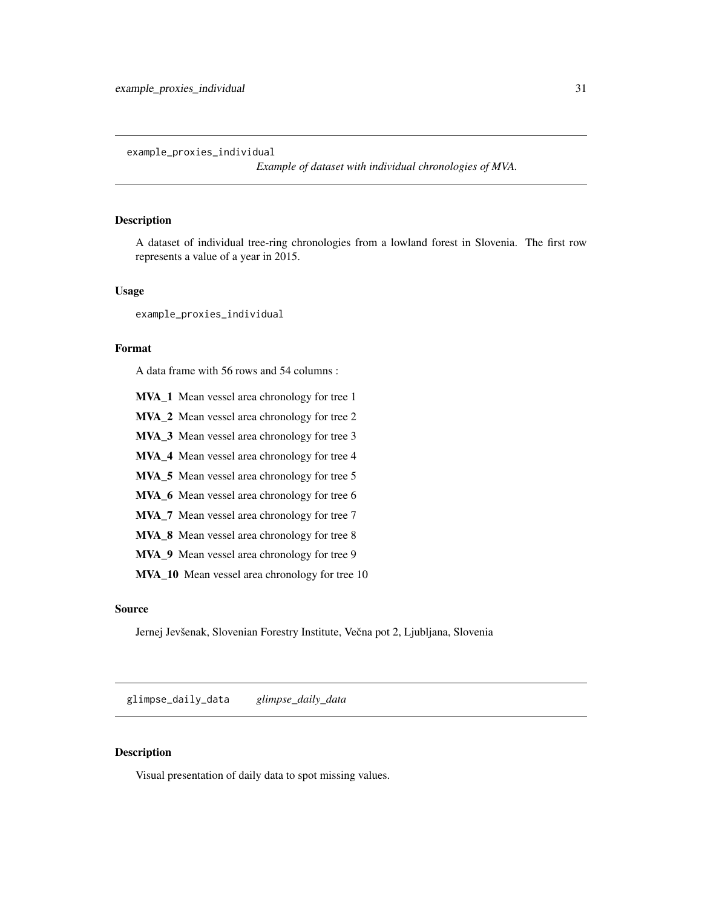<span id="page-30-0"></span>example\_proxies\_individual

*Example of dataset with individual chronologies of MVA.*

# Description

A dataset of individual tree-ring chronologies from a lowland forest in Slovenia. The first row represents a value of a year in 2015.

### Usage

example\_proxies\_individual

# Format

A data frame with 56 rows and 54 columns :

- MVA\_1 Mean vessel area chronology for tree 1
- MVA\_2 Mean vessel area chronology for tree 2
- MVA\_3 Mean vessel area chronology for tree 3
- MVA\_4 Mean vessel area chronology for tree 4
- MVA\_5 Mean vessel area chronology for tree 5
- MVA\_6 Mean vessel area chronology for tree 6
- MVA\_7 Mean vessel area chronology for tree 7
- MVA\_8 Mean vessel area chronology for tree 8
- MVA\_9 Mean vessel area chronology for tree 9
- MVA\_10 Mean vessel area chronology for tree 10

# Source

Jernej Jevšenak, Slovenian Forestry Institute, Večna pot 2, Ljubljana, Slovenia

glimpse\_daily\_data *glimpse\_daily\_data*

# Description

Visual presentation of daily data to spot missing values.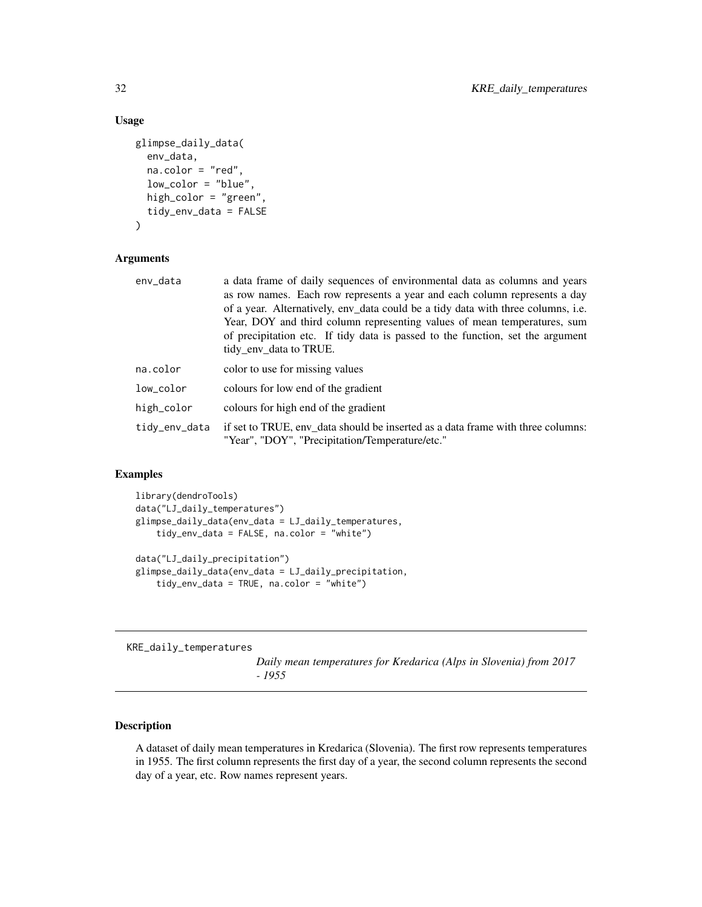# <span id="page-31-0"></span>Usage

```
glimpse_daily_data(
  env_data,
  na.color = "red",
  low_color = "blue",
  high_color = "green",
  tidy_env_data = FALSE
)
```
# Arguments

| env_data      | a data frame of daily sequences of environmental data as columns and years<br>as row names. Each row represents a year and each column represents a day<br>of a year. Alternatively, env_data could be a tidy data with three columns, i.e.<br>Year, DOY and third column representing values of mean temperatures, sum<br>of precipitation etc. If tidy data is passed to the function, set the argument |
|---------------|-----------------------------------------------------------------------------------------------------------------------------------------------------------------------------------------------------------------------------------------------------------------------------------------------------------------------------------------------------------------------------------------------------------|
|               | tidy_env_data to TRUE.                                                                                                                                                                                                                                                                                                                                                                                    |
| na.color      | color to use for missing values                                                                                                                                                                                                                                                                                                                                                                           |
| low_color     | colours for low end of the gradient                                                                                                                                                                                                                                                                                                                                                                       |
| high_color    | colours for high end of the gradient                                                                                                                                                                                                                                                                                                                                                                      |
| tidy_env_data | if set to TRUE, env data should be inserted as a data frame with three columns:<br>"Year", "DOY", "Precipitation/Temperature/etc."                                                                                                                                                                                                                                                                        |

# Examples

```
library(dendroTools)
data("LJ_daily_temperatures")
glimpse_daily_data(env_data = LJ_daily_temperatures,
   tidy_env_data = FALSE, na.color = "white")
data("LJ_daily_precipitation")
glimpse_daily_data(env_data = LJ_daily_precipitation,
   tidy_env_data = TRUE, na.color = "white")
```
KRE\_daily\_temperatures

*Daily mean temperatures for Kredarica (Alps in Slovenia) from 2017 - 1955*

# Description

A dataset of daily mean temperatures in Kredarica (Slovenia). The first row represents temperatures in 1955. The first column represents the first day of a year, the second column represents the second day of a year, etc. Row names represent years.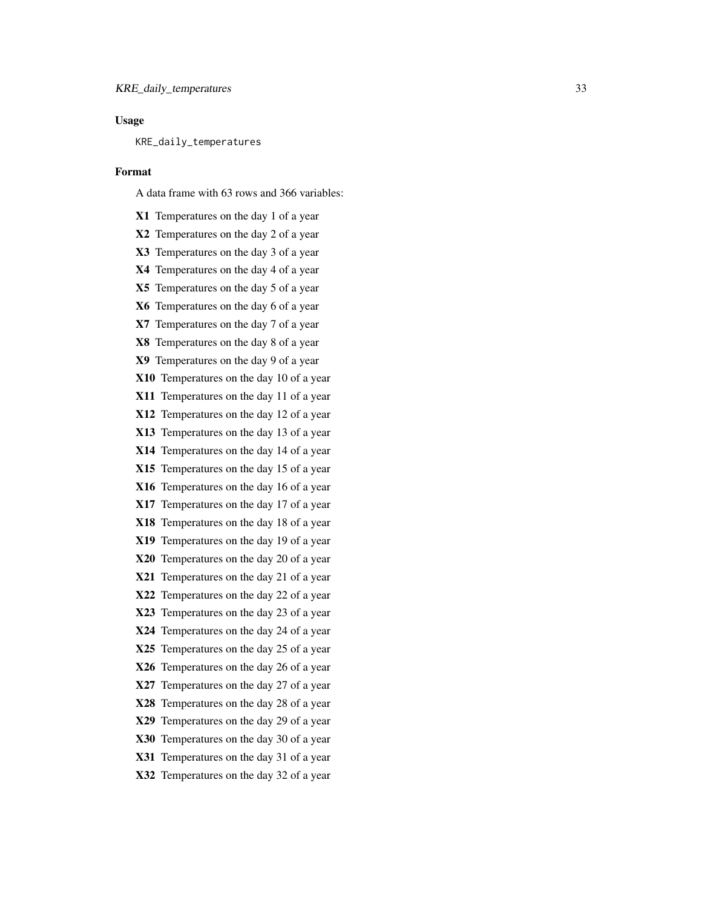# Usage

KRE\_daily\_temperatures

#### Format

A data frame with 63 rows and 366 variables:

X1 Temperatures on the day 1 of a year X2 Temperatures on the day 2 of a year X3 Temperatures on the day 3 of a year X4 Temperatures on the day 4 of a year X5 Temperatures on the day 5 of a year X6 Temperatures on the day 6 of a year X7 Temperatures on the day 7 of a year X8 Temperatures on the day 8 of a year X9 Temperatures on the day 9 of a year X10 Temperatures on the day 10 of a year X11 Temperatures on the day 11 of a year X12 Temperatures on the day 12 of a year X13 Temperatures on the day 13 of a year X14 Temperatures on the day 14 of a year X15 Temperatures on the day 15 of a year X16 Temperatures on the day 16 of a year X17 Temperatures on the day 17 of a year X18 Temperatures on the day 18 of a year X19 Temperatures on the day 19 of a year X20 Temperatures on the day 20 of a year X21 Temperatures on the day 21 of a year X22 Temperatures on the day 22 of a year X23 Temperatures on the day 23 of a year X24 Temperatures on the day 24 of a year X25 Temperatures on the day 25 of a year X26 Temperatures on the day 26 of a year X27 Temperatures on the day 27 of a year X28 Temperatures on the day 28 of a year X29 Temperatures on the day 29 of a year X30 Temperatures on the day 30 of a year X31 Temperatures on the day 31 of a year X32 Temperatures on the day 32 of a year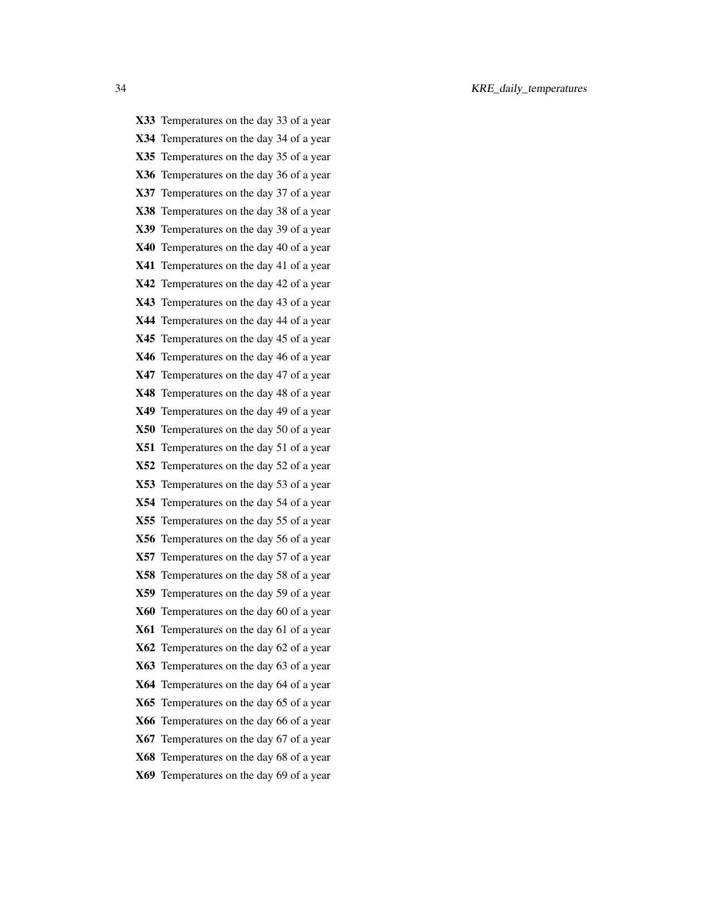X33 Temperatures on the day 33 of a year X34 Temperatures on the day 34 of a year X35 Temperatures on the day 35 of a year X36 Temperatures on the day 36 of a year X37 Temperatures on the day 37 of a year X38 Temperatures on the day 38 of a year X39 Temperatures on the day 39 of a year X40 Temperatures on the day 40 of a year X41 Temperatures on the day 41 of a year X42 Temperatures on the day 42 of a year X43 Temperatures on the day 43 of a year X44 Temperatures on the day 44 of a year X45 Temperatures on the day 45 of a year X46 Temperatures on the day 46 of a year X47 Temperatures on the day 47 of a year X48 Temperatures on the day 48 of a year X49 Temperatures on the day 49 of a year X50 Temperatures on the day 50 of a year X51 Temperatures on the day 51 of a year X52 Temperatures on the day 52 of a year X53 Temperatures on the day 53 of a year X54 Temperatures on the day 54 of a year X55 Temperatures on the day 55 of a year X56 Temperatures on the day 56 of a year X57 Temperatures on the day 57 of a year X58 Temperatures on the day 58 of a year X59 Temperatures on the day 59 of a year X60 Temperatures on the day 60 of a year X61 Temperatures on the day 61 of a year X62 Temperatures on the day 62 of a year X63 Temperatures on the day 63 of a year X64 Temperatures on the day 64 of a year X65 Temperatures on the day 65 of a year X66 Temperatures on the day 66 of a year X67 Temperatures on the day 67 of a year X68 Temperatures on the day 68 of a year X69 Temperatures on the day 69 of a year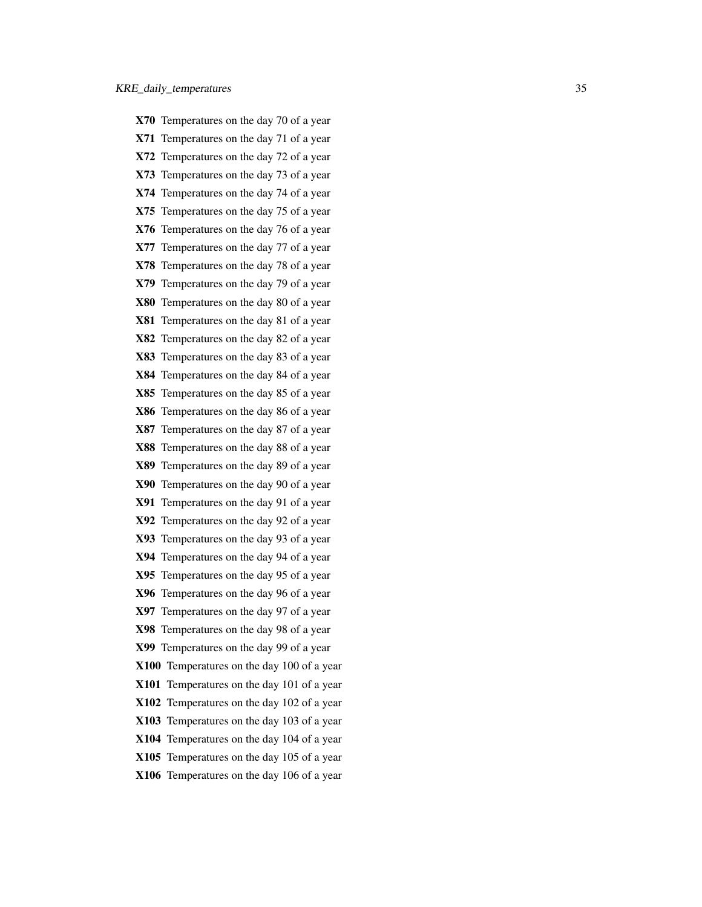- X70 Temperatures on the day 70 of a year
- X71 Temperatures on the day 71 of a year
- X72 Temperatures on the day 72 of a year
- X73 Temperatures on the day 73 of a year
- X74 Temperatures on the day 74 of a year
- X75 Temperatures on the day 75 of a year
- X76 Temperatures on the day 76 of a year
- X77 Temperatures on the day 77 of a year
- X78 Temperatures on the day 78 of a year
- X79 Temperatures on the day 79 of a year
- X80 Temperatures on the day 80 of a year
- X81 Temperatures on the day 81 of a year
- X82 Temperatures on the day 82 of a year
- X83 Temperatures on the day 83 of a year
- X84 Temperatures on the day 84 of a year
- X85 Temperatures on the day 85 of a year
- X86 Temperatures on the day 86 of a year
- X87 Temperatures on the day 87 of a year
- X88 Temperatures on the day 88 of a year
- X89 Temperatures on the day 89 of a year
- X90 Temperatures on the day 90 of a year
- X91 Temperatures on the day 91 of a year
- X92 Temperatures on the day 92 of a year
- X93 Temperatures on the day 93 of a year
- X94 Temperatures on the day 94 of a year
- X95 Temperatures on the day 95 of a year
- X96 Temperatures on the day 96 of a year
- X97 Temperatures on the day 97 of a year
- X98 Temperatures on the day 98 of a year
- X99 Temperatures on the day 99 of a year
- X100 Temperatures on the day 100 of a year
- X101 Temperatures on the day 101 of a year
- X102 Temperatures on the day 102 of a year
- X103 Temperatures on the day 103 of a year
- X104 Temperatures on the day 104 of a year
- X105 Temperatures on the day 105 of a year
- X106 Temperatures on the day 106 of a year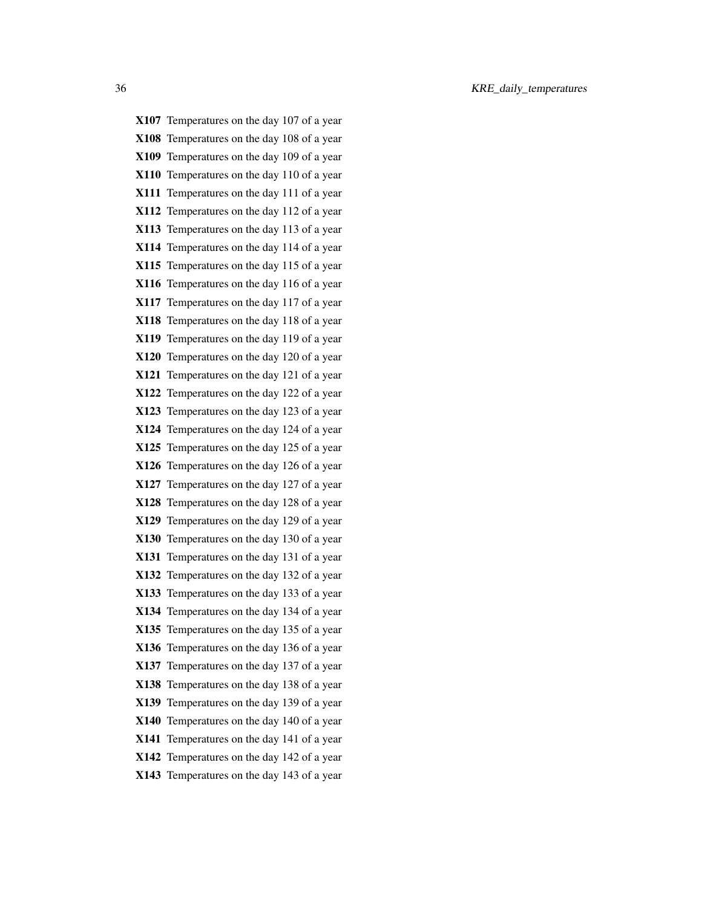| X107 Temperatures on the day 107 of a year |
|--------------------------------------------|
| X108 Temperatures on the day 108 of a year |
| X109 Temperatures on the day 109 of a year |
| X110 Temperatures on the day 110 of a year |
| X111 Temperatures on the day 111 of a year |
| X112 Temperatures on the day 112 of a year |
| X113 Temperatures on the day 113 of a year |
| X114 Temperatures on the day 114 of a year |
| X115 Temperatures on the day 115 of a year |
| X116 Temperatures on the day 116 of a year |
| X117 Temperatures on the day 117 of a year |
| X118 Temperatures on the day 118 of a year |
| X119 Temperatures on the day 119 of a year |
| X120 Temperatures on the day 120 of a year |
| X121 Temperatures on the day 121 of a year |
| X122 Temperatures on the day 122 of a year |
| X123 Temperatures on the day 123 of a year |
| X124 Temperatures on the day 124 of a year |
| X125 Temperatures on the day 125 of a year |
| X126 Temperatures on the day 126 of a year |
| X127 Temperatures on the day 127 of a year |
| X128 Temperatures on the day 128 of a year |
| X129 Temperatures on the day 129 of a year |
| X130 Temperatures on the day 130 of a year |
| X131 Temperatures on the day 131 of a year |
| X132 Temperatures on the day 132 of a year |
| X133 Temperatures on the day 133 of a year |
| X134 Temperatures on the day 134 of a year |
| X135 Temperatures on the day 135 of a year |
| X136 Temperatures on the day 136 of a year |
| X137 Temperatures on the day 137 of a year |
| X138 Temperatures on the day 138 of a year |
| X139 Temperatures on the day 139 of a year |
| X140 Temperatures on the day 140 of a year |
| X141 Temperatures on the day 141 of a year |
| X142 Temperatures on the day 142 of a year |
| X143 Temperatures on the day 143 of a year |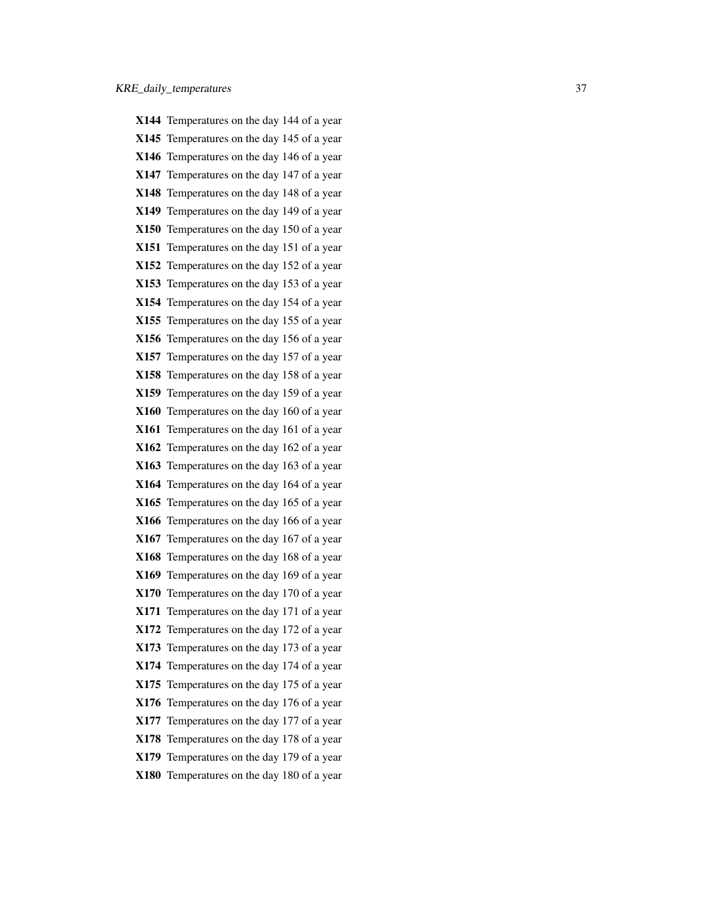|      | X144 Temperatures on the day 144 of a year |
|------|--------------------------------------------|
|      | X145 Temperatures on the day 145 of a year |
|      | X146 Temperatures on the day 146 of a year |
|      | X147 Temperatures on the day 147 of a year |
|      | X148 Temperatures on the day 148 of a year |
|      | X149 Temperatures on the day 149 of a year |
|      | X150 Temperatures on the day 150 of a year |
|      | X151 Temperatures on the day 151 of a year |
|      | X152 Temperatures on the day 152 of a year |
|      | X153 Temperatures on the day 153 of a year |
|      | X154 Temperatures on the day 154 of a year |
|      | X155 Temperatures on the day 155 of a year |
|      | X156 Temperatures on the day 156 of a year |
|      | X157 Temperatures on the day 157 of a year |
|      | X158 Temperatures on the day 158 of a year |
|      | X159 Temperatures on the day 159 of a year |
|      | X160 Temperatures on the day 160 of a year |
|      | X161 Temperatures on the day 161 of a year |
|      | X162 Temperatures on the day 162 of a year |
|      | X163 Temperatures on the day 163 of a year |
|      | X164 Temperatures on the day 164 of a year |
|      | X165 Temperatures on the day 165 of a year |
|      | X166 Temperatures on the day 166 of a year |
|      | X167 Temperatures on the day 167 of a year |
|      | X168 Temperatures on the day 168 of a year |
|      | X169 Temperatures on the day 169 of a year |
|      | X170 Temperatures on the day 170 of a year |
|      | X171 Temperatures on the day 171 of a year |
|      | X172 Temperatures on the day 172 of a year |
|      | X173 Temperatures on the day 173 of a year |
|      | X174 Temperatures on the day 174 of a year |
|      | X175 Temperatures on the day 175 of a year |
| X176 | Temperatures on the day 176 of a year      |
|      | X177 Temperatures on the day 177 of a year |
|      | X178 Temperatures on the day 178 of a year |
|      | X179 Temperatures on the day 179 of a year |
|      | X180 Temperatures on the day 180 of a year |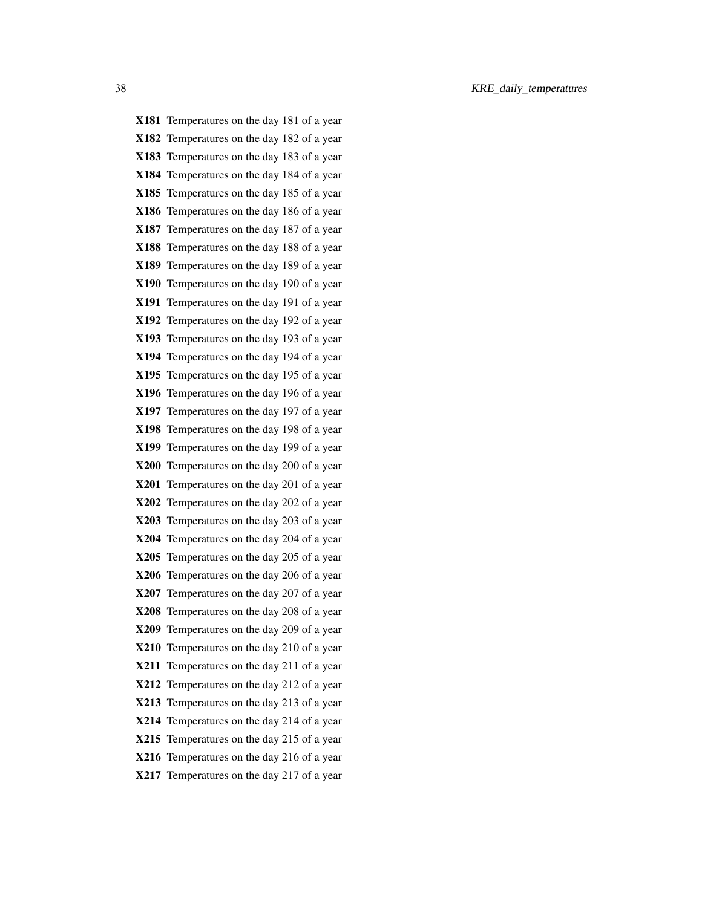| X181 Temperatures on the day 181 of a year |
|--------------------------------------------|
| X182 Temperatures on the day 182 of a year |
| X183 Temperatures on the day 183 of a year |
| X184 Temperatures on the day 184 of a year |
| X185 Temperatures on the day 185 of a year |
| X186 Temperatures on the day 186 of a year |
| X187 Temperatures on the day 187 of a year |
| X188 Temperatures on the day 188 of a year |
| X189 Temperatures on the day 189 of a year |
| X190 Temperatures on the day 190 of a year |
| X191 Temperatures on the day 191 of a year |
| X192 Temperatures on the day 192 of a year |
| X193 Temperatures on the day 193 of a year |
| X194 Temperatures on the day 194 of a year |
| X195 Temperatures on the day 195 of a year |
| X196 Temperatures on the day 196 of a year |
| X197 Temperatures on the day 197 of a year |
| X198 Temperatures on the day 198 of a year |
| X199 Temperatures on the day 199 of a year |
| X200 Temperatures on the day 200 of a year |
| X201 Temperatures on the day 201 of a year |
| X202 Temperatures on the day 202 of a year |
| X203 Temperatures on the day 203 of a year |
| X204 Temperatures on the day 204 of a year |
| X205 Temperatures on the day 205 of a year |
| X206 Temperatures on the day 206 of a year |
| X207 Temperatures on the day 207 of a year |
| X208 Temperatures on the day 208 of a year |
| X209 Temperatures on the day 209 of a year |
| X210 Temperatures on the day 210 of a year |
| X211 Temperatures on the day 211 of a year |
| X212 Temperatures on the day 212 of a year |
| X213 Temperatures on the day 213 of a year |
| X214 Temperatures on the day 214 of a year |
| X215 Temperatures on the day 215 of a year |
| X216 Temperatures on the day 216 of a year |
| X217 Temperatures on the day 217 of a year |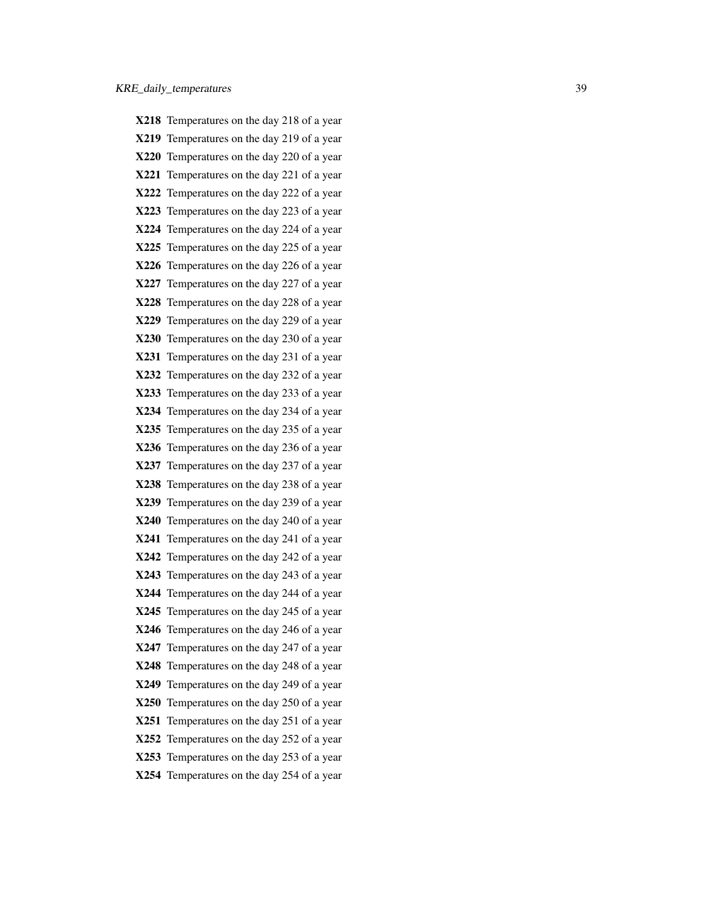X218 Temperatures on the day 218 of a year X219 Temperatures on the day 219 of a year X220 Temperatures on the day 220 of a year X221 Temperatures on the day 221 of a year X222 Temperatures on the day 222 of a year X223 Temperatures on the day 223 of a year X224 Temperatures on the day 224 of a year X225 Temperatures on the day 225 of a year X226 Temperatures on the day 226 of a year X227 Temperatures on the day 227 of a year X228 Temperatures on the day 228 of a year X229 Temperatures on the day 229 of a year X230 Temperatures on the day 230 of a year X231 Temperatures on the day 231 of a year X232 Temperatures on the day 232 of a year X233 Temperatures on the day 233 of a year X234 Temperatures on the day 234 of a year X235 Temperatures on the day 235 of a year X236 Temperatures on the day 236 of a year X237 Temperatures on the day 237 of a year X238 Temperatures on the day 238 of a year X239 Temperatures on the day 239 of a year X240 Temperatures on the day 240 of a year X241 Temperatures on the day 241 of a year X242 Temperatures on the day 242 of a year X243 Temperatures on the day 243 of a year X244 Temperatures on the day 244 of a year X245 Temperatures on the day 245 of a year X246 Temperatures on the day 246 of a year X247 Temperatures on the day 247 of a year X248 Temperatures on the day 248 of a year X249 Temperatures on the day 249 of a year X250 Temperatures on the day 250 of a year X251 Temperatures on the day 251 of a year X252 Temperatures on the day 252 of a year X253 Temperatures on the day 253 of a year X254 Temperatures on the day 254 of a year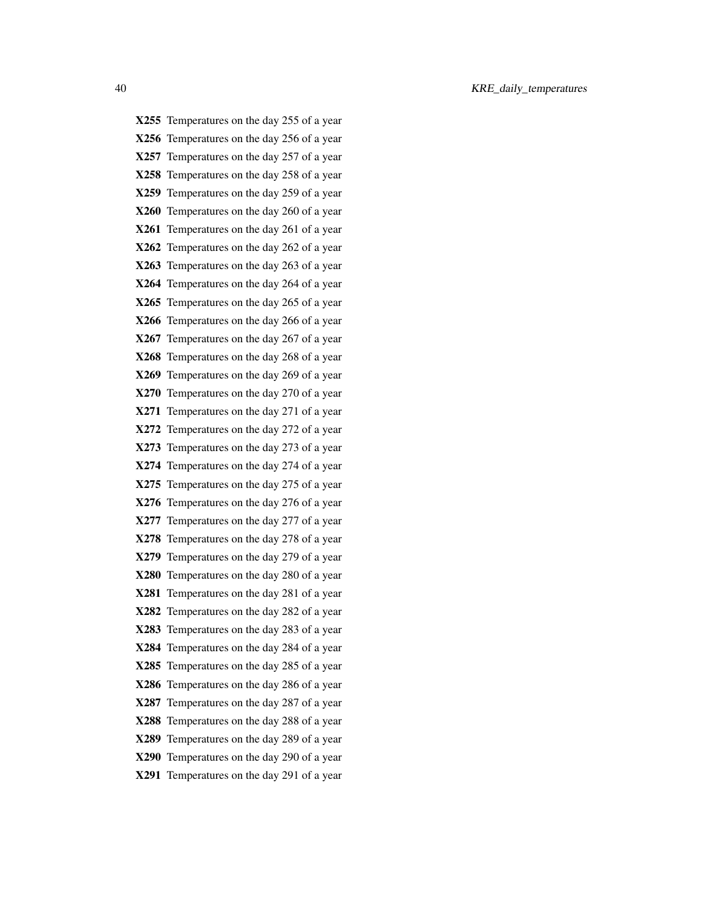X255 Temperatures on the day 255 of a year X256 Temperatures on the day 256 of a year X257 Temperatures on the day 257 of a year X258 Temperatures on the day 258 of a year X259 Temperatures on the day 259 of a year X260 Temperatures on the day 260 of a year X261 Temperatures on the day 261 of a year X262 Temperatures on the day 262 of a year X263 Temperatures on the day 263 of a year X264 Temperatures on the day 264 of a year X265 Temperatures on the day 265 of a year X266 Temperatures on the day 266 of a year X267 Temperatures on the day 267 of a year X268 Temperatures on the day 268 of a year X269 Temperatures on the day 269 of a year X270 Temperatures on the day 270 of a year X271 Temperatures on the day 271 of a year X272 Temperatures on the day 272 of a year X273 Temperatures on the day 273 of a year X274 Temperatures on the day 274 of a year X275 Temperatures on the day 275 of a year X276 Temperatures on the day 276 of a year X277 Temperatures on the day 277 of a year X278 Temperatures on the day 278 of a year X279 Temperatures on the day 279 of a year X280 Temperatures on the day 280 of a year X281 Temperatures on the day 281 of a year X282 Temperatures on the day 282 of a year X283 Temperatures on the day 283 of a year X284 Temperatures on the day 284 of a year X285 Temperatures on the day 285 of a year X286 Temperatures on the day 286 of a year X287 Temperatures on the day 287 of a year X288 Temperatures on the day 288 of a year X289 Temperatures on the day 289 of a year X290 Temperatures on the day 290 of a year X291 Temperatures on the day 291 of a year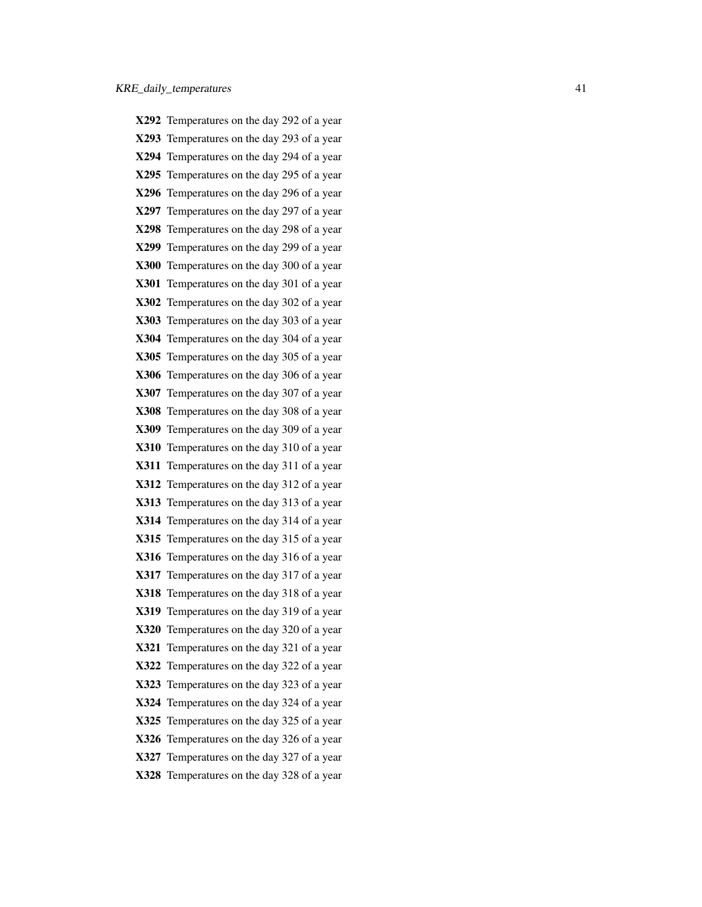X292 Temperatures on the day 292 of a year X293 Temperatures on the day 293 of a year X294 Temperatures on the day 294 of a year X295 Temperatures on the day 295 of a year X296 Temperatures on the day 296 of a year X297 Temperatures on the day 297 of a year X298 Temperatures on the day 298 of a year X299 Temperatures on the day 299 of a year X300 Temperatures on the day 300 of a year X301 Temperatures on the day 301 of a year X302 Temperatures on the day 302 of a year X303 Temperatures on the day 303 of a year X304 Temperatures on the day 304 of a year X305 Temperatures on the day 305 of a year X306 Temperatures on the day 306 of a year X307 Temperatures on the day 307 of a year X308 Temperatures on the day 308 of a year X309 Temperatures on the day 309 of a year X310 Temperatures on the day 310 of a year X311 Temperatures on the day 311 of a year X312 Temperatures on the day 312 of a year X313 Temperatures on the day 313 of a year X314 Temperatures on the day 314 of a year X315 Temperatures on the day 315 of a year X316 Temperatures on the day 316 of a year X317 Temperatures on the day 317 of a year X318 Temperatures on the day 318 of a year X319 Temperatures on the day 319 of a year X320 Temperatures on the day 320 of a year X321 Temperatures on the day 321 of a year X322 Temperatures on the day 322 of a year X323 Temperatures on the day 323 of a year X324 Temperatures on the day 324 of a year X325 Temperatures on the day 325 of a year X326 Temperatures on the day 326 of a year X327 Temperatures on the day 327 of a year X328 Temperatures on the day 328 of a year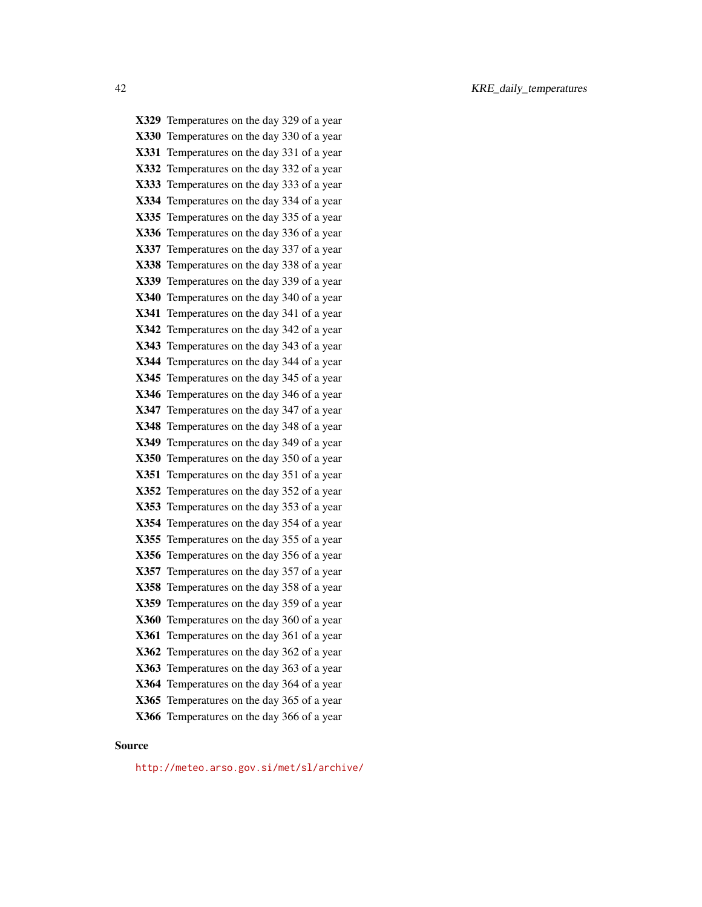X329 Temperatures on the day 329 of a year X330 Temperatures on the day 330 of a year X331 Temperatures on the day 331 of a year X332 Temperatures on the day 332 of a year X333 Temperatures on the day 333 of a year X334 Temperatures on the day 334 of a year X335 Temperatures on the day 335 of a year X336 Temperatures on the day 336 of a year X337 Temperatures on the day 337 of a year X338 Temperatures on the day 338 of a year X339 Temperatures on the day 339 of a year X340 Temperatures on the day 340 of a year X341 Temperatures on the day 341 of a year X342 Temperatures on the day 342 of a year X343 Temperatures on the day 343 of a year X344 Temperatures on the day 344 of a year X345 Temperatures on the day 345 of a year X346 Temperatures on the day 346 of a year X347 Temperatures on the day 347 of a year X348 Temperatures on the day 348 of a year X349 Temperatures on the day 349 of a year X350 Temperatures on the day 350 of a year X351 Temperatures on the day 351 of a year X352 Temperatures on the day 352 of a year X353 Temperatures on the day 353 of a year X354 Temperatures on the day 354 of a year X355 Temperatures on the day 355 of a year X356 Temperatures on the day 356 of a year X357 Temperatures on the day 357 of a year X358 Temperatures on the day 358 of a year X359 Temperatures on the day 359 of a year X360 Temperatures on the day 360 of a year X361 Temperatures on the day 361 of a year X362 Temperatures on the day 362 of a year X363 Temperatures on the day 363 of a year X364 Temperatures on the day 364 of a year X365 Temperatures on the day 365 of a year X366 Temperatures on the day 366 of a year

#### Source

<http://meteo.arso.gov.si/met/sl/archive/>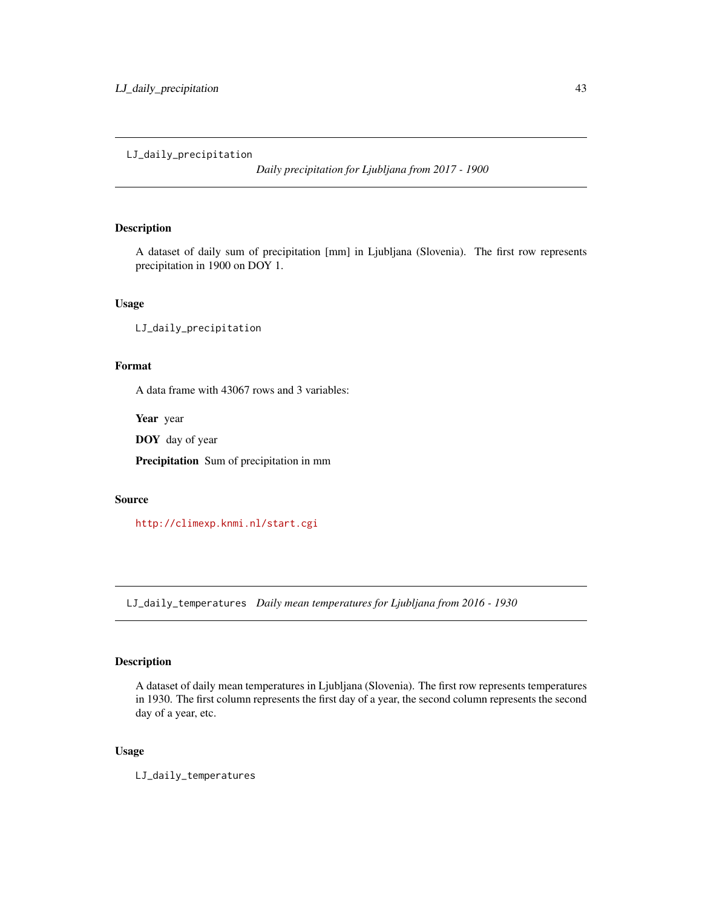# <span id="page-42-0"></span>LJ\_daily\_precipitation

*Daily precipitation for Ljubljana from 2017 - 1900*

# Description

A dataset of daily sum of precipitation [mm] in Ljubljana (Slovenia). The first row represents precipitation in 1900 on DOY 1.

# Usage

LJ\_daily\_precipitation

# Format

A data frame with 43067 rows and 3 variables:

Year year

DOY day of year

Precipitation Sum of precipitation in mm

# Source

<http://climexp.knmi.nl/start.cgi>

LJ\_daily\_temperatures *Daily mean temperatures for Ljubljana from 2016 - 1930*

# Description

A dataset of daily mean temperatures in Ljubljana (Slovenia). The first row represents temperatures in 1930. The first column represents the first day of a year, the second column represents the second day of a year, etc.

# Usage

LJ\_daily\_temperatures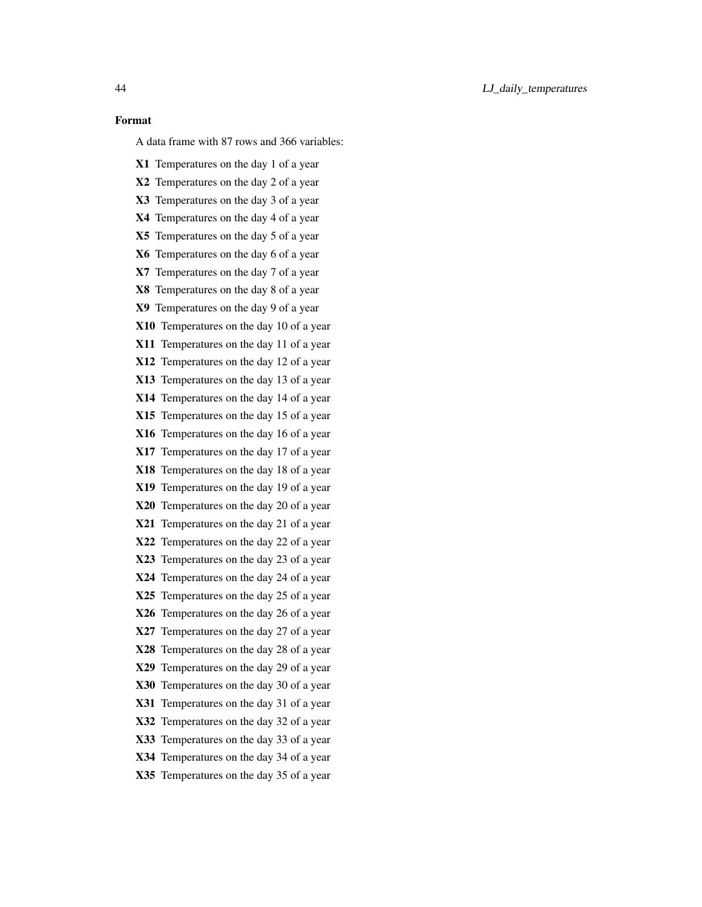### Format

A data frame with 87 rows and 366 variables:

X1 Temperatures on the day 1 of a year X2 Temperatures on the day 2 of a year X3 Temperatures on the day 3 of a year X4 Temperatures on the day 4 of a year X5 Temperatures on the day 5 of a year X6 Temperatures on the day 6 of a year X7 Temperatures on the day 7 of a year X8 Temperatures on the day 8 of a year X9 Temperatures on the day 9 of a year X10 Temperatures on the day 10 of a year X11 Temperatures on the day 11 of a year X12 Temperatures on the day 12 of a year X13 Temperatures on the day 13 of a year X14 Temperatures on the day 14 of a year X15 Temperatures on the day 15 of a year X16 Temperatures on the day 16 of a year X17 Temperatures on the day 17 of a year X18 Temperatures on the day 18 of a year X19 Temperatures on the day 19 of a year X20 Temperatures on the day 20 of a year X21 Temperatures on the day 21 of a year X22 Temperatures on the day 22 of a year X23 Temperatures on the day 23 of a year X24 Temperatures on the day 24 of a year X25 Temperatures on the day 25 of a year X26 Temperatures on the day 26 of a year X27 Temperatures on the day 27 of a year X28 Temperatures on the day 28 of a year X29 Temperatures on the day 29 of a year X30 Temperatures on the day 30 of a year X31 Temperatures on the day 31 of a year X32 Temperatures on the day 32 of a year X33 Temperatures on the day 33 of a year X34 Temperatures on the day 34 of a year X35 Temperatures on the day 35 of a year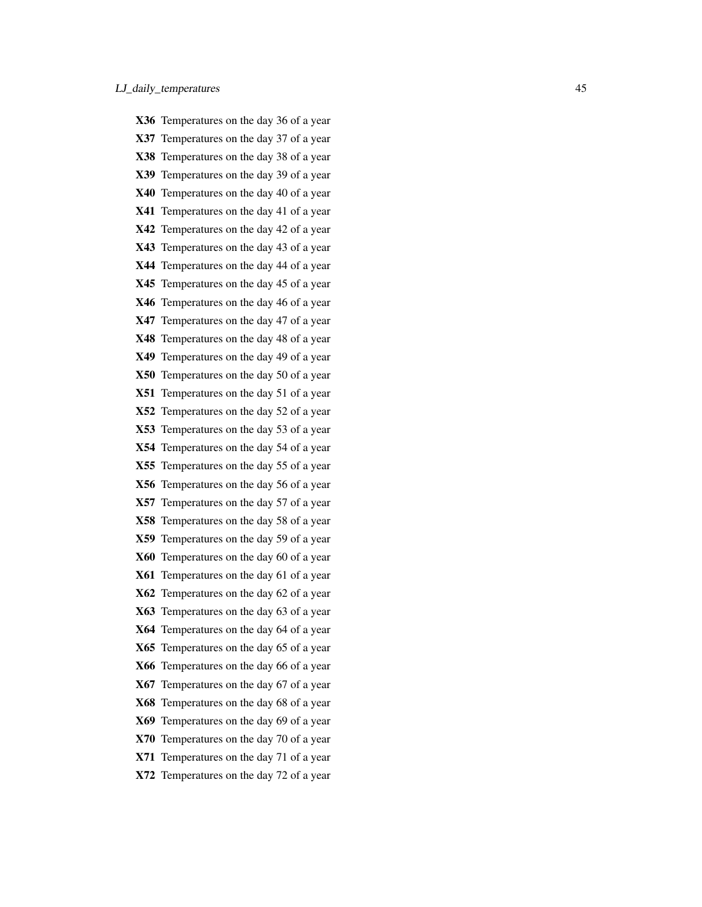|     | X36 Temperatures on the day 36 of a year |
|-----|------------------------------------------|
|     | X37 Temperatures on the day 37 of a year |
|     | X38 Temperatures on the day 38 of a year |
|     | X39 Temperatures on the day 39 of a year |
|     | X40 Temperatures on the day 40 of a year |
|     | X41 Temperatures on the day 41 of a year |
|     | X42 Temperatures on the day 42 of a year |
|     | X43 Temperatures on the day 43 of a year |
|     | X44 Temperatures on the day 44 of a year |
|     | X45 Temperatures on the day 45 of a year |
|     | X46 Temperatures on the day 46 of a year |
|     | X47 Temperatures on the day 47 of a year |
|     | X48 Temperatures on the day 48 of a year |
|     | X49 Temperatures on the day 49 of a year |
|     | X50 Temperatures on the day 50 of a year |
|     | X51 Temperatures on the day 51 of a year |
|     | X52 Temperatures on the day 52 of a year |
|     | X53 Temperatures on the day 53 of a year |
|     | X54 Temperatures on the day 54 of a year |
|     | X55 Temperatures on the day 55 of a year |
|     | X56 Temperatures on the day 56 of a year |
|     | X57 Temperatures on the day 57 of a year |
|     | X58 Temperatures on the day 58 of a year |
|     | X59 Temperatures on the day 59 of a year |
|     | X60 Temperatures on the day 60 of a year |
|     | X61 Temperatures on the day 61 of a year |
|     | X62 Temperatures on the day 62 of a year |
|     | X63 Temperatures on the day 63 of a year |
|     | X64 Temperatures on the day 64 of a year |
|     | X65 Temperatures on the day 65 of a year |
| X66 | Temperatures on the day 66 of a year     |
|     | X67 Temperatures on the day 67 of a year |
|     | X68 Temperatures on the day 68 of a year |
|     | X69 Temperatures on the day 69 of a year |
|     | X70 Temperatures on the day 70 of a year |
|     | X71 Temperatures on the day 71 of a year |
|     | X72 Temperatures on the day 72 of a year |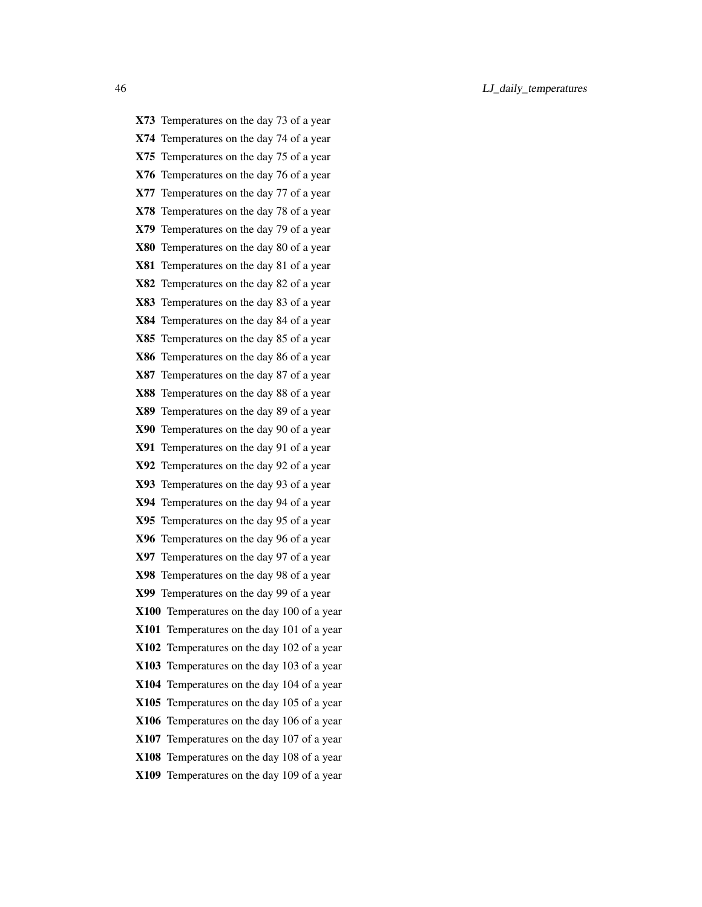X73 Temperatures on the day 73 of a year X74 Temperatures on the day 74 of a year X75 Temperatures on the day 75 of a year X76 Temperatures on the day 76 of a year X77 Temperatures on the day 77 of a year X78 Temperatures on the day 78 of a year X79 Temperatures on the day 79 of a year X80 Temperatures on the day 80 of a year X81 Temperatures on the day 81 of a year X82 Temperatures on the day 82 of a year X83 Temperatures on the day 83 of a year X84 Temperatures on the day 84 of a year X85 Temperatures on the day 85 of a year X86 Temperatures on the day 86 of a year X87 Temperatures on the day 87 of a year X88 Temperatures on the day 88 of a year X89 Temperatures on the day 89 of a year X90 Temperatures on the day 90 of a year X91 Temperatures on the day 91 of a year X92 Temperatures on the day 92 of a year X93 Temperatures on the day 93 of a year X94 Temperatures on the day 94 of a year X95 Temperatures on the day 95 of a year X96 Temperatures on the day 96 of a year X97 Temperatures on the day 97 of a year X98 Temperatures on the day 98 of a year X99 Temperatures on the day 99 of a year X100 Temperatures on the day 100 of a year X101 Temperatures on the day 101 of a year X102 Temperatures on the day 102 of a year X103 Temperatures on the day 103 of a year X104 Temperatures on the day 104 of a year X105 Temperatures on the day 105 of a year X106 Temperatures on the day 106 of a year X107 Temperatures on the day 107 of a year X108 Temperatures on the day 108 of a year X109 Temperatures on the day 109 of a year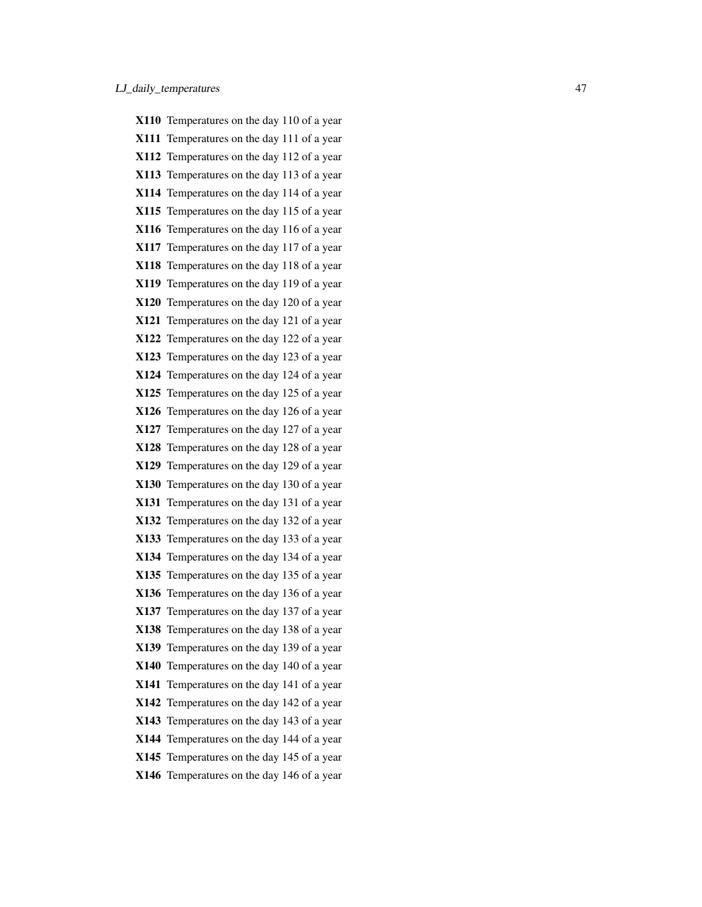|      | X110 Temperatures on the day 110 of a year |
|------|--------------------------------------------|
|      | X111 Temperatures on the day 111 of a year |
|      | X112 Temperatures on the day 112 of a year |
|      | X113 Temperatures on the day 113 of a year |
|      | X114 Temperatures on the day 114 of a year |
|      | X115 Temperatures on the day 115 of a year |
|      | X116 Temperatures on the day 116 of a year |
|      | X117 Temperatures on the day 117 of a year |
|      | X118 Temperatures on the day 118 of a year |
|      | X119 Temperatures on the day 119 of a year |
|      | X120 Temperatures on the day 120 of a year |
|      | X121 Temperatures on the day 121 of a year |
|      | X122 Temperatures on the day 122 of a year |
|      | X123 Temperatures on the day 123 of a year |
|      | X124 Temperatures on the day 124 of a year |
|      | X125 Temperatures on the day 125 of a year |
|      | X126 Temperatures on the day 126 of a year |
|      | X127 Temperatures on the day 127 of a year |
|      | X128 Temperatures on the day 128 of a year |
|      | X129 Temperatures on the day 129 of a year |
|      | X130 Temperatures on the day 130 of a year |
| X131 | Temperatures on the day 131 of a year      |
|      | X132 Temperatures on the day 132 of a year |
|      | X133 Temperatures on the day 133 of a year |
|      | X134 Temperatures on the day 134 of a year |
|      | X135 Temperatures on the day 135 of a year |
|      | X136 Temperatures on the day 136 of a year |
|      | X137 Temperatures on the day 137 of a year |
|      | X138 Temperatures on the day 138 of a year |
|      | X139 Temperatures on the day 139 of a year |
|      | X140 Temperatures on the day 140 of a year |
| X141 | Temperatures on the day 141 of a year      |
| X142 | Temperatures on the day 142 of a year      |
|      | X143 Temperatures on the day 143 of a year |
|      | X144 Temperatures on the day 144 of a year |
|      | X145 Temperatures on the day 145 of a year |
|      | X146 Temperatures on the day 146 of a year |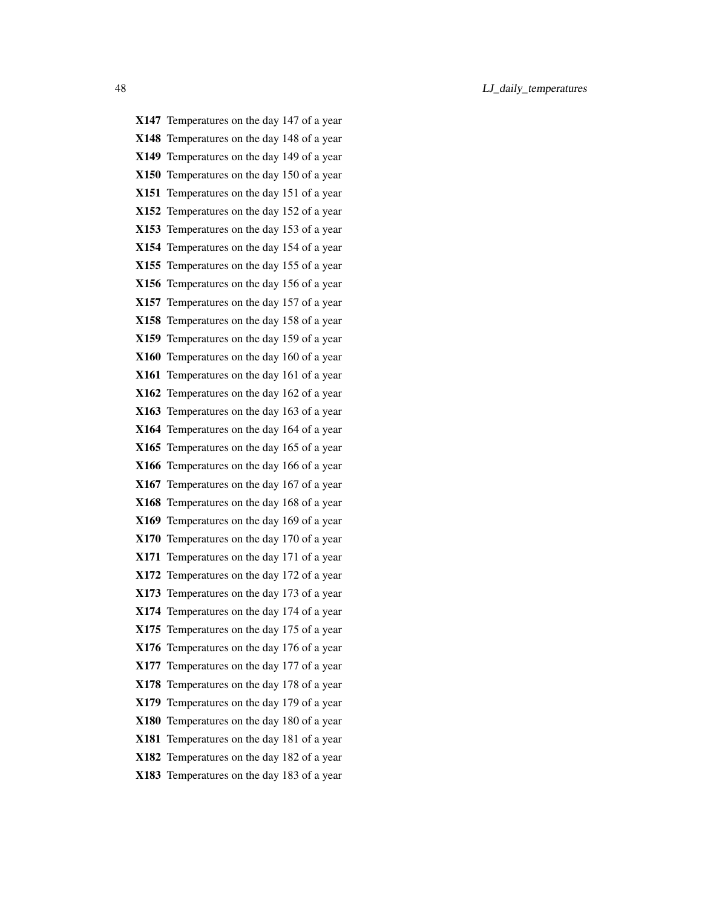X147 Temperatures on the day 147 of a year X148 Temperatures on the day 148 of a year X149 Temperatures on the day 149 of a year X150 Temperatures on the day 150 of a year X151 Temperatures on the day 151 of a year X152 Temperatures on the day 152 of a year X153 Temperatures on the day 153 of a year X154 Temperatures on the day 154 of a year X155 Temperatures on the day 155 of a year X156 Temperatures on the day 156 of a year X157 Temperatures on the day 157 of a year X158 Temperatures on the day 158 of a year X159 Temperatures on the day 159 of a year X160 Temperatures on the day 160 of a year X161 Temperatures on the day 161 of a year X162 Temperatures on the day 162 of a year X163 Temperatures on the day 163 of a year X164 Temperatures on the day 164 of a year X165 Temperatures on the day 165 of a year X166 Temperatures on the day 166 of a year X167 Temperatures on the day 167 of a year X168 Temperatures on the day 168 of a year X169 Temperatures on the day 169 of a year X170 Temperatures on the day 170 of a year X171 Temperatures on the day 171 of a year X172 Temperatures on the day 172 of a year X173 Temperatures on the day 173 of a year X174 Temperatures on the day 174 of a year X175 Temperatures on the day 175 of a year X176 Temperatures on the day 176 of a year X177 Temperatures on the day 177 of a year X178 Temperatures on the day 178 of a year X179 Temperatures on the day 179 of a year X180 Temperatures on the day 180 of a year X181 Temperatures on the day 181 of a year X182 Temperatures on the day 182 of a year X183 Temperatures on the day 183 of a year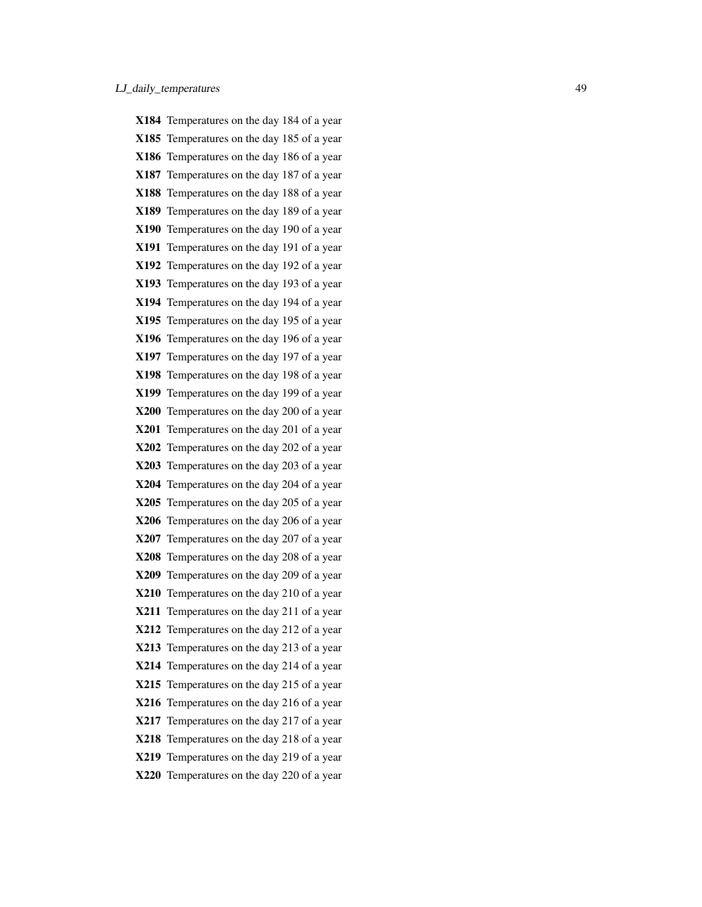|             | X184 Temperatures on the day 184 of a year |
|-------------|--------------------------------------------|
|             | X185 Temperatures on the day 185 of a year |
|             | X186 Temperatures on the day 186 of a year |
| X187        | Temperatures on the day 187 of a year      |
|             | X188 Temperatures on the day 188 of a year |
|             | X189 Temperatures on the day 189 of a year |
| X190        | Temperatures on the day 190 of a year      |
| X191        | Temperatures on the day 191 of a year      |
|             | X192 Temperatures on the day 192 of a year |
|             | X193 Temperatures on the day 193 of a year |
|             | X194 Temperatures on the day 194 of a year |
|             | X195 Temperatures on the day 195 of a year |
| X196        | Temperatures on the day 196 of a year      |
|             | X197 Temperatures on the day 197 of a year |
|             | X198 Temperatures on the day 198 of a year |
| X199        | Temperatures on the day 199 of a year      |
|             | X200 Temperatures on the day 200 of a year |
| <b>X201</b> | Temperatures on the day 201 of a year      |
|             | X202 Temperatures on the day 202 of a year |
|             | X203 Temperatures on the day 203 of a year |
|             | X204 Temperatures on the day 204 of a year |
| X205        | Temperatures on the day 205 of a year      |
|             | X206 Temperatures on the day 206 of a year |
|             | X207 Temperatures on the day 207 of a year |
|             | X208 Temperatures on the day 208 of a year |
|             | X209 Temperatures on the day 209 of a year |
|             | X210 Temperatures on the day 210 of a year |
| <b>X211</b> | Temperatures on the day 211 of a year      |
|             | X212 Temperatures on the day 212 of a year |
|             | X213 Temperatures on the day 213 of a year |
|             | X214 Temperatures on the day 214 of a year |
|             | X215 Temperatures on the day 215 of a year |
| <b>X216</b> | Temperatures on the day 216 of a year      |
|             | X217 Temperatures on the day 217 of a year |
| <b>X218</b> | Temperatures on the day 218 of a year      |
| <b>X219</b> | Temperatures on the day 219 of a year      |
|             | X220 Temperatures on the day 220 of a year |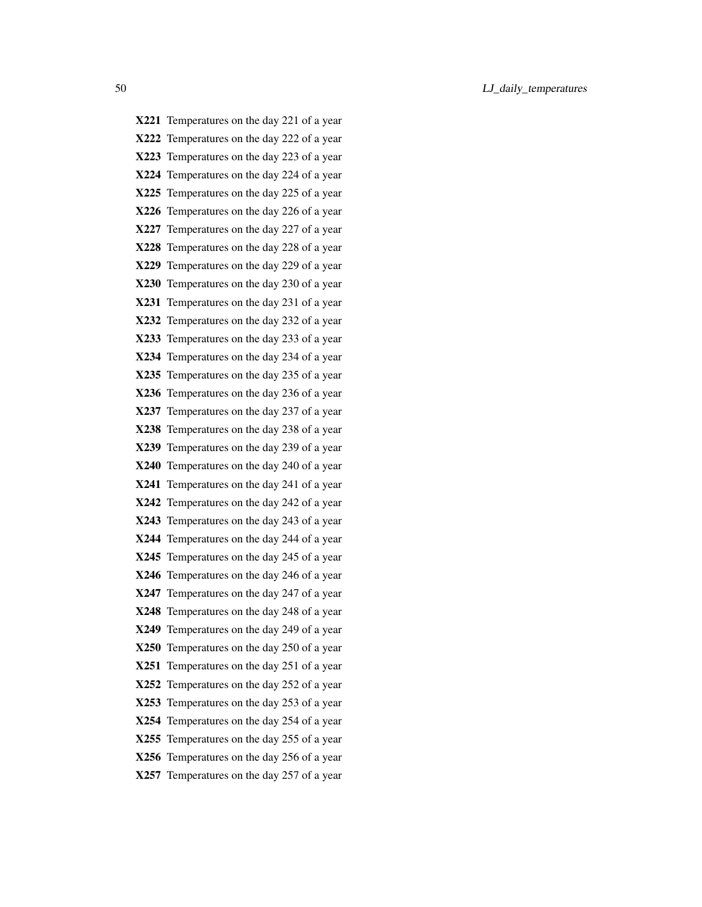X221 Temperatures on the day 221 of a year X222 Temperatures on the day 222 of a year X223 Temperatures on the day 223 of a year X224 Temperatures on the day 224 of a year X225 Temperatures on the day 225 of a year X226 Temperatures on the day 226 of a year X227 Temperatures on the day 227 of a year X228 Temperatures on the day 228 of a year X229 Temperatures on the day 229 of a year X230 Temperatures on the day 230 of a year X231 Temperatures on the day 231 of a year X232 Temperatures on the day 232 of a year X233 Temperatures on the day 233 of a year X234 Temperatures on the day 234 of a year X235 Temperatures on the day 235 of a year X236 Temperatures on the day 236 of a year X237 Temperatures on the day 237 of a year X238 Temperatures on the day 238 of a year X239 Temperatures on the day 239 of a year X240 Temperatures on the day 240 of a year X241 Temperatures on the day 241 of a year X242 Temperatures on the day 242 of a year X243 Temperatures on the day 243 of a year X244 Temperatures on the day 244 of a year X245 Temperatures on the day 245 of a year X246 Temperatures on the day 246 of a year X247 Temperatures on the day 247 of a year X248 Temperatures on the day 248 of a year X249 Temperatures on the day 249 of a year X250 Temperatures on the day 250 of a year X251 Temperatures on the day 251 of a year X252 Temperatures on the day 252 of a year X253 Temperatures on the day 253 of a year X254 Temperatures on the day 254 of a year X255 Temperatures on the day 255 of a year X256 Temperatures on the day 256 of a year X257 Temperatures on the day 257 of a year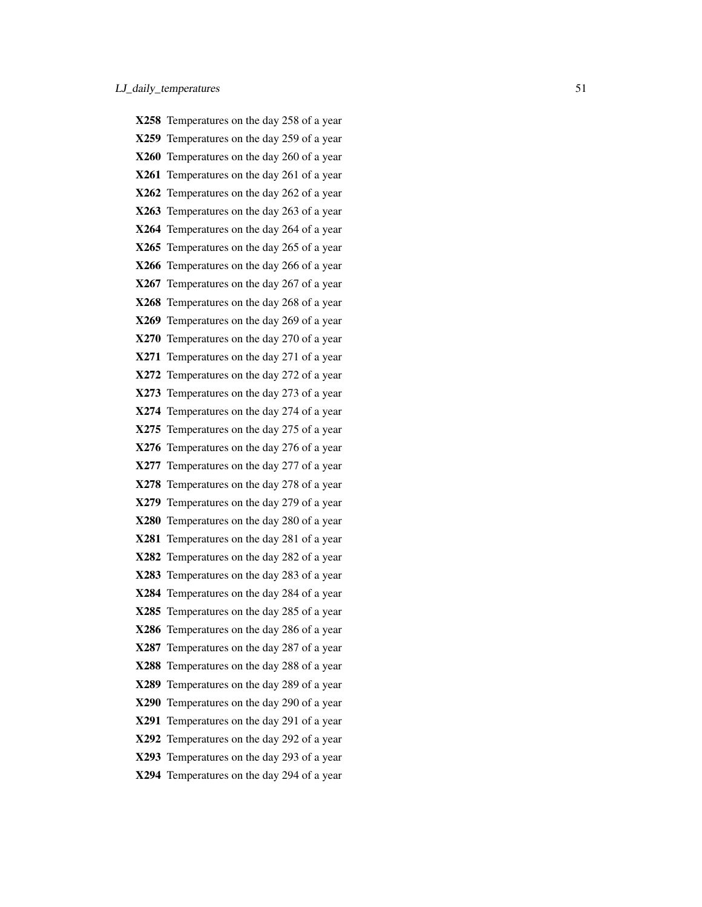|             | X258 Temperatures on the day 258 of a year |
|-------------|--------------------------------------------|
|             | X259 Temperatures on the day 259 of a year |
|             | X260 Temperatures on the day 260 of a year |
| X261        | Temperatures on the day 261 of a year      |
|             | X262 Temperatures on the day 262 of a year |
|             | X263 Temperatures on the day 263 of a year |
|             | X264 Temperatures on the day 264 of a year |
|             | X265 Temperatures on the day 265 of a year |
|             | X266 Temperatures on the day 266 of a year |
| X267        | Temperatures on the day 267 of a year      |
|             | X268 Temperatures on the day 268 of a year |
|             | X269 Temperatures on the day 269 of a year |
| X270        | Temperatures on the day 270 of a year      |
|             | X271 Temperatures on the day 271 of a year |
|             | X272 Temperatures on the day 272 of a year |
| X273        | Temperatures on the day 273 of a year      |
|             | X274 Temperatures on the day 274 of a year |
| X275        | Temperatures on the day 275 of a year      |
| X276        | Temperatures on the day 276 of a year      |
|             | X277 Temperatures on the day 277 of a year |
| X278        | Temperatures on the day 278 of a year      |
| X279        | Temperatures on the day 279 of a year      |
|             | X280 Temperatures on the day 280 of a year |
| X281        | Temperatures on the day 281 of a year      |
| <b>X282</b> | Temperatures on the day 282 of a year      |
|             | X283 Temperatures on the day 283 of a year |
|             | X284 Temperatures on the day 284 of a year |
|             | X285 Temperatures on the day 285 of a year |
|             | X286 Temperatures on the day 286 of a year |
| X287        | Temperatures on the day 287 of a year      |
| X288        | Temperatures on the day 288 of a year      |
| X289        | Temperatures on the day 289 of a year      |
| X290        | Temperatures on the day 290 of a year      |
| <b>X291</b> | Temperatures on the day 291 of a year      |
|             | X292 Temperatures on the day 292 of a year |
| X293        | Temperatures on the day 293 of a year      |
|             | X294 Temperatures on the day 294 of a year |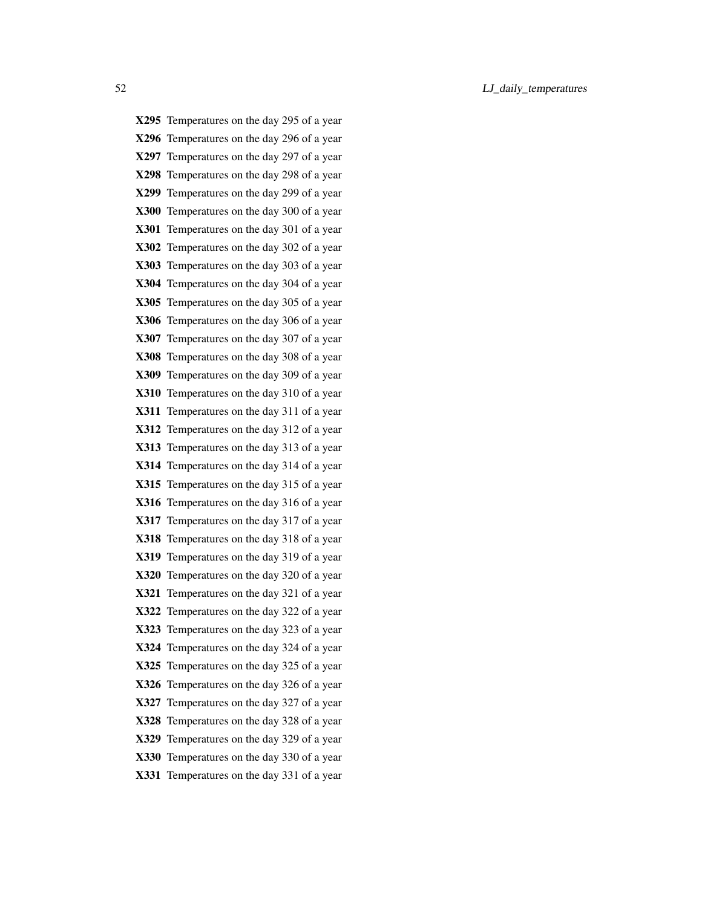X295 Temperatures on the day 295 of a year X296 Temperatures on the day 296 of a year X297 Temperatures on the day 297 of a year X298 Temperatures on the day 298 of a year X299 Temperatures on the day 299 of a year X300 Temperatures on the day 300 of a year X301 Temperatures on the day 301 of a year X302 Temperatures on the day 302 of a year X303 Temperatures on the day 303 of a year X304 Temperatures on the day 304 of a year X305 Temperatures on the day 305 of a year X306 Temperatures on the day 306 of a year X307 Temperatures on the day 307 of a year X308 Temperatures on the day 308 of a year X309 Temperatures on the day 309 of a year X310 Temperatures on the day 310 of a year X311 Temperatures on the day 311 of a year X312 Temperatures on the day 312 of a year X313 Temperatures on the day 313 of a year X314 Temperatures on the day 314 of a year X315 Temperatures on the day 315 of a year X316 Temperatures on the day 316 of a year X317 Temperatures on the day 317 of a year X318 Temperatures on the day 318 of a year X319 Temperatures on the day 319 of a year X320 Temperatures on the day 320 of a year X321 Temperatures on the day 321 of a year X322 Temperatures on the day 322 of a year X323 Temperatures on the day 323 of a year X324 Temperatures on the day 324 of a year X325 Temperatures on the day 325 of a year X326 Temperatures on the day 326 of a year X327 Temperatures on the day 327 of a year X328 Temperatures on the day 328 of a year X329 Temperatures on the day 329 of a year X330 Temperatures on the day 330 of a year X331 Temperatures on the day 331 of a year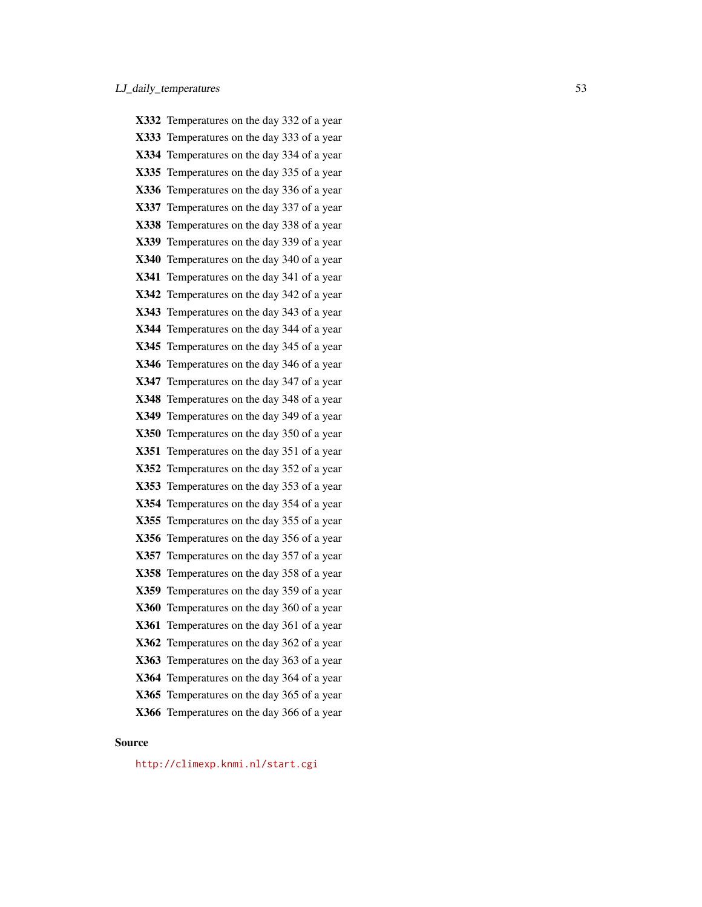X332 Temperatures on the day 332 of a year X333 Temperatures on the day 333 of a year X334 Temperatures on the day 334 of a year X335 Temperatures on the day 335 of a year X336 Temperatures on the day 336 of a year X337 Temperatures on the day 337 of a year X338 Temperatures on the day 338 of a year X339 Temperatures on the day 339 of a year X340 Temperatures on the day 340 of a year X341 Temperatures on the day 341 of a year X342 Temperatures on the day 342 of a year X343 Temperatures on the day 343 of a year X344 Temperatures on the day 344 of a year X345 Temperatures on the day 345 of a year X346 Temperatures on the day 346 of a year X347 Temperatures on the day 347 of a year X348 Temperatures on the day 348 of a year X349 Temperatures on the day 349 of a year X350 Temperatures on the day 350 of a year X351 Temperatures on the day 351 of a year X352 Temperatures on the day 352 of a year X353 Temperatures on the day 353 of a year X354 Temperatures on the day 354 of a year X355 Temperatures on the day 355 of a year X356 Temperatures on the day 356 of a year X357 Temperatures on the day 357 of a year X358 Temperatures on the day 358 of a year X359 Temperatures on the day 359 of a year X360 Temperatures on the day 360 of a year X361 Temperatures on the day 361 of a year X362 Temperatures on the day 362 of a year X363 Temperatures on the day 363 of a year X364 Temperatures on the day 364 of a year X365 Temperatures on the day 365 of a year X366 Temperatures on the day 366 of a year

# Source

<http://climexp.knmi.nl/start.cgi>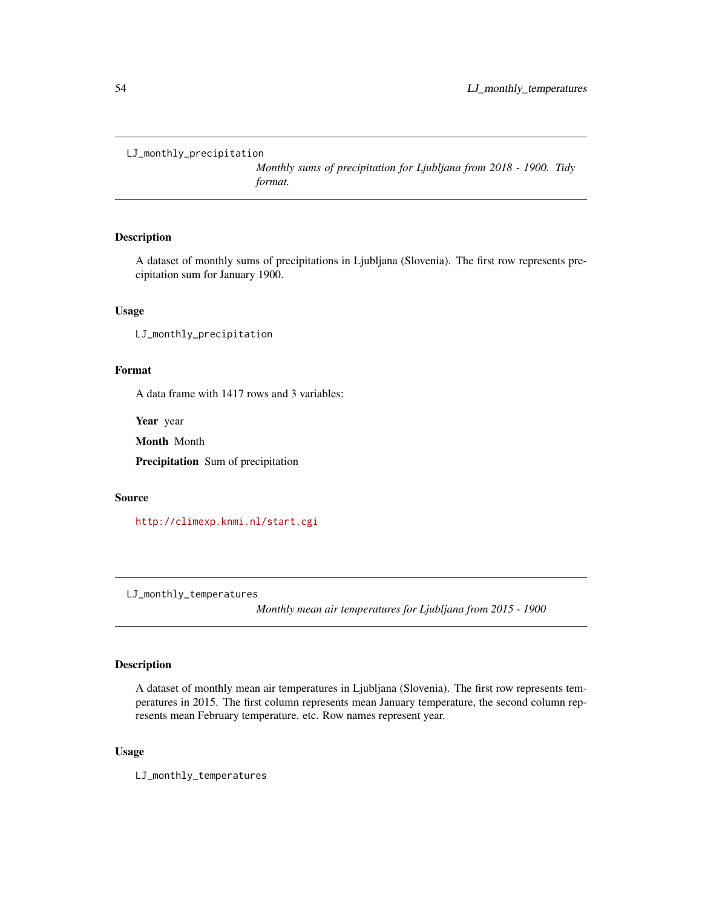<span id="page-53-0"></span>LJ\_monthly\_precipitation

*Monthly sums of precipitation for Ljubljana from 2018 - 1900. Tidy format.*

# Description

A dataset of monthly sums of precipitations in Ljubljana (Slovenia). The first row represents precipitation sum for January 1900.

# Usage

LJ\_monthly\_precipitation

# Format

A data frame with 1417 rows and 3 variables:

Year year

Month Month

Precipitation Sum of precipitation

# Source

<http://climexp.knmi.nl/start.cgi>

LJ\_monthly\_temperatures

*Monthly mean air temperatures for Ljubljana from 2015 - 1900*

# Description

A dataset of monthly mean air temperatures in Ljubljana (Slovenia). The first row represents temperatures in 2015. The first column represents mean January temperature, the second column represents mean February temperature. etc. Row names represent year.

# Usage

LJ\_monthly\_temperatures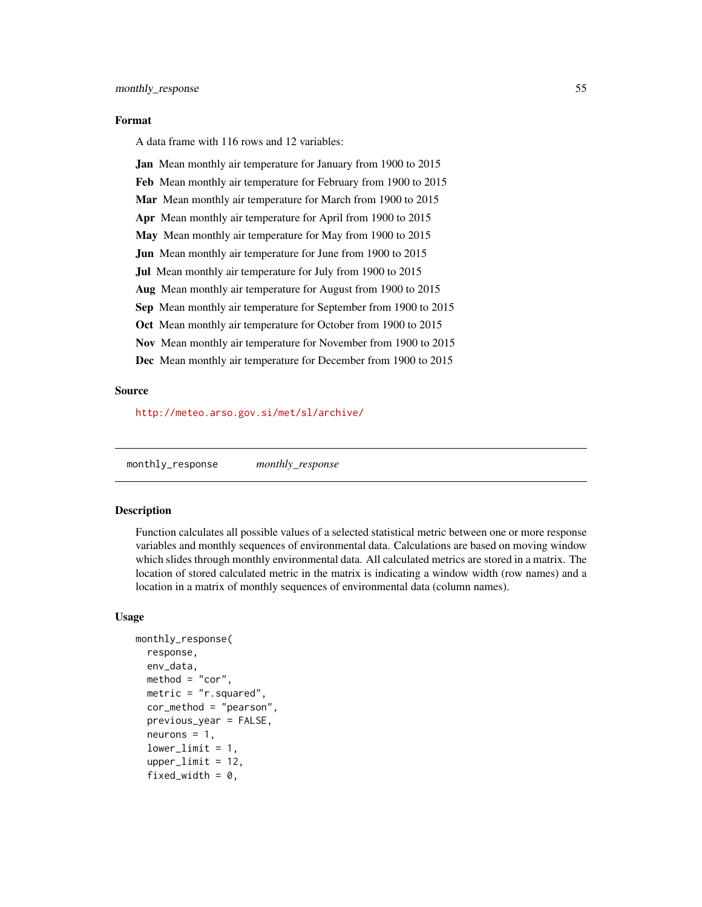#### <span id="page-54-0"></span>Format

A data frame with 116 rows and 12 variables:

Jan Mean monthly air temperature for January from 1900 to 2015 Feb Mean monthly air temperature for February from 1900 to 2015 Mar Mean monthly air temperature for March from 1900 to 2015 Apr Mean monthly air temperature for April from 1900 to 2015 May Mean monthly air temperature for May from 1900 to 2015 **Jun** Mean monthly air temperature for June from 1900 to 2015 Jul Mean monthly air temperature for July from 1900 to 2015 Aug Mean monthly air temperature for August from 1900 to 2015 Sep Mean monthly air temperature for September from 1900 to 2015 Oct Mean monthly air temperature for October from 1900 to 2015 Nov Mean monthly air temperature for November from 1900 to 2015 Dec Mean monthly air temperature for December from 1900 to 2015

# Source

<http://meteo.arso.gov.si/met/sl/archive/>

monthly\_response *monthly\_response*

# **Description**

Function calculates all possible values of a selected statistical metric between one or more response variables and monthly sequences of environmental data. Calculations are based on moving window which slides through monthly environmental data. All calculated metrics are stored in a matrix. The location of stored calculated metric in the matrix is indicating a window width (row names) and a location in a matrix of monthly sequences of environmental data (column names).

# Usage

```
monthly_response(
  response,
  env_data,
  method = "cor",metric = "r.squared",
  cor_method = "pearson",
  previous_year = FALSE,
  neurons = 1,
  lowerlimit = 1,
  upperlimit = 12,
  fixed_width = 0,
```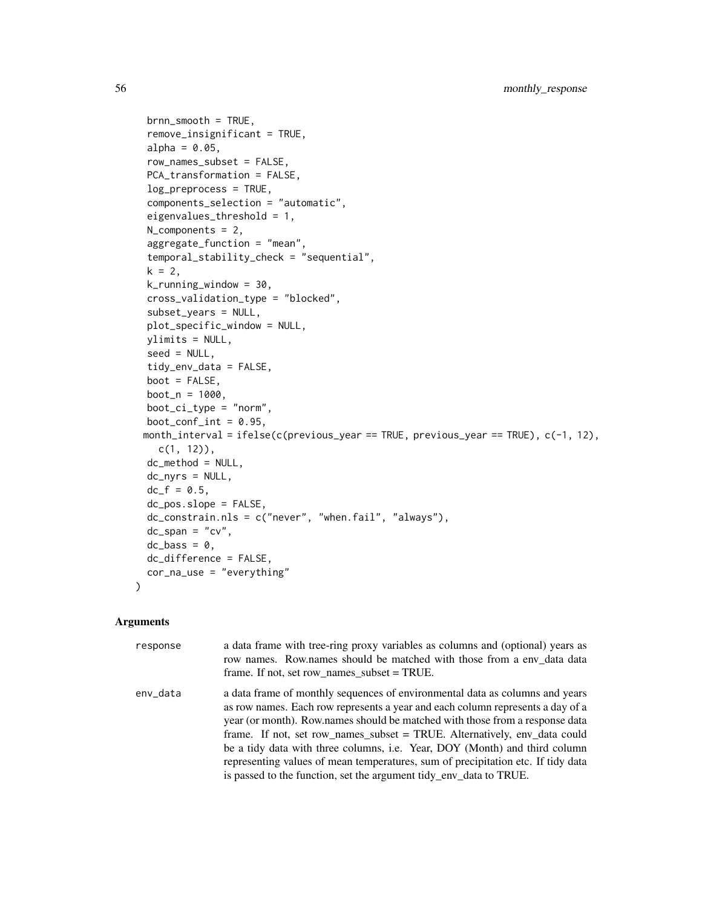```
brnn_smooth = TRUE,
remove_insignificant = TRUE,
alpha = 0.05,
row_names_subset = FALSE,
PCA_transformation = FALSE,
log_preprocess = TRUE,
components_selection = "automatic",
eigenvalues_threshold = 1,
N_components = 2,
aggregate_function = "mean",
temporal_stability_check = "sequential",
k = 2,k_running_window = 30,
cross_validation_type = "blocked",
subset_years = NULL,
plot_specific_window = NULL,
ylimits = NULL,
seed = NULL,
tidy_env_data = FALSE,
boot = FALSE,
boot_n = 1000,boot_c_i_type = "norm",boot_conf_int = 0.95,
month_interval = ifelse(c(previous_year == TRUE, previous_year == TRUE), c(-1, 12),
  c(1, 12),
dc_method = NULL,
dc_nyrs = NULL,
dc_f = 0.5,
dc_pos.slope = FALSE,
dc_constrain.nls = c("never", "when.fail", "always"),
dc_span = "cv",
dc_{\text{L}}bass = 0,
dc_difference = FALSE,
cor_na_use = "everything"
```
# Arguments

)

| response | a data frame with tree-ring proxy variables as columns and (optional) years as<br>row names. Row names should be matched with those from a env data data<br>frame. If not, set row names subset $= TRUE$ .                                                                                                                                                                                                                                                                                                                                                          |
|----------|---------------------------------------------------------------------------------------------------------------------------------------------------------------------------------------------------------------------------------------------------------------------------------------------------------------------------------------------------------------------------------------------------------------------------------------------------------------------------------------------------------------------------------------------------------------------|
| env_data | a data frame of monthly sequences of environmental data as columns and years<br>as row names. Each row represents a year and each column represents a day of a<br>year (or month). Row names should be matched with those from a response data<br>frame. If not, set row_names_subset = TRUE. Alternatively, env_data could<br>be a tidy data with three columns, i.e. Year, DOY (Month) and third column<br>representing values of mean temperatures, sum of precipitation etc. If tidy data<br>is passed to the function, set the argument tidy_env_data to TRUE. |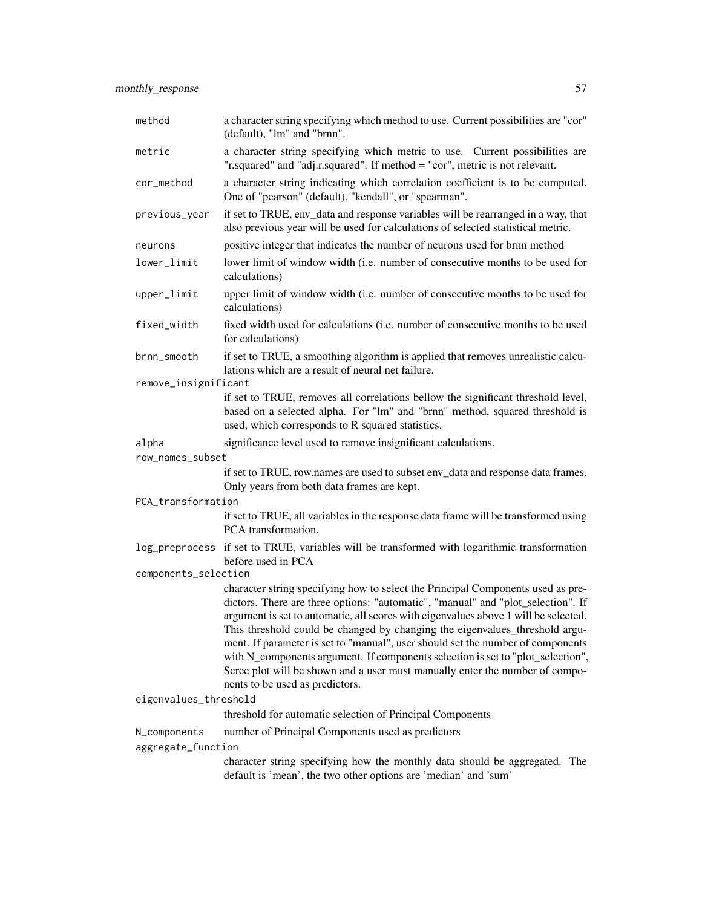monthly\_response 57

| method                | a character string specifying which method to use. Current possibilities are "cor"<br>(default), "lm" and "brnn".                                                                                                                                                                                                                                                                                                                                                                                                                                                                                                                  |
|-----------------------|------------------------------------------------------------------------------------------------------------------------------------------------------------------------------------------------------------------------------------------------------------------------------------------------------------------------------------------------------------------------------------------------------------------------------------------------------------------------------------------------------------------------------------------------------------------------------------------------------------------------------------|
| metric                | a character string specifying which metric to use. Current possibilities are<br>"r.squared" and "adj.r.squared". If method = "cor", metric is not relevant.                                                                                                                                                                                                                                                                                                                                                                                                                                                                        |
| cor_method            | a character string indicating which correlation coefficient is to be computed.<br>One of "pearson" (default), "kendall", or "spearman".                                                                                                                                                                                                                                                                                                                                                                                                                                                                                            |
| previous_year         | if set to TRUE, env_data and response variables will be rearranged in a way, that<br>also previous year will be used for calculations of selected statistical metric.                                                                                                                                                                                                                                                                                                                                                                                                                                                              |
| neurons               | positive integer that indicates the number of neurons used for brnn method                                                                                                                                                                                                                                                                                                                                                                                                                                                                                                                                                         |
| lower_limit           | lower limit of window width (i.e. number of consecutive months to be used for<br>calculations)                                                                                                                                                                                                                                                                                                                                                                                                                                                                                                                                     |
| upper_limit           | upper limit of window width (i.e. number of consecutive months to be used for<br>calculations)                                                                                                                                                                                                                                                                                                                                                                                                                                                                                                                                     |
| fixed_width           | fixed width used for calculations (i.e. number of consecutive months to be used<br>for calculations)                                                                                                                                                                                                                                                                                                                                                                                                                                                                                                                               |
| brnn_smooth           | if set to TRUE, a smoothing algorithm is applied that removes unrealistic calcu-<br>lations which are a result of neural net failure.                                                                                                                                                                                                                                                                                                                                                                                                                                                                                              |
| remove_insignificant  |                                                                                                                                                                                                                                                                                                                                                                                                                                                                                                                                                                                                                                    |
|                       | if set to TRUE, removes all correlations bellow the significant threshold level,<br>based on a selected alpha. For "lm" and "brnn" method, squared threshold is<br>used, which corresponds to R squared statistics.                                                                                                                                                                                                                                                                                                                                                                                                                |
| alpha                 | significance level used to remove insignificant calculations.                                                                                                                                                                                                                                                                                                                                                                                                                                                                                                                                                                      |
| row_names_subset      |                                                                                                                                                                                                                                                                                                                                                                                                                                                                                                                                                                                                                                    |
|                       | if set to TRUE, row.names are used to subset env_data and response data frames.<br>Only years from both data frames are kept.                                                                                                                                                                                                                                                                                                                                                                                                                                                                                                      |
| PCA_transformation    |                                                                                                                                                                                                                                                                                                                                                                                                                                                                                                                                                                                                                                    |
|                       | if set to TRUE, all variables in the response data frame will be transformed using<br>PCA transformation.                                                                                                                                                                                                                                                                                                                                                                                                                                                                                                                          |
|                       | log_preprocess if set to TRUE, variables will be transformed with logarithmic transformation<br>before used in PCA                                                                                                                                                                                                                                                                                                                                                                                                                                                                                                                 |
| components_selection  |                                                                                                                                                                                                                                                                                                                                                                                                                                                                                                                                                                                                                                    |
|                       | character string specifying how to select the Principal Components used as pre-<br>dictors. There are three options: "automatic", "manual" and "plot_selection". If<br>argument is set to automatic, all scores with eigenvalues above 1 will be selected.<br>This threshold could be changed by changing the eigenvalues_threshold argu-<br>ment. If parameter is set to "manual", user should set the number of components<br>with N_components argument. If components selection is set to "plot_selection",<br>Scree plot will be shown and a user must manually enter the number of compo-<br>nents to be used as predictors. |
| eigenvalues_threshold |                                                                                                                                                                                                                                                                                                                                                                                                                                                                                                                                                                                                                                    |
|                       | threshold for automatic selection of Principal Components                                                                                                                                                                                                                                                                                                                                                                                                                                                                                                                                                                          |
| N_components          | number of Principal Components used as predictors                                                                                                                                                                                                                                                                                                                                                                                                                                                                                                                                                                                  |
| aggregate_function    | character string specifying how the monthly data should be aggregated. The<br>default is 'mean', the two other options are 'median' and 'sum'                                                                                                                                                                                                                                                                                                                                                                                                                                                                                      |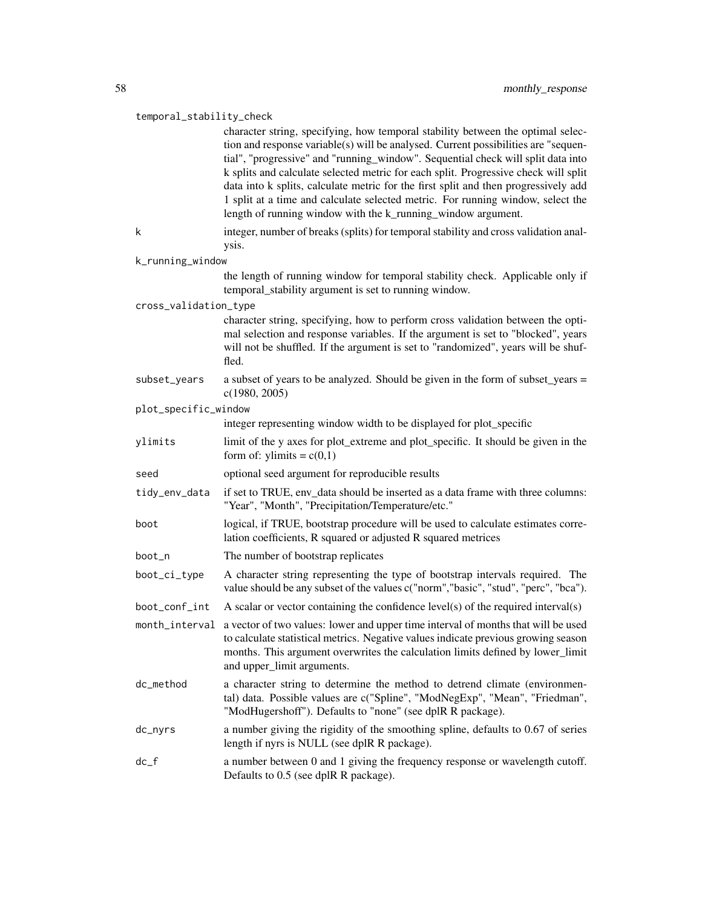# temporal\_stability\_check

|                       | character string, specifying, how temporal stability between the optimal selec-<br>tion and response variable(s) will be analysed. Current possibilities are "sequen-<br>tial", "progressive" and "running_window". Sequential check will split data into<br>k splits and calculate selected metric for each split. Progressive check will split<br>data into k splits, calculate metric for the first split and then progressively add<br>1 split at a time and calculate selected metric. For running window, select the<br>length of running window with the k_running_window argument. |
|-----------------------|--------------------------------------------------------------------------------------------------------------------------------------------------------------------------------------------------------------------------------------------------------------------------------------------------------------------------------------------------------------------------------------------------------------------------------------------------------------------------------------------------------------------------------------------------------------------------------------------|
| k                     | integer, number of breaks (splits) for temporal stability and cross validation anal-<br>ysis.                                                                                                                                                                                                                                                                                                                                                                                                                                                                                              |
| k_running_window      |                                                                                                                                                                                                                                                                                                                                                                                                                                                                                                                                                                                            |
|                       | the length of running window for temporal stability check. Applicable only if<br>temporal_stability argument is set to running window.                                                                                                                                                                                                                                                                                                                                                                                                                                                     |
| cross_validation_type |                                                                                                                                                                                                                                                                                                                                                                                                                                                                                                                                                                                            |
|                       | character string, specifying, how to perform cross validation between the opti-<br>mal selection and response variables. If the argument is set to "blocked", years<br>will not be shuffled. If the argument is set to "randomized", years will be shuf-<br>fled.                                                                                                                                                                                                                                                                                                                          |
| subset_years          | a subset of years to be analyzed. Should be given in the form of subset_years =<br>c(1980, 2005)                                                                                                                                                                                                                                                                                                                                                                                                                                                                                           |
| plot_specific_window  |                                                                                                                                                                                                                                                                                                                                                                                                                                                                                                                                                                                            |
|                       | integer representing window width to be displayed for plot_specific                                                                                                                                                                                                                                                                                                                                                                                                                                                                                                                        |
| ylimits               | limit of the y axes for plot_extreme and plot_specific. It should be given in the<br>form of: ylimits = $c(0,1)$                                                                                                                                                                                                                                                                                                                                                                                                                                                                           |
| seed                  | optional seed argument for reproducible results                                                                                                                                                                                                                                                                                                                                                                                                                                                                                                                                            |
| tidy_env_data         | if set to TRUE, env_data should be inserted as a data frame with three columns:<br>"Year", "Month", "Precipitation/Temperature/etc."                                                                                                                                                                                                                                                                                                                                                                                                                                                       |
| boot                  | logical, if TRUE, bootstrap procedure will be used to calculate estimates corre-<br>lation coefficients, R squared or adjusted R squared metrices                                                                                                                                                                                                                                                                                                                                                                                                                                          |
| boot_n                | The number of bootstrap replicates                                                                                                                                                                                                                                                                                                                                                                                                                                                                                                                                                         |
| boot_ci_type          | A character string representing the type of bootstrap intervals required. The<br>value should be any subset of the values c("norm","basic", "stud", "perc", "bca").                                                                                                                                                                                                                                                                                                                                                                                                                        |
| boot_conf_int         | A scalar or vector containing the confidence $level(s)$ of the required interval(s)                                                                                                                                                                                                                                                                                                                                                                                                                                                                                                        |
| month_interval        | a vector of two values: lower and upper time interval of months that will be used<br>to calculate statistical metrics. Negative values indicate previous growing season<br>months. This argument overwrites the calculation limits defined by lower_limit<br>and upper_limit arguments.                                                                                                                                                                                                                                                                                                    |
| dc_method             | a character string to determine the method to detrend climate (environmen-<br>tal) data. Possible values are c("Spline", "ModNegExp", "Mean", "Friedman",<br>"ModHugershoff"). Defaults to "none" (see dplR R package).                                                                                                                                                                                                                                                                                                                                                                    |
| dc_nyrs               | a number giving the rigidity of the smoothing spline, defaults to 0.67 of series<br>length if nyrs is NULL (see dplR R package).                                                                                                                                                                                                                                                                                                                                                                                                                                                           |
| $dc_f$                | a number between 0 and 1 giving the frequency response or wavelength cutoff.<br>Defaults to 0.5 (see dplR R package).                                                                                                                                                                                                                                                                                                                                                                                                                                                                      |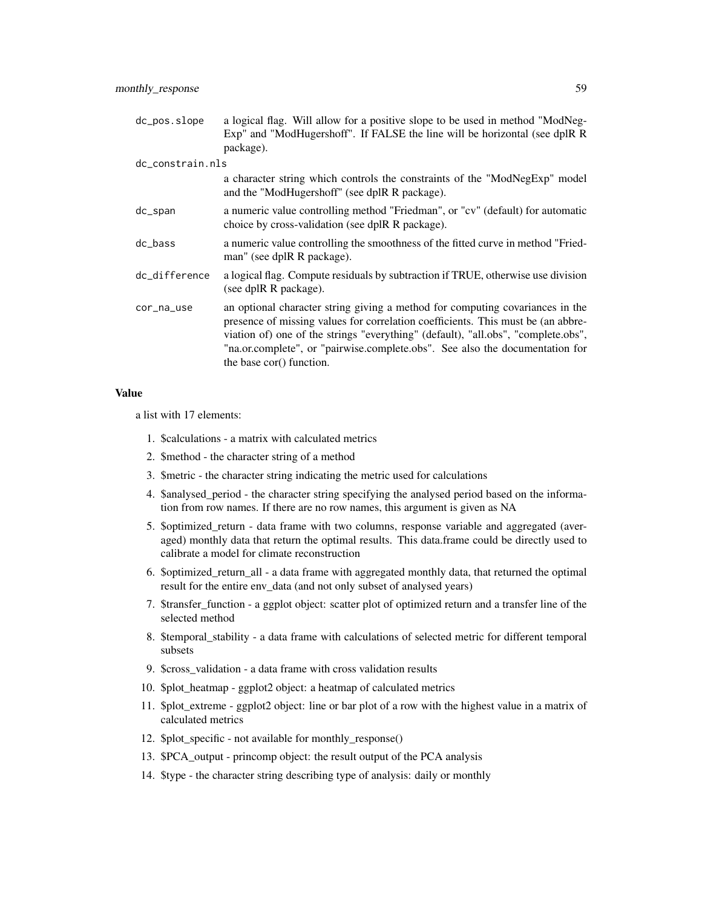| dc_pos.slope     | a logical flag. Will allow for a positive slope to be used in method "ModNeg-<br>Exp" and "ModHugershoff". If FALSE the line will be horizontal (see dplR R<br>package).                                                                                                                                                                                           |
|------------------|--------------------------------------------------------------------------------------------------------------------------------------------------------------------------------------------------------------------------------------------------------------------------------------------------------------------------------------------------------------------|
| dc_constrain.nls |                                                                                                                                                                                                                                                                                                                                                                    |
|                  | a character string which controls the constraints of the "ModNegExp" model<br>and the "ModHugershoff" (see dplR R package).                                                                                                                                                                                                                                        |
| dc_span          | a numeric value controlling method "Friedman", or "cv" (default) for automatic<br>choice by cross-validation (see dplR R package).                                                                                                                                                                                                                                 |
| $dc_{\text{L}}$  | a numeric value controlling the smoothness of the fitted curve in method "Fried-<br>man" (see dplR R package).                                                                                                                                                                                                                                                     |
| dc_difference    | a logical flag. Compute residuals by subtraction if TRUE, otherwise use division<br>(see dplR R package).                                                                                                                                                                                                                                                          |
| cor_na_use       | an optional character string giving a method for computing covariances in the<br>presence of missing values for correlation coefficients. This must be (an abbre-<br>viation of) one of the strings "everything" (default), "all.obs", "complete.obs",<br>"na.or.complete", or "pairwise.complete.obs". See also the documentation for<br>the base cor() function. |

#### Value

a list with 17 elements:

- 1. \$calculations a matrix with calculated metrics
- 2. \$method the character string of a method
- 3. \$metric the character string indicating the metric used for calculations
- 4. \$analysed\_period the character string specifying the analysed period based on the information from row names. If there are no row names, this argument is given as NA
- 5. \$optimized\_return data frame with two columns, response variable and aggregated (averaged) monthly data that return the optimal results. This data.frame could be directly used to calibrate a model for climate reconstruction
- 6. \$optimized\_return\_all a data frame with aggregated monthly data, that returned the optimal result for the entire env\_data (and not only subset of analysed years)
- 7. \$transfer\_function a ggplot object: scatter plot of optimized return and a transfer line of the selected method
- 8. \$temporal\_stability a data frame with calculations of selected metric for different temporal subsets
- 9. \$cross\_validation a data frame with cross validation results
- 10. \$plot\_heatmap ggplot2 object: a heatmap of calculated metrics
- 11. \$plot\_extreme ggplot2 object: line or bar plot of a row with the highest value in a matrix of calculated metrics
- 12. \$plot\_specific not available for monthly\_response()
- 13. \$PCA\_output princomp object: the result output of the PCA analysis
- 14. \$type the character string describing type of analysis: daily or monthly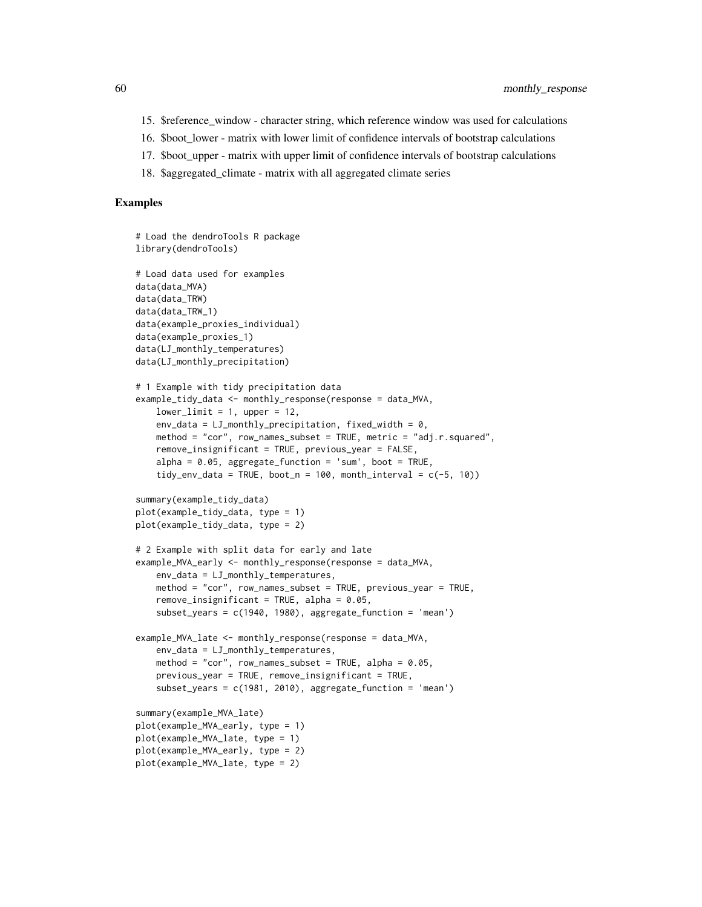- 15. \$reference\_window character string, which reference window was used for calculations
- 16. \$boot\_lower matrix with lower limit of confidence intervals of bootstrap calculations
- 17. \$boot\_upper matrix with upper limit of confidence intervals of bootstrap calculations
- 18. \$aggregated\_climate matrix with all aggregated climate series

#### Examples

```
# Load the dendroTools R package
library(dendroTools)
# Load data used for examples
data(data_MVA)
data(data_TRW)
data(data_TRW_1)
data(example_proxies_individual)
data(example_proxies_1)
data(LJ_monthly_temperatures)
data(LJ_monthly_precipitation)
# 1 Example with tidy precipitation data
example_tidy_data <- monthly_response(response = data_MVA,
   lowerlimit = 1, upper = 12,
   env_data = LJ_mmonthly_precipitation, fixed_width = 0,
   method = "cor", row_names_subset = TRUE, metric = "adj.r.squared",
   remove_insignificant = TRUE, previous_year = FALSE,
    alpha = 0.05, aggregate_function = 'sum', boot = TRUE,
    tidy_env_data = TRUE, boot_n = 100, month_interval = c(-5, 10))
summary(example_tidy_data)
plot(example_tidy_data, type = 1)
plot(example_tidy_data, type = 2)
# 2 Example with split data for early and late
example_MVA_early <- monthly_response(response = data_MVA,
    env_data = LJ_monthly_temperatures,
   method = "cor", row_names_subset = TRUE, previous_year = TRUE,
    remove_insignificant = TRUE, alpha = 0.05,
    subset_years = c(1940, 1980), aggregate_function = 'mean')
example_MVA_late <- monthly_response(response = data_MVA,
   env_data = LJ_monthly_temperatures,
   method = "cor", row_names_subset = TRUE, alpha = 0.05,
   previous_year = TRUE, remove_insignificant = TRUE,
    subset_years = c(1981, 2010), aggregate_function = 'mean')
summary(example_MVA_late)
plot(example_MVA_early, type = 1)
plot(example_MVA_late, type = 1)
plot(example_MVA_early, type = 2)
plot(example_MVA_late, type = 2)
```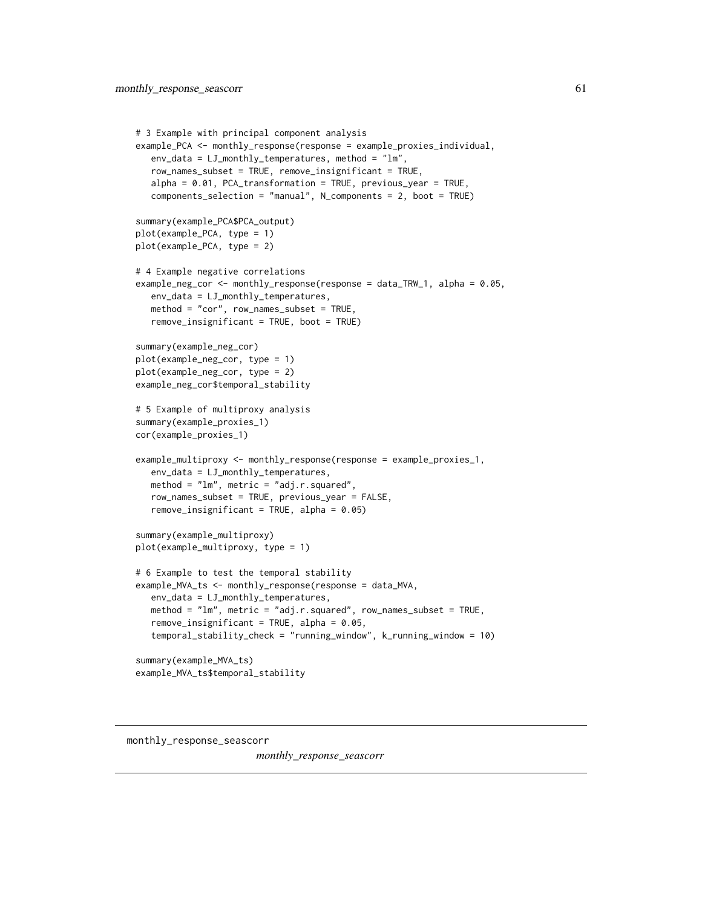```
# 3 Example with principal component analysis
example_PCA <- monthly_response(response = example_proxies_individual,
  env_data = LJ_monthly_temperatures, method = "lm",
  row_names_subset = TRUE, remove_insignificant = TRUE,
  alpha = 0.01, PCA_transformation = TRUE, previous_year = TRUE,
  components_selection = "manual", N_components = 2, boot = TRUE)
summary(example_PCA$PCA_output)
plot(example_PCA, type = 1)
plot(example_PCA, type = 2)
# 4 Example negative correlations
example_neg_cor <- monthly_response(response = data_TRW_1, alpha = 0.05,
   env_data = LJ_monthly_temperatures,
  method = "cor", row_names_subset = TRUE,
  remove_insignificant = TRUE, boot = TRUE)
summary(example_neg_cor)
plot(example_neg_cor, type = 1)
plot(example_neg_cor, type = 2)
example_neg_cor$temporal_stability
# 5 Example of multiproxy analysis
summary(example_proxies_1)
cor(example_proxies_1)
example_multiproxy <- monthly_response(response = example_proxies_1,
  env_data = LJ_monthly_temperatures,
  method = "lm", metric = "adj.r.squared",
  row_names_subset = TRUE, previous_year = FALSE,
  remove_insignificant = TRUE, alpha = 0.05)summary(example_multiproxy)
plot(example_multiproxy, type = 1)
# 6 Example to test the temporal stability
example_MVA_ts <- monthly_response(response = data_MVA,
   env_data = LJ_monthly_temperatures,
  method = "lm", metric = "adj.r.squared", row_names_subset = TRUE,
   remove_insignificant = TRUE, alpha = 0.05,
   temporal_stability_check = "running_window", k_running_window = 10)
summary(example_MVA_ts)
example_MVA_ts$temporal_stability
```
monthly\_response\_seascorr

*monthly\_response\_seascorr*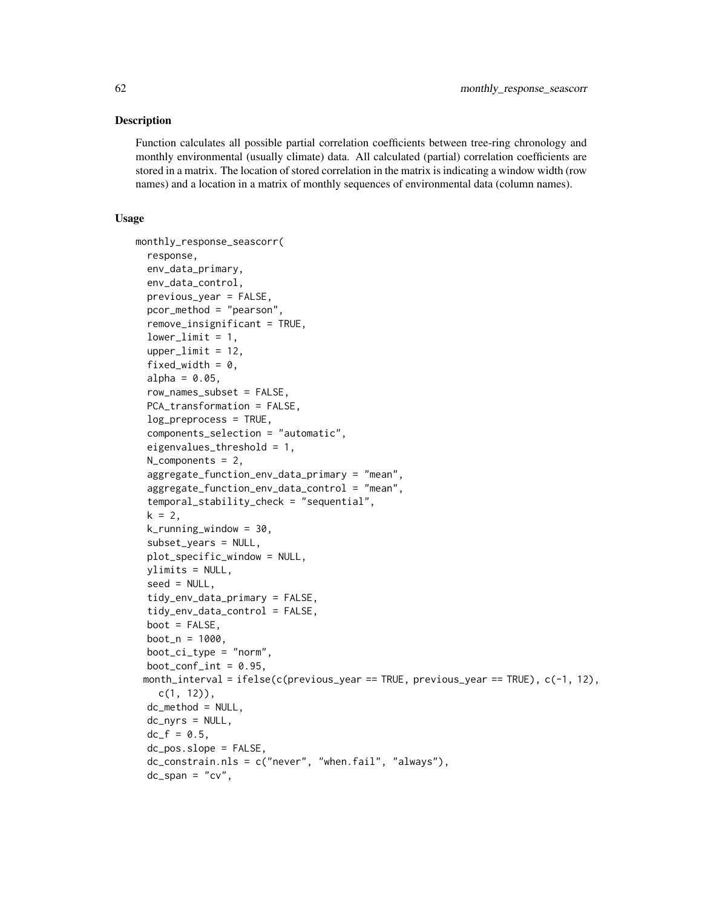# Description

Function calculates all possible partial correlation coefficients between tree-ring chronology and monthly environmental (usually climate) data. All calculated (partial) correlation coefficients are stored in a matrix. The location of stored correlation in the matrix is indicating a window width (row names) and a location in a matrix of monthly sequences of environmental data (column names).

# Usage

```
monthly_response_seascorr(
  response,
  env_data_primary,
  env_data_control,
  previous_year = FALSE,
  pcor_method = "pearson",
  remove_insignificant = TRUE,
  lowerlimit = 1,
  upperlimit = 12,
  fixed_width = 0,
  alpha = 0.05,
  row_names_subset = FALSE,
  PCA_transformation = FALSE,
  log_preprocess = TRUE,
  components_selection = "automatic",
  eigenvalues_threshold = 1,
 N_components = 2,
  aggregate_function_env_data_primary = "mean",
  aggregate_function_env_data_control = "mean",
  temporal_stability_check = "sequential",
  k = 2,k_running_window = 30,
  subset_years = NULL,
  plot_specific_window = NULL,
 ylimits = NULL,
  seed = NULL,
  tidy_env_data_primary = FALSE,
  tidy_env_data_control = FALSE,
  boot = FALSE,boot_n = 1000,boot_c_i_type = "norm",boot_conf_int = 0.95,
 month_interval = ifelse(c(previous_year == TRUE, previous_year == TRUE), c(-1, 12),
    c(1, 12)),
  dc method = NULL,
  dc_nyrs = NULL,
  dc_{f} = 0.5,
  dc_pos.slope = FALSE,
  dc_constrain.nls = c("never", "when.fail", "always"),
  dc_span = "cv",
```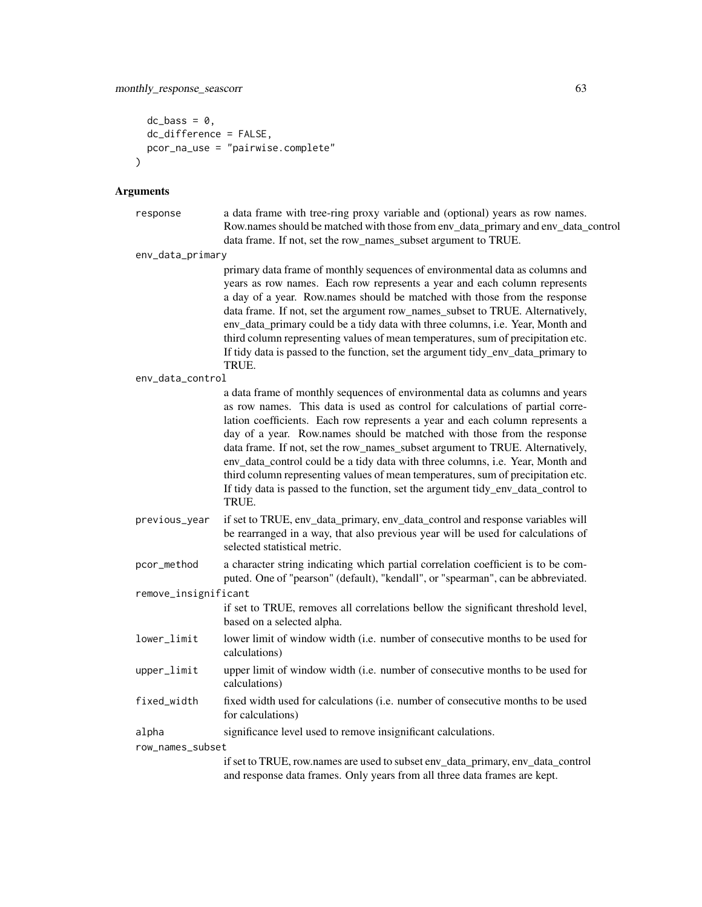```
dc_bass = \theta,
  dc_difference = FALSE,
  pcor_na_use = "pairwise.complete"
\lambda
```
# Arguments

```
response a data frame with tree-ring proxy variable and (optional) years as row names.
                 Row.names should be matched with those from env_data_primary and env_data_control
                 data frame. If not, set the row_names_subset argument to TRUE.
```
env\_data\_primary

primary data frame of monthly sequences of environmental data as columns and years as row names. Each row represents a year and each column represents a day of a year. Row.names should be matched with those from the response data frame. If not, set the argument row names subset to TRUE. Alternatively, env\_data\_primary could be a tidy data with three columns, i.e. Year, Month and third column representing values of mean temperatures, sum of precipitation etc. If tidy data is passed to the function, set the argument tidy\_env\_data\_primary to TRUE.

```
env_data_control
```
a data frame of monthly sequences of environmental data as columns and years as row names. This data is used as control for calculations of partial correlation coefficients. Each row represents a year and each column represents a day of a year. Row.names should be matched with those from the response data frame. If not, set the row\_names\_subset argument to TRUE. Alternatively, env\_data\_control could be a tidy data with three columns, i.e. Year, Month and third column representing values of mean temperatures, sum of precipitation etc. If tidy data is passed to the function, set the argument tidy\_env\_data\_control to TRUE.

previous\_year if set to TRUE, env\_data\_primary, env\_data\_control and response variables will be rearranged in a way, that also previous year will be used for calculations of selected statistical metric.

pcor\_method a character string indicating which partial correlation coefficient is to be computed. One of "pearson" (default), "kendall", or "spearman", can be abbreviated.

remove\_insignificant

```
if set to TRUE, removes all correlations bellow the significant threshold level,
based on a selected alpha.
```
- lower\_limit lower limit of window width (i.e. number of consecutive months to be used for calculations)
- upper\_limit upper limit of window width (i.e. number of consecutive months to be used for calculations)
- fixed\_width fixed width used for calculations (i.e. number of consecutive months to be used for calculations)
- alpha significance level used to remove insignificant calculations.

row\_names\_subset

if set to TRUE, row.names are used to subset env\_data\_primary, env\_data\_control and response data frames. Only years from all three data frames are kept.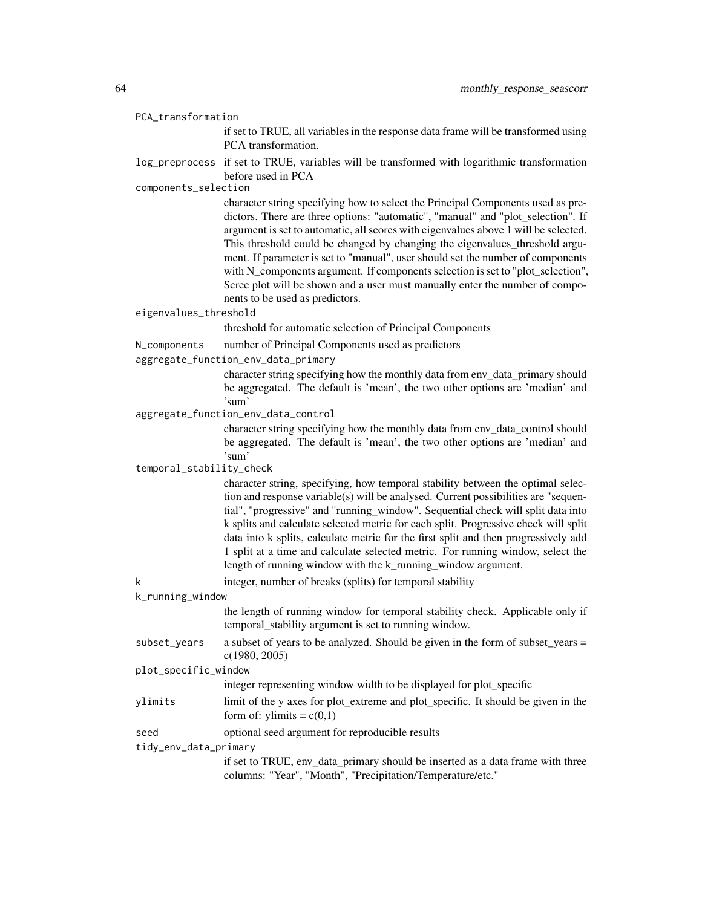|  | PCA_transformation |
|--|--------------------|
|--|--------------------|

if set to TRUE, all variables in the response data frame will be transformed using PCA transformation.

log\_preprocess if set to TRUE, variables will be transformed with logarithmic transformation before used in PCA

components\_selection

character string specifying how to select the Principal Components used as predictors. There are three options: "automatic", "manual" and "plot\_selection". If argument is set to automatic, all scores with eigenvalues above 1 will be selected. This threshold could be changed by changing the eigenvalues\_threshold argument. If parameter is set to "manual", user should set the number of components with N\_components argument. If components selection is set to "plot\_selection", Scree plot will be shown and a user must manually enter the number of components to be used as predictors.

# eigenvalues\_threshold

threshold for automatic selection of Principal Components

- N\_components number of Principal Components used as predictors
- aggregate\_function\_env\_data\_primary

character string specifying how the monthly data from env\_data\_primary should be aggregated. The default is 'mean', the two other options are 'median' and 'sum'

aggregate\_function\_env\_data\_control

character string specifying how the monthly data from env\_data\_control should be aggregated. The default is 'mean', the two other options are 'median' and 'sum'

#### temporal\_stability\_check

character string, specifying, how temporal stability between the optimal selection and response variable(s) will be analysed. Current possibilities are "sequential", "progressive" and "running\_window". Sequential check will split data into k splits and calculate selected metric for each split. Progressive check will split data into k splits, calculate metric for the first split and then progressively add 1 split at a time and calculate selected metric. For running window, select the length of running window with the k\_running\_window argument.

k integer, number of breaks (splits) for temporal stability

# k\_running\_window

the length of running window for temporal stability check. Applicable only if temporal\_stability argument is set to running window.

subset\_years a subset of years to be analyzed. Should be given in the form of subset\_years = c(1980, 2005)

#### plot\_specific\_window

integer representing window width to be displayed for plot\_specific

- ylimits limit of the y axes for plot\_extreme and plot\_specific. It should be given in the form of: ylimits =  $c(0,1)$
- seed optional seed argument for reproducible results

tidy\_env\_data\_primary

if set to TRUE, env\_data\_primary should be inserted as a data frame with three columns: "Year", "Month", "Precipitation/Temperature/etc."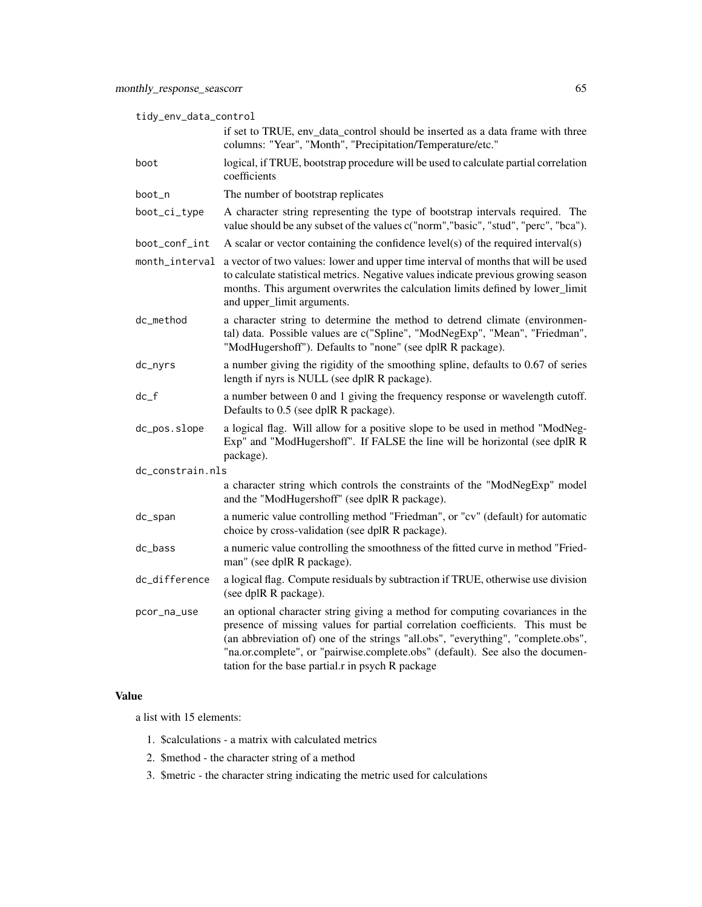| tidy_env_data_control |  |
|-----------------------|--|
|-----------------------|--|

|                  | if set to TRUE, env_data_control should be inserted as a data frame with three<br>columns: "Year", "Month", "Precipitation/Temperature/etc."                                                                                                                                                                                                                                            |
|------------------|-----------------------------------------------------------------------------------------------------------------------------------------------------------------------------------------------------------------------------------------------------------------------------------------------------------------------------------------------------------------------------------------|
| boot             | logical, if TRUE, bootstrap procedure will be used to calculate partial correlation<br>coefficients                                                                                                                                                                                                                                                                                     |
| boot_n           | The number of bootstrap replicates                                                                                                                                                                                                                                                                                                                                                      |
| boot_ci_type     | A character string representing the type of bootstrap intervals required. The<br>value should be any subset of the values c("norm","basic", "stud", "perc", "bca").                                                                                                                                                                                                                     |
| boot_conf_int    | A scalar or vector containing the confidence $level(s)$ of the required interval $(s)$                                                                                                                                                                                                                                                                                                  |
| month_interval   | a vector of two values: lower and upper time interval of months that will be used<br>to calculate statistical metrics. Negative values indicate previous growing season<br>months. This argument overwrites the calculation limits defined by lower_limit<br>and upper_limit arguments.                                                                                                 |
| dc_method        | a character string to determine the method to detrend climate (environmen-<br>tal) data. Possible values are c("Spline", "ModNegExp", "Mean", "Friedman",<br>"ModHugershoff"). Defaults to "none" (see dplR R package).                                                                                                                                                                 |
| dc_nyrs          | a number giving the rigidity of the smoothing spline, defaults to 0.67 of series<br>length if nyrs is NULL (see dplR R package).                                                                                                                                                                                                                                                        |
| dc_f             | a number between 0 and 1 giving the frequency response or wavelength cutoff.<br>Defaults to 0.5 (see dplR R package).                                                                                                                                                                                                                                                                   |
| dc_pos.slope     | a logical flag. Will allow for a positive slope to be used in method "ModNeg-<br>Exp" and "ModHugershoff". If FALSE the line will be horizontal (see dplR R<br>package).                                                                                                                                                                                                                |
| dc_constrain.nls |                                                                                                                                                                                                                                                                                                                                                                                         |
|                  | a character string which controls the constraints of the "ModNegExp" model<br>and the "ModHugershoff" (see dplR R package).                                                                                                                                                                                                                                                             |
| dc_span          | a numeric value controlling method "Friedman", or "cv" (default) for automatic<br>choice by cross-validation (see dplR R package).                                                                                                                                                                                                                                                      |
| dc_bass          | a numeric value controlling the smoothness of the fitted curve in method "Fried-<br>man" (see dplR R package).                                                                                                                                                                                                                                                                          |
| dc_difference    | a logical flag. Compute residuals by subtraction if TRUE, otherwise use division<br>(see dplR R package).                                                                                                                                                                                                                                                                               |
| pcor_na_use      | an optional character string giving a method for computing covariances in the<br>presence of missing values for partial correlation coefficients. This must be<br>(an abbreviation of) one of the strings "all.obs", "everything", "complete.obs",<br>"na.or.complete", or "pairwise.complete.obs" (default). See also the documen-<br>tation for the base partial.r in psych R package |

# Value

a list with 15 elements:

- 1. \$calculations a matrix with calculated metrics
- 2. \$method the character string of a method
- 3. \$metric the character string indicating the metric used for calculations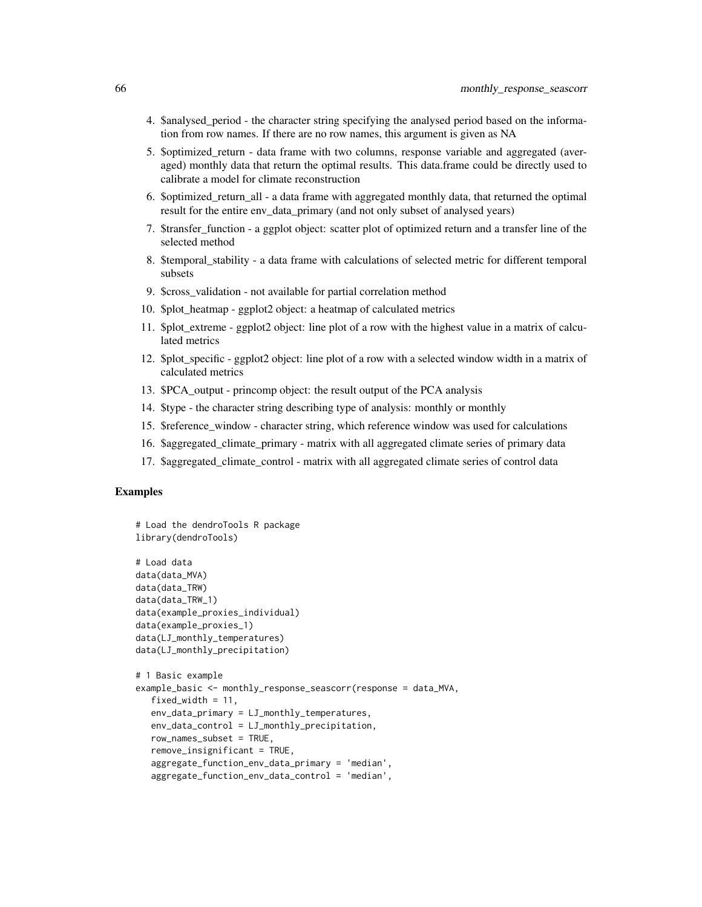- 4. \$analysed\_period the character string specifying the analysed period based on the information from row names. If there are no row names, this argument is given as NA
- 5. \$optimized\_return data frame with two columns, response variable and aggregated (averaged) monthly data that return the optimal results. This data.frame could be directly used to calibrate a model for climate reconstruction
- 6. \$optimized\_return\_all a data frame with aggregated monthly data, that returned the optimal result for the entire env\_data\_primary (and not only subset of analysed years)
- 7. Stransfer function a ggplot object: scatter plot of optimized return and a transfer line of the selected method
- 8. \$temporal\_stability a data frame with calculations of selected metric for different temporal subsets
- 9. \$cross\_validation not available for partial correlation method
- 10. \$plot\_heatmap ggplot2 object: a heatmap of calculated metrics
- 11. \$plot\_extreme ggplot2 object: line plot of a row with the highest value in a matrix of calculated metrics
- 12. \$plot\_specific ggplot2 object: line plot of a row with a selected window width in a matrix of calculated metrics
- 13. \$PCA\_output princomp object: the result output of the PCA analysis
- 14. \$type the character string describing type of analysis: monthly or monthly
- 15. \$reference\_window character string, which reference window was used for calculations
- 16. \$aggregated\_climate\_primary matrix with all aggregated climate series of primary data
- 17. \$aggregated\_climate\_control matrix with all aggregated climate series of control data

# Examples

```
# Load the dendroTools R package
library(dendroTools)
# Load data
data(data_MVA)
data(data_TRW)
data(data_TRW_1)
data(example_proxies_individual)
data(example_proxies_1)
data(LJ_monthly_temperatures)
data(LJ_monthly_precipitation)
# 1 Basic example
example_basic <- monthly_response_seascorr(response = data_MVA,
  fixed_width = 11,
   env_data_primary = LJ_monthly_temperatures,
   env_data_control = LJ_monthly_precipitation,
   row_names_subset = TRUE,
   remove_insignificant = TRUE,
   aggregate_function_env_data_primary = 'median',
   aggregate_function_env_data_control = 'median',
```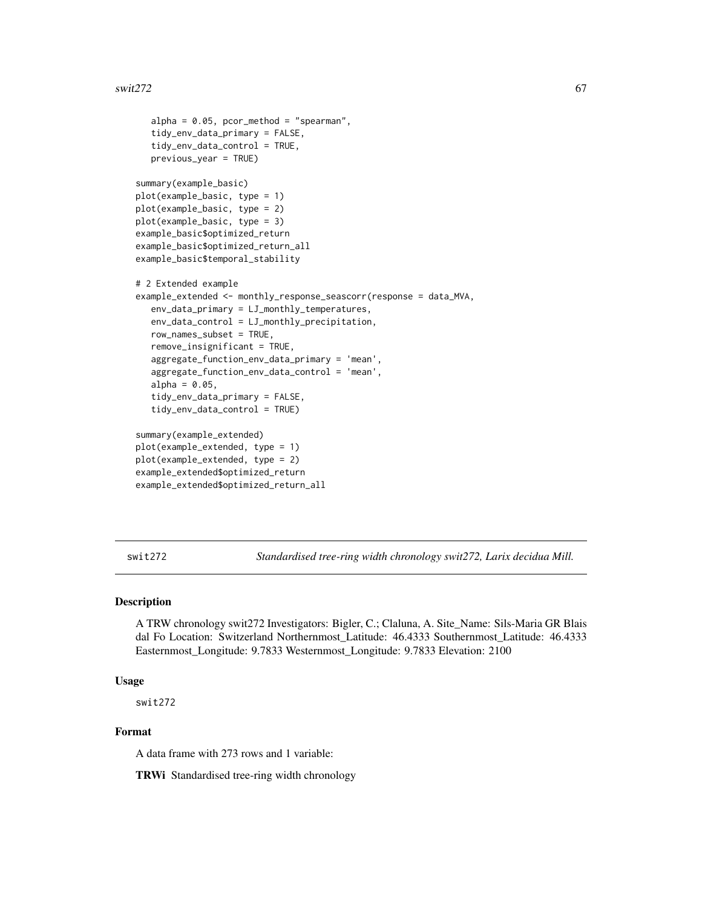```
alpha = 0.05, pcor_method = "spearman",
   tidy_env_data_primary = FALSE,
   tidy_env_data_control = TRUE,
  previous_year = TRUE)
summary(example_basic)
plot(example_basic, type = 1)
plot(example_basic, type = 2)
plot(example_basic, type = 3)
example_basic$optimized_return
example_basic$optimized_return_all
example_basic$temporal_stability
# 2 Extended example
example_extended <- monthly_response_seascorr(response = data_MVA,
   env_data_primary = LJ_monthly_temperatures,
  env_data_control = LJ_monthly_precipitation,
  row_names_subset = TRUE,
  remove_insignificant = TRUE,
   aggregate_function_env_data_primary = 'mean',
  aggregate_function_env_data_control = 'mean',
  alpha = 0.05,
   tidy_env_data_primary = FALSE,
   tidy_env_data_control = TRUE)
summary(example_extended)
plot(example_extended, type = 1)
plot(example_extended, type = 2)
example_extended$optimized_return
example_extended$optimized_return_all
```
swit272 *Standardised tree-ring width chronology swit272, Larix decidua Mill.*

### Description

A TRW chronology swit272 Investigators: Bigler, C.; Claluna, A. Site\_Name: Sils-Maria GR Blais dal Fo Location: Switzerland Northernmost\_Latitude: 46.4333 Southernmost\_Latitude: 46.4333 Easternmost\_Longitude: 9.7833 Westernmost\_Longitude: 9.7833 Elevation: 2100

#### Usage

swit272

# Format

A data frame with 273 rows and 1 variable:

TRWi Standardised tree-ring width chronology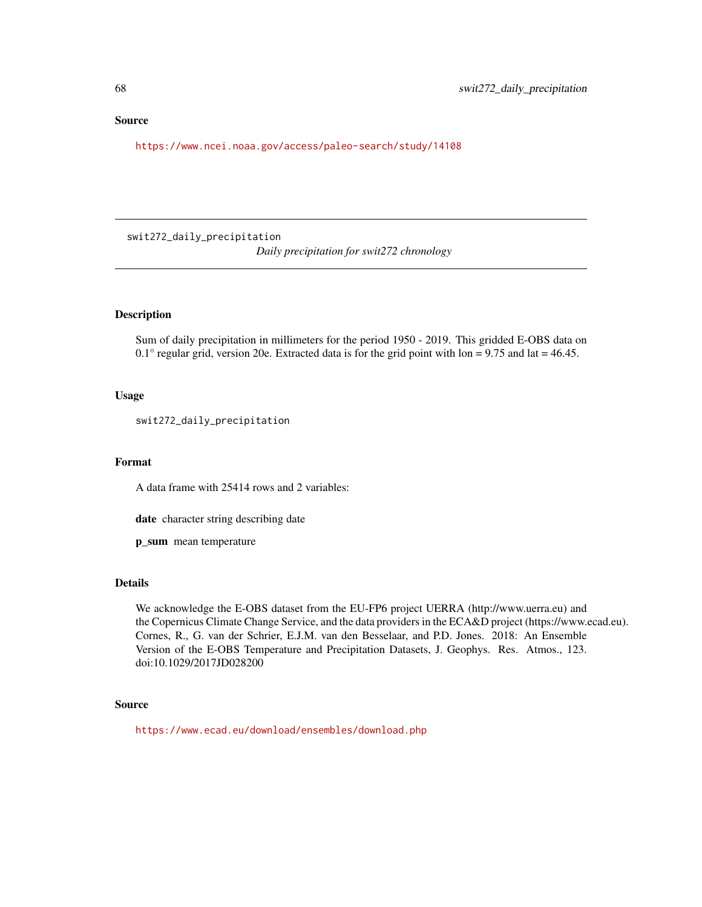# <span id="page-67-0"></span>Source

<https://www.ncei.noaa.gov/access/paleo-search/study/14108>

swit272\_daily\_precipitation *Daily precipitation for swit272 chronology*

# Description

Sum of daily precipitation in millimeters for the period 1950 - 2019. This gridded E-OBS data on  $0.1^\circ$  regular grid, version 20e. Extracted data is for the grid point with lon = 9.75 and lat = 46.45.

#### Usage

swit272\_daily\_precipitation

#### Format

A data frame with 25414 rows and 2 variables:

date character string describing date

p\_sum mean temperature

#### Details

We acknowledge the E-OBS dataset from the EU-FP6 project UERRA (http://www.uerra.eu) and the Copernicus Climate Change Service, and the data providers in the ECA&D project (https://www.ecad.eu). Cornes, R., G. van der Schrier, E.J.M. van den Besselaar, and P.D. Jones. 2018: An Ensemble Version of the E-OBS Temperature and Precipitation Datasets, J. Geophys. Res. Atmos., 123. doi:10.1029/2017JD028200

# Source

<https://www.ecad.eu/download/ensembles/download.php>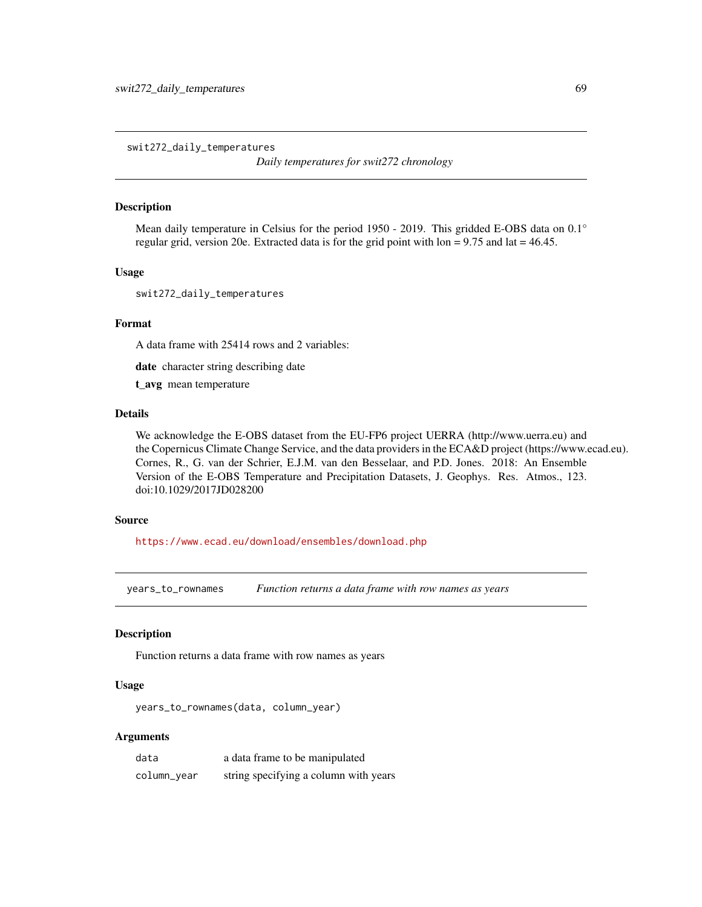<span id="page-68-0"></span>swit272\_daily\_temperatures

*Daily temperatures for swit272 chronology*

# Description

Mean daily temperature in Celsius for the period 1950 - 2019. This gridded E-OBS data on 0.1° regular grid, version 20e. Extracted data is for the grid point with  $\text{lon} = 9.75$  and  $\text{lat} = 46.45$ .

# Usage

swit272\_daily\_temperatures

#### Format

A data frame with 25414 rows and 2 variables:

date character string describing date

t\_avg mean temperature

# Details

We acknowledge the E-OBS dataset from the EU-FP6 project UERRA (http://www.uerra.eu) and the Copernicus Climate Change Service, and the data providers in the ECA&D project (https://www.ecad.eu). Cornes, R., G. van der Schrier, E.J.M. van den Besselaar, and P.D. Jones. 2018: An Ensemble Version of the E-OBS Temperature and Precipitation Datasets, J. Geophys. Res. Atmos., 123. doi:10.1029/2017JD028200

# Source

<https://www.ecad.eu/download/ensembles/download.php>

years\_to\_rownames *Function returns a data frame with row names as years*

# Description

Function returns a data frame with row names as years

# Usage

years\_to\_rownames(data, column\_year)

# Arguments

| data        | a data frame to be manipulated        |
|-------------|---------------------------------------|
| column_year | string specifying a column with years |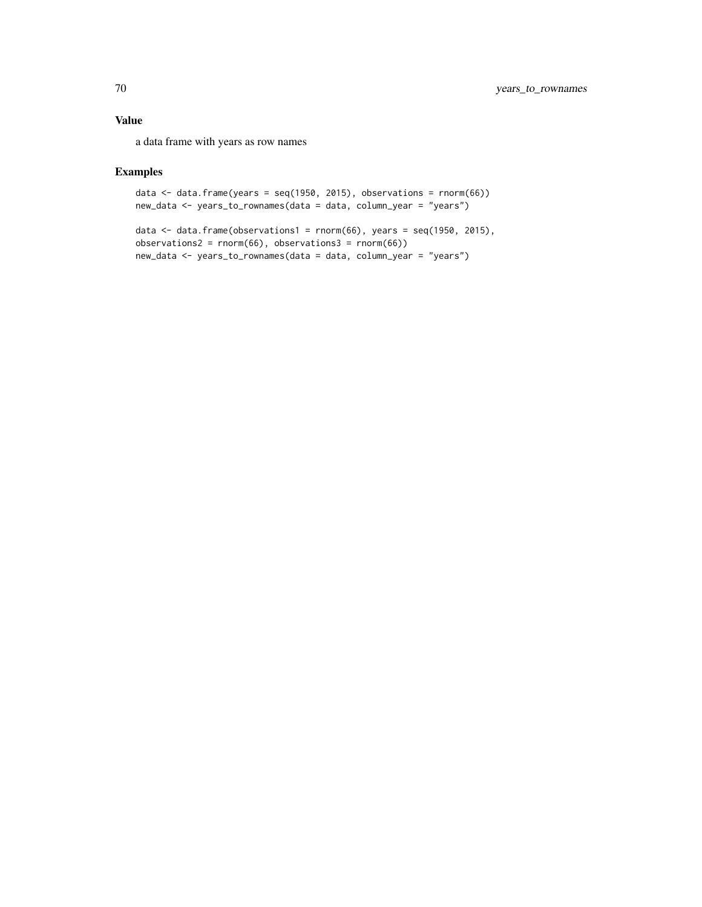# Value

a data frame with years as row names

# Examples

```
data \le data.frame(years = seq(1950, 2015), observations = rnorm(66))
new_data <- years_to_rownames(data = data, column_year = "years")
```

```
data \le data.frame(observations1 = rnorm(66), years = seq(1950, 2015),
observations2 = rnorm(66), observations3 = rnorm(66))
new_data <- years_to_rownames(data = data, column_year = "years")
```